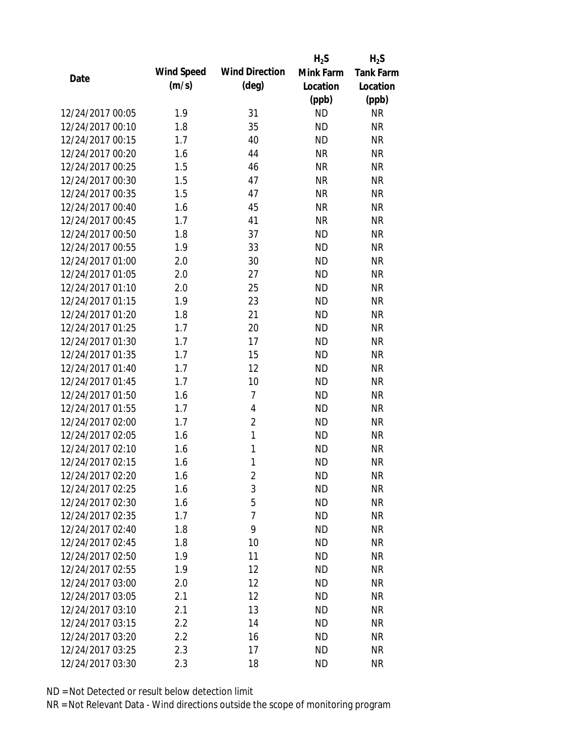|                  |            |                       | $H_2S$    | $H_2S$           |
|------------------|------------|-----------------------|-----------|------------------|
| Date             | Wind Speed | <b>Wind Direction</b> | Mink Farm | <b>Tank Farm</b> |
|                  | (m/s)      | $(\text{deg})$        | Location  | Location         |
|                  |            |                       | (ppb)     | (ppb)            |
| 12/24/2017 00:05 | 1.9        | 31                    | <b>ND</b> | <b>NR</b>        |
| 12/24/2017 00:10 | 1.8        | 35                    | <b>ND</b> | <b>NR</b>        |
| 12/24/2017 00:15 | 1.7        | 40                    | <b>ND</b> | <b>NR</b>        |
| 12/24/2017 00:20 | 1.6        | 44                    | <b>NR</b> | <b>NR</b>        |
| 12/24/2017 00:25 | 1.5        | 46                    | <b>NR</b> | <b>NR</b>        |
| 12/24/2017 00:30 | 1.5        | 47                    | <b>NR</b> | <b>NR</b>        |
| 12/24/2017 00:35 | 1.5        | 47                    | <b>NR</b> | <b>NR</b>        |
| 12/24/2017 00:40 | 1.6        | 45                    | <b>NR</b> | <b>NR</b>        |
| 12/24/2017 00:45 | 1.7        | 41                    | <b>NR</b> | <b>NR</b>        |
| 12/24/2017 00:50 | 1.8        | 37                    | <b>ND</b> | <b>NR</b>        |
| 12/24/2017 00:55 | 1.9        | 33                    | <b>ND</b> | <b>NR</b>        |
| 12/24/2017 01:00 | 2.0        | 30                    | <b>ND</b> | <b>NR</b>        |
| 12/24/2017 01:05 | 2.0        | 27                    | <b>ND</b> | <b>NR</b>        |
| 12/24/2017 01:10 | 2.0        | 25                    | <b>ND</b> | <b>NR</b>        |
| 12/24/2017 01:15 | 1.9        | 23                    | <b>ND</b> | <b>NR</b>        |
| 12/24/2017 01:20 | 1.8        | 21                    | <b>ND</b> | <b>NR</b>        |
| 12/24/2017 01:25 | 1.7        | 20                    | <b>ND</b> | <b>NR</b>        |
| 12/24/2017 01:30 | 1.7        | 17                    | <b>ND</b> | <b>NR</b>        |
| 12/24/2017 01:35 | 1.7        | 15                    | <b>ND</b> | <b>NR</b>        |
| 12/24/2017 01:40 | 1.7        | 12                    | <b>ND</b> | <b>NR</b>        |
| 12/24/2017 01:45 | 1.7        | 10                    | <b>ND</b> | <b>NR</b>        |
| 12/24/2017 01:50 | 1.6        | 7                     | <b>ND</b> | <b>NR</b>        |
| 12/24/2017 01:55 | 1.7        | 4                     | <b>ND</b> | <b>NR</b>        |
| 12/24/2017 02:00 | 1.7        | $\overline{2}$        | <b>ND</b> | <b>NR</b>        |
| 12/24/2017 02:05 | 1.6        | 1                     | <b>ND</b> | <b>NR</b>        |
| 12/24/2017 02:10 | 1.6        | 1                     | <b>ND</b> | <b>NR</b>        |
| 12/24/2017 02:15 | 1.6        | 1                     | <b>ND</b> | <b>NR</b>        |
| 12/24/2017 02:20 | 1.6        | 2                     | <b>ND</b> | <b>NR</b>        |
| 12/24/2017 02:25 | 1.6        | 3                     | <b>ND</b> | <b>NR</b>        |
| 12/24/2017 02:30 | 1.6        | 5                     | <b>ND</b> | <b>NR</b>        |
| 12/24/2017 02:35 | 1.7        | 7                     | <b>ND</b> | <b>NR</b>        |
| 12/24/2017 02:40 | 1.8        | 9                     | <b>ND</b> | <b>NR</b>        |
| 12/24/2017 02:45 | 1.8        | 10                    | <b>ND</b> | <b>NR</b>        |
| 12/24/2017 02:50 | 1.9        | 11                    | <b>ND</b> | <b>NR</b>        |
| 12/24/2017 02:55 | 1.9        | 12                    | <b>ND</b> | <b>NR</b>        |
| 12/24/2017 03:00 | 2.0        | 12                    | <b>ND</b> | <b>NR</b>        |
| 12/24/2017 03:05 | 2.1        | 12                    | <b>ND</b> | <b>NR</b>        |
| 12/24/2017 03:10 | 2.1        | 13                    | <b>ND</b> | <b>NR</b>        |
| 12/24/2017 03:15 | 2.2        | 14                    | <b>ND</b> | <b>NR</b>        |
| 12/24/2017 03:20 | 2.2        | 16                    | <b>ND</b> | <b>NR</b>        |
| 12/24/2017 03:25 | 2.3        | 17                    | <b>ND</b> | <b>NR</b>        |
| 12/24/2017 03:30 | 2.3        | 18                    | <b>ND</b> | <b>NR</b>        |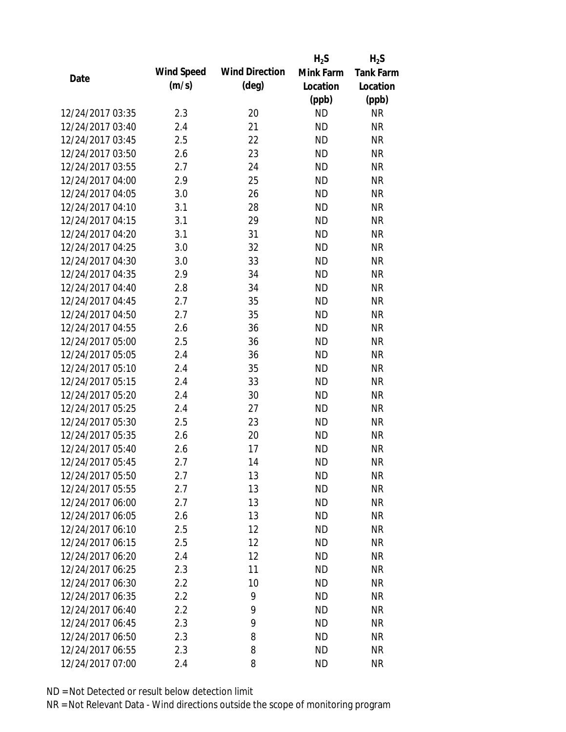|                  |            |                       | $H_2S$    | $H_2S$           |
|------------------|------------|-----------------------|-----------|------------------|
| Date             | Wind Speed | <b>Wind Direction</b> | Mink Farm | <b>Tank Farm</b> |
|                  | (m/s)      | $(\text{deg})$        | Location  | Location         |
|                  |            |                       | (ppb)     | (ppb)            |
| 12/24/2017 03:35 | 2.3        | 20                    | <b>ND</b> | <b>NR</b>        |
| 12/24/2017 03:40 | 2.4        | 21                    | <b>ND</b> | <b>NR</b>        |
| 12/24/2017 03:45 | 2.5        | 22                    | <b>ND</b> | <b>NR</b>        |
| 12/24/2017 03:50 | 2.6        | 23                    | <b>ND</b> | <b>NR</b>        |
| 12/24/2017 03:55 | 2.7        | 24                    | <b>ND</b> | <b>NR</b>        |
| 12/24/2017 04:00 | 2.9        | 25                    | <b>ND</b> | <b>NR</b>        |
| 12/24/2017 04:05 | 3.0        | 26                    | <b>ND</b> | <b>NR</b>        |
| 12/24/2017 04:10 | 3.1        | 28                    | <b>ND</b> | <b>NR</b>        |
| 12/24/2017 04:15 | 3.1        | 29                    | <b>ND</b> | <b>NR</b>        |
| 12/24/2017 04:20 | 3.1        | 31                    | <b>ND</b> | <b>NR</b>        |
| 12/24/2017 04:25 | 3.0        | 32                    | <b>ND</b> | <b>NR</b>        |
| 12/24/2017 04:30 | 3.0        | 33                    | <b>ND</b> | <b>NR</b>        |
| 12/24/2017 04:35 | 2.9        | 34                    | <b>ND</b> | <b>NR</b>        |
| 12/24/2017 04:40 | 2.8        | 34                    | <b>ND</b> | <b>NR</b>        |
| 12/24/2017 04:45 | 2.7        | 35                    | <b>ND</b> | <b>NR</b>        |
| 12/24/2017 04:50 | 2.7        | 35                    | <b>ND</b> | <b>NR</b>        |
| 12/24/2017 04:55 | 2.6        | 36                    | <b>ND</b> | <b>NR</b>        |
| 12/24/2017 05:00 | 2.5        | 36                    | <b>ND</b> | <b>NR</b>        |
| 12/24/2017 05:05 | 2.4        | 36                    | <b>ND</b> | <b>NR</b>        |
| 12/24/2017 05:10 | 2.4        | 35                    | <b>ND</b> | <b>NR</b>        |
| 12/24/2017 05:15 | 2.4        | 33                    | <b>ND</b> | <b>NR</b>        |
| 12/24/2017 05:20 | 2.4        | 30                    | <b>ND</b> | <b>NR</b>        |
| 12/24/2017 05:25 | 2.4        | 27                    | <b>ND</b> | <b>NR</b>        |
| 12/24/2017 05:30 | 2.5        | 23                    | <b>ND</b> | <b>NR</b>        |
| 12/24/2017 05:35 | 2.6        | 20                    | <b>ND</b> | <b>NR</b>        |
| 12/24/2017 05:40 | 2.6        | 17                    | <b>ND</b> | <b>NR</b>        |
| 12/24/2017 05:45 | 2.7        | 14                    | <b>ND</b> | <b>NR</b>        |
| 12/24/2017 05:50 | 2.7        | 13                    | <b>ND</b> | <b>NR</b>        |
| 12/24/2017 05:55 | 2.7        | 13                    | <b>ND</b> | <b>NR</b>        |
| 12/24/2017 06:00 | 2.7        | 13                    | ND        | <b>NR</b>        |
| 12/24/2017 06:05 | 2.6        | 13                    | <b>ND</b> | <b>NR</b>        |
| 12/24/2017 06:10 | 2.5        | 12                    | <b>ND</b> | <b>NR</b>        |
| 12/24/2017 06:15 | 2.5        | 12                    | <b>ND</b> | <b>NR</b>        |
| 12/24/2017 06:20 | 2.4        | 12                    | <b>ND</b> | <b>NR</b>        |
| 12/24/2017 06:25 | 2.3        | 11                    | <b>ND</b> | <b>NR</b>        |
| 12/24/2017 06:30 | 2.2        | 10                    | <b>ND</b> | <b>NR</b>        |
| 12/24/2017 06:35 | 2.2        | 9                     | <b>ND</b> | <b>NR</b>        |
| 12/24/2017 06:40 | 2.2        | 9                     | <b>ND</b> | <b>NR</b>        |
| 12/24/2017 06:45 | 2.3        | 9                     | <b>ND</b> | <b>NR</b>        |
| 12/24/2017 06:50 | 2.3        | 8                     | <b>ND</b> | <b>NR</b>        |
| 12/24/2017 06:55 | 2.3        | 8                     | <b>ND</b> | <b>NR</b>        |
| 12/24/2017 07:00 | 2.4        | 8                     | <b>ND</b> | <b>NR</b>        |
|                  |            |                       |           |                  |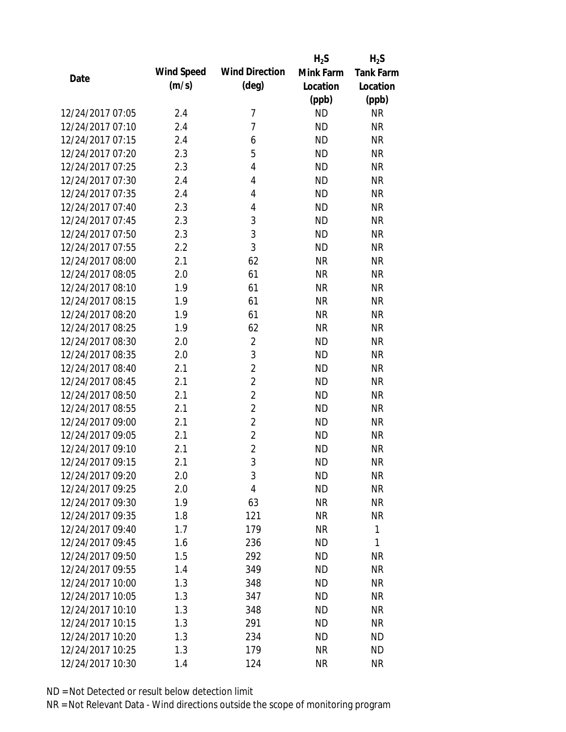|                  |            |                       | $H_2S$    | $H_2S$           |
|------------------|------------|-----------------------|-----------|------------------|
| Date             | Wind Speed | <b>Wind Direction</b> | Mink Farm | <b>Tank Farm</b> |
|                  | (m/s)      | $(\text{deg})$        | Location  | Location         |
|                  |            |                       | (ppb)     | (ppb)            |
| 12/24/2017 07:05 | 2.4        | 7                     | <b>ND</b> | <b>NR</b>        |
| 12/24/2017 07:10 | 2.4        | 7                     | <b>ND</b> | <b>NR</b>        |
| 12/24/2017 07:15 | 2.4        | 6                     | <b>ND</b> | <b>NR</b>        |
| 12/24/2017 07:20 | 2.3        | 5                     | <b>ND</b> | <b>NR</b>        |
| 12/24/2017 07:25 | 2.3        | 4                     | <b>ND</b> | <b>NR</b>        |
| 12/24/2017 07:30 | 2.4        | 4                     | <b>ND</b> | <b>NR</b>        |
| 12/24/2017 07:35 | 2.4        | 4                     | <b>ND</b> | <b>NR</b>        |
| 12/24/2017 07:40 | 2.3        | 4                     | <b>ND</b> | <b>NR</b>        |
| 12/24/2017 07:45 | 2.3        | 3                     | <b>ND</b> | <b>NR</b>        |
| 12/24/2017 07:50 | 2.3        | 3                     | <b>ND</b> | <b>NR</b>        |
| 12/24/2017 07:55 | 2.2        | 3                     | <b>ND</b> | <b>NR</b>        |
| 12/24/2017 08:00 | 2.1        | 62                    | <b>NR</b> | <b>NR</b>        |
| 12/24/2017 08:05 | 2.0        | 61                    | <b>NR</b> | <b>NR</b>        |
| 12/24/2017 08:10 | 1.9        | 61                    | <b>NR</b> | <b>NR</b>        |
| 12/24/2017 08:15 | 1.9        | 61                    | <b>NR</b> | <b>NR</b>        |
| 12/24/2017 08:20 | 1.9        | 61                    | <b>NR</b> | <b>NR</b>        |
| 12/24/2017 08:25 | 1.9        | 62                    | <b>NR</b> | <b>NR</b>        |
| 12/24/2017 08:30 | 2.0        | $\overline{2}$        | <b>ND</b> | <b>NR</b>        |
| 12/24/2017 08:35 | 2.0        | 3                     | <b>ND</b> | <b>NR</b>        |
| 12/24/2017 08:40 | 2.1        | $\overline{2}$        | <b>ND</b> | <b>NR</b>        |
| 12/24/2017 08:45 | 2.1        | $\overline{2}$        | <b>ND</b> | <b>NR</b>        |
| 12/24/2017 08:50 | 2.1        | $\overline{2}$        | <b>ND</b> | <b>NR</b>        |
| 12/24/2017 08:55 | 2.1        | $\overline{2}$        | <b>ND</b> | <b>NR</b>        |
| 12/24/2017 09:00 | 2.1        | $\overline{2}$        | <b>ND</b> | <b>NR</b>        |
| 12/24/2017 09:05 | 2.1        | $\overline{2}$        | <b>ND</b> | <b>NR</b>        |
| 12/24/2017 09:10 | 2.1        | $\overline{2}$        | <b>ND</b> | <b>NR</b>        |
| 12/24/2017 09:15 | 2.1        | 3                     | <b>ND</b> | <b>NR</b>        |
| 12/24/2017 09:20 | 2.0        | 3                     | <b>ND</b> | <b>NR</b>        |
| 12/24/2017 09:25 | 2.0        | 4                     | <b>ND</b> | <b>NR</b>        |
| 12/24/2017 09:30 | 1.9        | 63                    | <b>NR</b> | <b>NR</b>        |
| 12/24/2017 09:35 | 1.8        | 121                   | <b>NR</b> | <b>NR</b>        |
| 12/24/2017 09:40 | 1.7        | 179                   | <b>NR</b> | 1                |
| 12/24/2017 09:45 | 1.6        | 236                   | <b>ND</b> | 1                |
| 12/24/2017 09:50 | 1.5        | 292                   | <b>ND</b> | <b>NR</b>        |
| 12/24/2017 09:55 | 1.4        | 349                   | <b>ND</b> | <b>NR</b>        |
| 12/24/2017 10:00 | 1.3        | 348                   | <b>ND</b> | <b>NR</b>        |
| 12/24/2017 10:05 | 1.3        | 347                   | <b>ND</b> | <b>NR</b>        |
| 12/24/2017 10:10 | 1.3        | 348                   | <b>ND</b> | <b>NR</b>        |
| 12/24/2017 10:15 | 1.3        | 291                   | <b>ND</b> | <b>NR</b>        |
| 12/24/2017 10:20 | 1.3        | 234                   | <b>ND</b> | <b>ND</b>        |
| 12/24/2017 10:25 | 1.3        | 179                   | <b>NR</b> | <b>ND</b>        |
| 12/24/2017 10:30 | 1.4        | 124                   | <b>NR</b> | <b>NR</b>        |
|                  |            |                       |           |                  |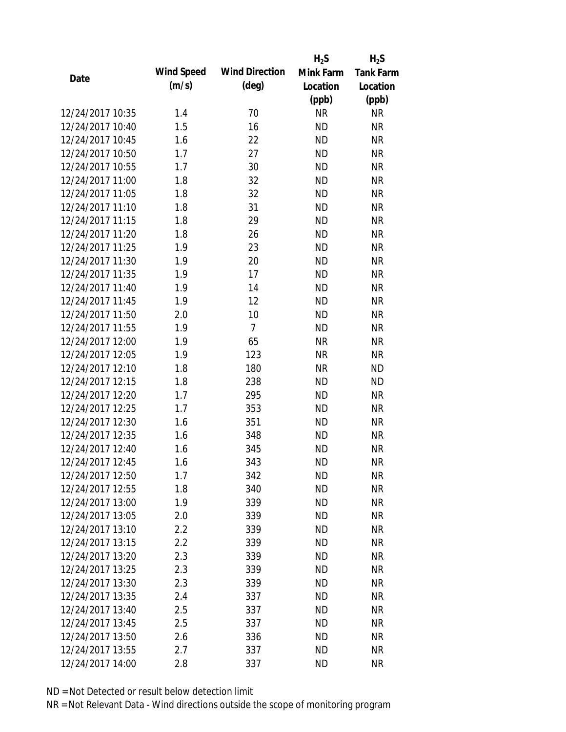|                  |            |                       | $H_2S$    | $H_2S$           |
|------------------|------------|-----------------------|-----------|------------------|
| Date             | Wind Speed | <b>Wind Direction</b> | Mink Farm | <b>Tank Farm</b> |
|                  | (m/s)      | $(\text{deg})$        | Location  | Location         |
|                  |            |                       | (ppb)     | (ppb)            |
| 12/24/2017 10:35 | 1.4        | 70                    | <b>NR</b> | <b>NR</b>        |
| 12/24/2017 10:40 | 1.5        | 16                    | <b>ND</b> | <b>NR</b>        |
| 12/24/2017 10:45 | 1.6        | 22                    | <b>ND</b> | <b>NR</b>        |
| 12/24/2017 10:50 | 1.7        | 27                    | <b>ND</b> | <b>NR</b>        |
| 12/24/2017 10:55 | 1.7        | 30                    | <b>ND</b> | <b>NR</b>        |
| 12/24/2017 11:00 | 1.8        | 32                    | <b>ND</b> | <b>NR</b>        |
| 12/24/2017 11:05 | 1.8        | 32                    | <b>ND</b> | <b>NR</b>        |
| 12/24/2017 11:10 | 1.8        | 31                    | <b>ND</b> | <b>NR</b>        |
| 12/24/2017 11:15 | 1.8        | 29                    | <b>ND</b> | <b>NR</b>        |
| 12/24/2017 11:20 | 1.8        | 26                    | <b>ND</b> | <b>NR</b>        |
| 12/24/2017 11:25 | 1.9        | 23                    | <b>ND</b> | <b>NR</b>        |
| 12/24/2017 11:30 | 1.9        | 20                    | <b>ND</b> | <b>NR</b>        |
| 12/24/2017 11:35 | 1.9        | 17                    | <b>ND</b> | <b>NR</b>        |
| 12/24/2017 11:40 | 1.9        | 14                    | <b>ND</b> | <b>NR</b>        |
| 12/24/2017 11:45 | 1.9        | 12                    | <b>ND</b> | <b>NR</b>        |
| 12/24/2017 11:50 | 2.0        | 10                    | <b>ND</b> | <b>NR</b>        |
| 12/24/2017 11:55 | 1.9        | $\overline{7}$        | <b>ND</b> | <b>NR</b>        |
| 12/24/2017 12:00 | 1.9        | 65                    | <b>NR</b> | <b>NR</b>        |
| 12/24/2017 12:05 | 1.9        | 123                   | <b>NR</b> | <b>NR</b>        |
| 12/24/2017 12:10 | 1.8        | 180                   | <b>NR</b> | <b>ND</b>        |
| 12/24/2017 12:15 | 1.8        | 238                   | <b>ND</b> | <b>ND</b>        |
| 12/24/2017 12:20 | 1.7        | 295                   | <b>ND</b> | <b>NR</b>        |
| 12/24/2017 12:25 | 1.7        | 353                   | <b>ND</b> | <b>NR</b>        |
| 12/24/2017 12:30 | 1.6        | 351                   | <b>ND</b> | <b>NR</b>        |
| 12/24/2017 12:35 | 1.6        | 348                   | <b>ND</b> | <b>NR</b>        |
| 12/24/2017 12:40 | 1.6        | 345                   | <b>ND</b> | <b>NR</b>        |
| 12/24/2017 12:45 | 1.6        | 343                   | <b>ND</b> | <b>NR</b>        |
| 12/24/2017 12:50 | 1.7        | 342                   | <b>ND</b> | <b>NR</b>        |
| 12/24/2017 12:55 | 1.8        | 340                   | <b>ND</b> | <b>NR</b>        |
| 12/24/2017 13:00 | 1.9        | 339                   | <b>ND</b> | <b>NR</b>        |
| 12/24/2017 13:05 | 2.0        | 339                   | <b>ND</b> | <b>NR</b>        |
| 12/24/2017 13:10 | 2.2        | 339                   | <b>ND</b> | <b>NR</b>        |
| 12/24/2017 13:15 | 2.2        | 339                   | <b>ND</b> | <b>NR</b>        |
| 12/24/2017 13:20 | 2.3        | 339                   | <b>ND</b> | <b>NR</b>        |
| 12/24/2017 13:25 | 2.3        | 339                   | <b>ND</b> | <b>NR</b>        |
| 12/24/2017 13:30 | 2.3        | 339                   | <b>ND</b> | <b>NR</b>        |
| 12/24/2017 13:35 | 2.4        | 337                   | <b>ND</b> | <b>NR</b>        |
| 12/24/2017 13:40 | 2.5        | 337                   | <b>ND</b> | <b>NR</b>        |
| 12/24/2017 13:45 | 2.5        | 337                   | <b>ND</b> | <b>NR</b>        |
| 12/24/2017 13:50 | 2.6        | 336                   | <b>ND</b> | <b>NR</b>        |
| 12/24/2017 13:55 | 2.7        | 337                   | <b>ND</b> | <b>NR</b>        |
| 12/24/2017 14:00 |            |                       | <b>ND</b> | <b>NR</b>        |
|                  | 2.8        | 337                   |           |                  |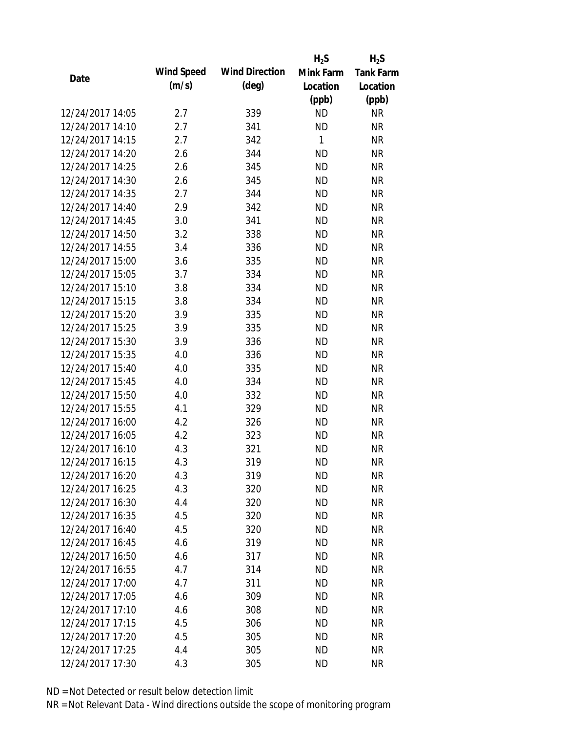|                  |            |                       | $H_2S$    | $H_2S$           |
|------------------|------------|-----------------------|-----------|------------------|
| Date             | Wind Speed | <b>Wind Direction</b> | Mink Farm | <b>Tank Farm</b> |
|                  | (m/s)      | $(\text{deg})$        | Location  | Location         |
|                  |            |                       | (ppb)     | (ppb)            |
| 12/24/2017 14:05 | 2.7        | 339                   | <b>ND</b> | <b>NR</b>        |
| 12/24/2017 14:10 | 2.7        | 341                   | <b>ND</b> | <b>NR</b>        |
| 12/24/2017 14:15 | 2.7        | 342                   | 1         | <b>NR</b>        |
| 12/24/2017 14:20 | 2.6        | 344                   | <b>ND</b> | <b>NR</b>        |
| 12/24/2017 14:25 | 2.6        | 345                   | <b>ND</b> | <b>NR</b>        |
| 12/24/2017 14:30 | 2.6        | 345                   | <b>ND</b> | <b>NR</b>        |
| 12/24/2017 14:35 | 2.7        | 344                   | <b>ND</b> | <b>NR</b>        |
| 12/24/2017 14:40 | 2.9        | 342                   | <b>ND</b> | <b>NR</b>        |
| 12/24/2017 14:45 | 3.0        | 341                   | <b>ND</b> | <b>NR</b>        |
| 12/24/2017 14:50 | 3.2        | 338                   | <b>ND</b> | <b>NR</b>        |
| 12/24/2017 14:55 | 3.4        | 336                   | <b>ND</b> | <b>NR</b>        |
| 12/24/2017 15:00 | 3.6        | 335                   | <b>ND</b> | <b>NR</b>        |
| 12/24/2017 15:05 | 3.7        | 334                   | <b>ND</b> | <b>NR</b>        |
| 12/24/2017 15:10 | 3.8        | 334                   | <b>ND</b> | <b>NR</b>        |
| 12/24/2017 15:15 | 3.8        | 334                   | <b>ND</b> | <b>NR</b>        |
| 12/24/2017 15:20 | 3.9        | 335                   | <b>ND</b> | <b>NR</b>        |
| 12/24/2017 15:25 | 3.9        | 335                   | <b>ND</b> | <b>NR</b>        |
| 12/24/2017 15:30 | 3.9        | 336                   | <b>ND</b> | <b>NR</b>        |
| 12/24/2017 15:35 | 4.0        | 336                   | <b>ND</b> | <b>NR</b>        |
| 12/24/2017 15:40 | 4.0        | 335                   | <b>ND</b> | <b>NR</b>        |
| 12/24/2017 15:45 | 4.0        | 334                   | <b>ND</b> | <b>NR</b>        |
| 12/24/2017 15:50 | 4.0        | 332                   | <b>ND</b> | <b>NR</b>        |
| 12/24/2017 15:55 | 4.1        | 329                   | <b>ND</b> | <b>NR</b>        |
| 12/24/2017 16:00 | 4.2        | 326                   | <b>ND</b> | <b>NR</b>        |
| 12/24/2017 16:05 | 4.2        | 323                   | <b>ND</b> | <b>NR</b>        |
| 12/24/2017 16:10 | 4.3        | 321                   | <b>ND</b> | <b>NR</b>        |
| 12/24/2017 16:15 | 4.3        | 319                   | <b>ND</b> | <b>NR</b>        |
| 12/24/2017 16:20 | 4.3        | 319                   | <b>ND</b> | <b>NR</b>        |
| 12/24/2017 16:25 | 4.3        | 320                   | <b>ND</b> | <b>NR</b>        |
| 12/24/2017 16:30 | 4.4        | 320                   | ND        | <b>NR</b>        |
| 12/24/2017 16:35 | 4.5        | 320                   | <b>ND</b> | <b>NR</b>        |
| 12/24/2017 16:40 | 4.5        | 320                   | <b>ND</b> | <b>NR</b>        |
| 12/24/2017 16:45 | 4.6        | 319                   | <b>ND</b> | <b>NR</b>        |
| 12/24/2017 16:50 | 4.6        | 317                   | <b>ND</b> | <b>NR</b>        |
| 12/24/2017 16:55 | 4.7        | 314                   | <b>ND</b> | <b>NR</b>        |
| 12/24/2017 17:00 | 4.7        | 311                   | <b>ND</b> | <b>NR</b>        |
| 12/24/2017 17:05 | 4.6        | 309                   | ND.       | <b>NR</b>        |
| 12/24/2017 17:10 | 4.6        | 308                   | <b>ND</b> | <b>NR</b>        |
| 12/24/2017 17:15 | 4.5        | 306                   | <b>ND</b> | <b>NR</b>        |
| 12/24/2017 17:20 | 4.5        | 305                   | <b>ND</b> | <b>NR</b>        |
| 12/24/2017 17:25 | 4.4        | 305                   | <b>ND</b> | <b>NR</b>        |
| 12/24/2017 17:30 | 4.3        | 305                   | <b>ND</b> | <b>NR</b>        |
|                  |            |                       |           |                  |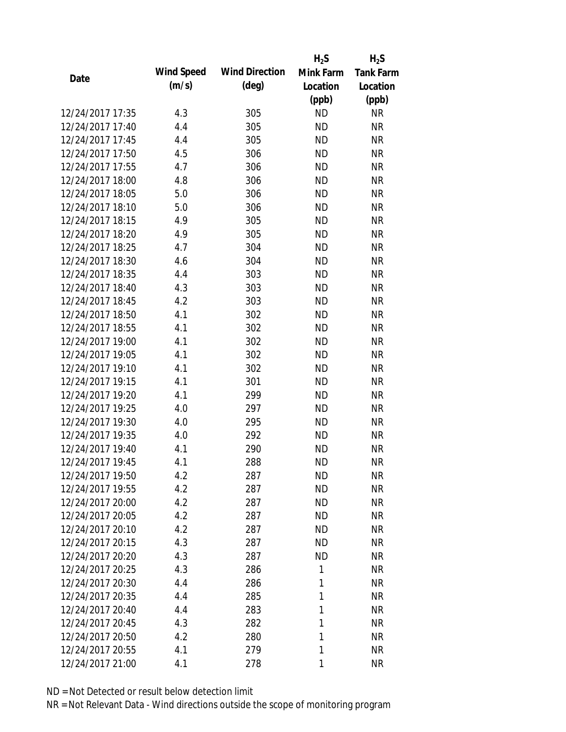|                  |            |                       | $H_2S$    | $H_2S$           |
|------------------|------------|-----------------------|-----------|------------------|
| Date             | Wind Speed | <b>Wind Direction</b> | Mink Farm | <b>Tank Farm</b> |
|                  | (m/s)      | $(\text{deg})$        | Location  | Location         |
|                  |            |                       | (ppb)     | (ppb)            |
| 12/24/2017 17:35 | 4.3        | 305                   | <b>ND</b> | <b>NR</b>        |
| 12/24/2017 17:40 | 4.4        | 305                   | <b>ND</b> | <b>NR</b>        |
| 12/24/2017 17:45 | 4.4        | 305                   | <b>ND</b> | <b>NR</b>        |
| 12/24/2017 17:50 | 4.5        | 306                   | <b>ND</b> | <b>NR</b>        |
| 12/24/2017 17:55 | 4.7        | 306                   | <b>ND</b> | <b>NR</b>        |
| 12/24/2017 18:00 | 4.8        | 306                   | <b>ND</b> | <b>NR</b>        |
| 12/24/2017 18:05 | 5.0        | 306                   | <b>ND</b> | <b>NR</b>        |
| 12/24/2017 18:10 | 5.0        | 306                   | <b>ND</b> | <b>NR</b>        |
| 12/24/2017 18:15 | 4.9        | 305                   | <b>ND</b> | <b>NR</b>        |
| 12/24/2017 18:20 | 4.9        | 305                   | <b>ND</b> | <b>NR</b>        |
| 12/24/2017 18:25 | 4.7        | 304                   | <b>ND</b> | <b>NR</b>        |
| 12/24/2017 18:30 | 4.6        | 304                   | <b>ND</b> | <b>NR</b>        |
| 12/24/2017 18:35 | 4.4        | 303                   | <b>ND</b> | <b>NR</b>        |
| 12/24/2017 18:40 | 4.3        | 303                   | <b>ND</b> | <b>NR</b>        |
| 12/24/2017 18:45 | 4.2        | 303                   | <b>ND</b> | <b>NR</b>        |
| 12/24/2017 18:50 | 4.1        | 302                   | <b>ND</b> | <b>NR</b>        |
| 12/24/2017 18:55 | 4.1        | 302                   | <b>ND</b> | <b>NR</b>        |
| 12/24/2017 19:00 | 4.1        | 302                   | <b>ND</b> | <b>NR</b>        |
| 12/24/2017 19:05 | 4.1        | 302                   | <b>ND</b> | <b>NR</b>        |
| 12/24/2017 19:10 | 4.1        | 302                   | <b>ND</b> | <b>NR</b>        |
| 12/24/2017 19:15 | 4.1        | 301                   | <b>ND</b> | <b>NR</b>        |
| 12/24/2017 19:20 | 4.1        | 299                   | <b>ND</b> | <b>NR</b>        |
| 12/24/2017 19:25 | 4.0        | 297                   | <b>ND</b> | <b>NR</b>        |
| 12/24/2017 19:30 | 4.0        | 295                   | <b>ND</b> | <b>NR</b>        |
| 12/24/2017 19:35 | 4.0        | 292                   | <b>ND</b> | <b>NR</b>        |
| 12/24/2017 19:40 | 4.1        | 290                   | <b>ND</b> | <b>NR</b>        |
| 12/24/2017 19:45 | 4.1        | 288                   | <b>ND</b> | <b>NR</b>        |
| 12/24/2017 19:50 | 4.2        | 287                   | <b>ND</b> | <b>NR</b>        |
| 12/24/2017 19:55 | 4.2        | 287                   | <b>ND</b> | <b>NR</b>        |
| 12/24/2017 20:00 | 4.2        | 287                   | ND        | <b>NR</b>        |
| 12/24/2017 20:05 | 4.2        | 287                   | <b>ND</b> | <b>NR</b>        |
| 12/24/2017 20:10 | 4.2        | 287                   | <b>ND</b> | <b>NR</b>        |
| 12/24/2017 20:15 | 4.3        | 287                   | <b>ND</b> | <b>NR</b>        |
| 12/24/2017 20:20 | 4.3        | 287                   | <b>ND</b> | <b>NR</b>        |
| 12/24/2017 20:25 | 4.3        | 286                   | 1         | <b>NR</b>        |
| 12/24/2017 20:30 | 4.4        | 286                   | 1         | <b>NR</b>        |
| 12/24/2017 20:35 | 4.4        | 285                   | 1         | <b>NR</b>        |
| 12/24/2017 20:40 | 4.4        | 283                   | 1         | <b>NR</b>        |
| 12/24/2017 20:45 | 4.3        | 282                   | 1         | <b>NR</b>        |
| 12/24/2017 20:50 | 4.2        | 280                   | 1         | <b>NR</b>        |
| 12/24/2017 20:55 | 4.1        | 279                   | 1         | <b>NR</b>        |
| 12/24/2017 21:00 | 4.1        | 278                   | 1         | <b>NR</b>        |
|                  |            |                       |           |                  |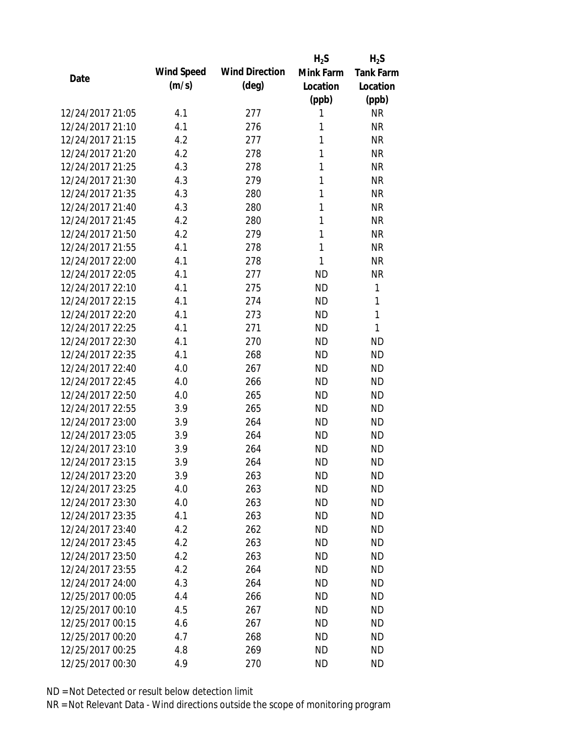|                  |            |                       | $H_2S$    | $H_2S$           |
|------------------|------------|-----------------------|-----------|------------------|
| Date             | Wind Speed | <b>Wind Direction</b> | Mink Farm | <b>Tank Farm</b> |
|                  | (m/s)      | $(\text{deg})$        | Location  | Location         |
|                  |            |                       | (ppb)     | (ppb)            |
| 12/24/2017 21:05 | 4.1        | 277                   | 1         | <b>NR</b>        |
| 12/24/2017 21:10 | 4.1        | 276                   | 1         | <b>NR</b>        |
| 12/24/2017 21:15 | 4.2        | 277                   | 1         | <b>NR</b>        |
| 12/24/2017 21:20 | 4.2        | 278                   | 1         | <b>NR</b>        |
| 12/24/2017 21:25 | 4.3        | 278                   | 1         | <b>NR</b>        |
| 12/24/2017 21:30 | 4.3        | 279                   | 1         | <b>NR</b>        |
| 12/24/2017 21:35 | 4.3        | 280                   | 1         | <b>NR</b>        |
| 12/24/2017 21:40 | 4.3        | 280                   | 1         | <b>NR</b>        |
| 12/24/2017 21:45 | 4.2        | 280                   | 1         | <b>NR</b>        |
| 12/24/2017 21:50 | 4.2        | 279                   | 1         | <b>NR</b>        |
| 12/24/2017 21:55 | 4.1        | 278                   | 1         | <b>NR</b>        |
| 12/24/2017 22:00 | 4.1        | 278                   | 1         | <b>NR</b>        |
| 12/24/2017 22:05 | 4.1        | 277                   | <b>ND</b> | <b>NR</b>        |
| 12/24/2017 22:10 | 4.1        | 275                   | <b>ND</b> | 1                |
| 12/24/2017 22:15 | 4.1        | 274                   | <b>ND</b> | 1                |
| 12/24/2017 22:20 | 4.1        | 273                   | <b>ND</b> | 1                |
| 12/24/2017 22:25 | 4.1        | 271                   | <b>ND</b> | 1                |
| 12/24/2017 22:30 | 4.1        | 270                   | <b>ND</b> | <b>ND</b>        |
| 12/24/2017 22:35 | 4.1        | 268                   | <b>ND</b> | <b>ND</b>        |
| 12/24/2017 22:40 | 4.0        | 267                   | <b>ND</b> | <b>ND</b>        |
| 12/24/2017 22:45 | 4.0        | 266                   | <b>ND</b> | <b>ND</b>        |
| 12/24/2017 22:50 | 4.0        | 265                   | <b>ND</b> | <b>ND</b>        |
| 12/24/2017 22:55 | 3.9        | 265                   | <b>ND</b> | <b>ND</b>        |
| 12/24/2017 23:00 | 3.9        | 264                   | <b>ND</b> | <b>ND</b>        |
| 12/24/2017 23:05 | 3.9        | 264                   | <b>ND</b> | <b>ND</b>        |
| 12/24/2017 23:10 | 3.9        | 264                   | <b>ND</b> | <b>ND</b>        |
| 12/24/2017 23:15 | 3.9        | 264                   | <b>ND</b> | <b>ND</b>        |
| 12/24/2017 23:20 | 3.9        | 263                   | <b>ND</b> | <b>ND</b>        |
| 12/24/2017 23:25 | 4.0        | 263                   | <b>ND</b> | <b>ND</b>        |
| 12/24/2017 23:30 | 4.0        | 263                   | ND        | <b>ND</b>        |
| 12/24/2017 23:35 | 4.1        | 263                   | <b>ND</b> | <b>ND</b>        |
| 12/24/2017 23:40 | 4.2        | 262                   | <b>ND</b> | <b>ND</b>        |
| 12/24/2017 23:45 | 4.2        | 263                   | <b>ND</b> | <b>ND</b>        |
| 12/24/2017 23:50 | 4.2        | 263                   | <b>ND</b> | <b>ND</b>        |
| 12/24/2017 23:55 | 4.2        | 264                   | ND        | <b>ND</b>        |
| 12/24/2017 24:00 | 4.3        | 264                   | <b>ND</b> | <b>ND</b>        |
| 12/25/2017 00:05 | 4.4        | 266                   | ND.       | <b>ND</b>        |
| 12/25/2017 00:10 | 4.5        | 267                   | ND        | <b>ND</b>        |
| 12/25/2017 00:15 | 4.6        | 267                   | <b>ND</b> | <b>ND</b>        |
| 12/25/2017 00:20 | 4.7        | 268                   | <b>ND</b> | <b>ND</b>        |
| 12/25/2017 00:25 | 4.8        | 269                   | <b>ND</b> | <b>ND</b>        |
| 12/25/2017 00:30 | 4.9        |                       | <b>ND</b> | <b>ND</b>        |
|                  |            | 270                   |           |                  |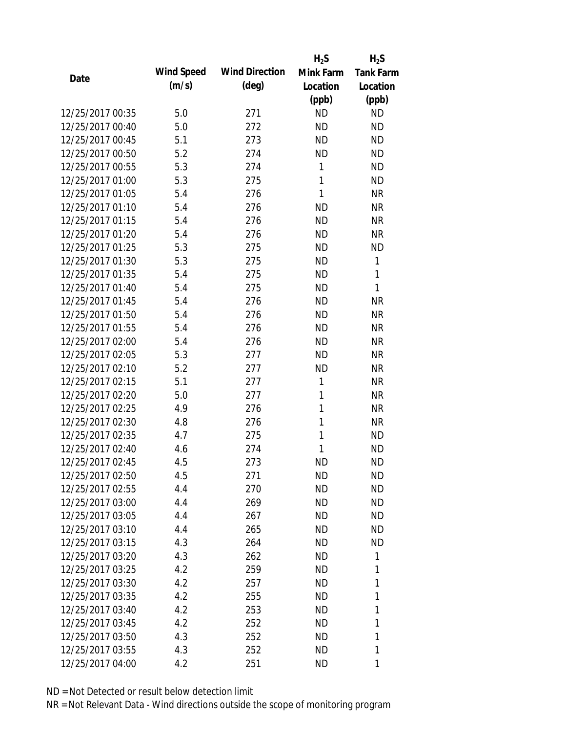|                  |                   |                       | $H_2S$       | $H_2S$           |
|------------------|-------------------|-----------------------|--------------|------------------|
| Date             | <b>Wind Speed</b> | <b>Wind Direction</b> | Mink Farm    | <b>Tank Farm</b> |
|                  | (m/s)             | $(\text{deg})$        | Location     | Location         |
|                  |                   |                       | (ppb)        | (ppb)            |
| 12/25/2017 00:35 | 5.0               | 271                   | <b>ND</b>    | <b>ND</b>        |
| 12/25/2017 00:40 | 5.0               | 272                   | <b>ND</b>    | <b>ND</b>        |
| 12/25/2017 00:45 | 5.1               | 273                   | <b>ND</b>    | <b>ND</b>        |
| 12/25/2017 00:50 | 5.2               | 274                   | <b>ND</b>    | <b>ND</b>        |
| 12/25/2017 00:55 | 5.3               | 274                   | 1            | <b>ND</b>        |
| 12/25/2017 01:00 | 5.3               | 275                   | 1            | <b>ND</b>        |
| 12/25/2017 01:05 | 5.4               | 276                   | 1            | <b>NR</b>        |
| 12/25/2017 01:10 | 5.4               | 276                   | <b>ND</b>    | <b>NR</b>        |
| 12/25/2017 01:15 | 5.4               | 276                   | <b>ND</b>    | <b>NR</b>        |
| 12/25/2017 01:20 | 5.4               | 276                   | <b>ND</b>    | <b>NR</b>        |
| 12/25/2017 01:25 | 5.3               | 275                   | <b>ND</b>    | <b>ND</b>        |
| 12/25/2017 01:30 | 5.3               | 275                   | <b>ND</b>    | 1                |
| 12/25/2017 01:35 | 5.4               | 275                   | <b>ND</b>    | 1                |
| 12/25/2017 01:40 | 5.4               | 275                   | <b>ND</b>    | 1                |
| 12/25/2017 01:45 | 5.4               | 276                   | <b>ND</b>    | <b>NR</b>        |
| 12/25/2017 01:50 | 5.4               | 276                   | <b>ND</b>    | <b>NR</b>        |
| 12/25/2017 01:55 | 5.4               | 276                   | <b>ND</b>    | <b>NR</b>        |
| 12/25/2017 02:00 | 5.4               | 276                   | <b>ND</b>    | <b>NR</b>        |
| 12/25/2017 02:05 | 5.3               | 277                   | <b>ND</b>    | <b>NR</b>        |
| 12/25/2017 02:10 | 5.2               | 277                   | <b>ND</b>    | <b>NR</b>        |
| 12/25/2017 02:15 | 5.1               | 277                   | $\mathbf{1}$ | <b>NR</b>        |
| 12/25/2017 02:20 | 5.0               | 277                   | 1            | <b>NR</b>        |
| 12/25/2017 02:25 | 4.9               | 276                   | 1            | <b>NR</b>        |
| 12/25/2017 02:30 | 4.8               | 276                   | 1            | <b>NR</b>        |
| 12/25/2017 02:35 | 4.7               | 275                   | 1            | <b>ND</b>        |
| 12/25/2017 02:40 | 4.6               | 274                   | 1            | <b>ND</b>        |
| 12/25/2017 02:45 | 4.5               | 273                   | <b>ND</b>    | <b>ND</b>        |
| 12/25/2017 02:50 | 4.5               | 271                   | <b>ND</b>    | <b>ND</b>        |
| 12/25/2017 02:55 | 4.4               | 270                   | <b>ND</b>    | <b>ND</b>        |
| 12/25/2017 03:00 | 4.4               | 269                   | <b>ND</b>    | <b>ND</b>        |
| 12/25/2017 03:05 | 4.4               | 267                   | ND           | <b>ND</b>        |
| 12/25/2017 03:10 |                   | 265                   | <b>ND</b>    | <b>ND</b>        |
| 12/25/2017 03:15 | 4.4               |                       |              | <b>ND</b>        |
|                  | 4.3               | 264                   | <b>ND</b>    |                  |
| 12/25/2017 03:20 | 4.3               | 262                   | <b>ND</b>    | 1                |
| 12/25/2017 03:25 | 4.2               | 259                   | <b>ND</b>    | 1                |
| 12/25/2017 03:30 | 4.2               | 257                   | ND           | 1                |
| 12/25/2017 03:35 | 4.2               | 255                   | <b>ND</b>    | 1                |
| 12/25/2017 03:40 | 4.2               | 253                   | ND           | 1                |
| 12/25/2017 03:45 | 4.2               | 252                   | <b>ND</b>    | 1                |
| 12/25/2017 03:50 | 4.3               | 252                   | ND           | 1                |
| 12/25/2017 03:55 | 4.3               | 252                   | <b>ND</b>    | 1                |
| 12/25/2017 04:00 | 4.2               | 251                   | <b>ND</b>    | 1                |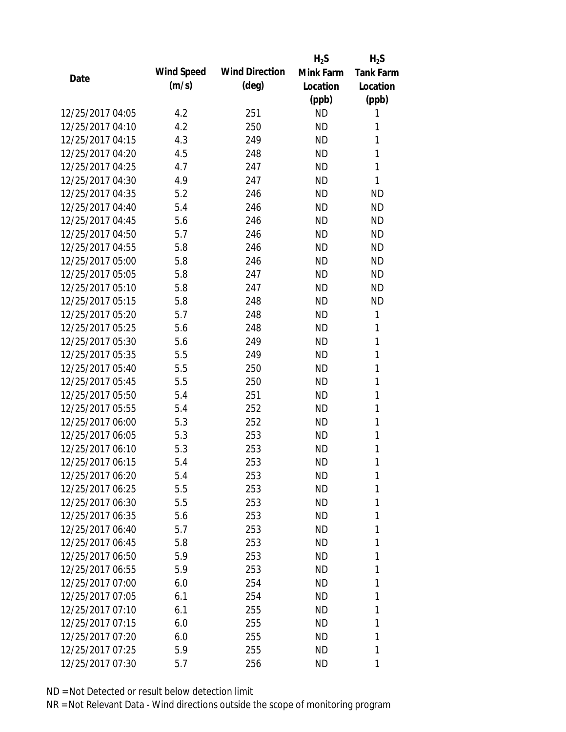|                  |            |                       | $H_2S$    | $H_2S$           |
|------------------|------------|-----------------------|-----------|------------------|
| Date             | Wind Speed | <b>Wind Direction</b> | Mink Farm | <b>Tank Farm</b> |
|                  | (m/s)      | $(\text{deg})$        | Location  | Location         |
|                  |            |                       | (ppb)     | (ppb)            |
| 12/25/2017 04:05 | 4.2        | 251                   | <b>ND</b> | 1                |
| 12/25/2017 04:10 | 4.2        | 250                   | <b>ND</b> | 1                |
| 12/25/2017 04:15 | 4.3        | 249                   | <b>ND</b> | 1                |
| 12/25/2017 04:20 | 4.5        | 248                   | <b>ND</b> | 1                |
| 12/25/2017 04:25 | 4.7        | 247                   | <b>ND</b> | 1                |
| 12/25/2017 04:30 | 4.9        | 247                   | <b>ND</b> | 1                |
| 12/25/2017 04:35 | 5.2        | 246                   | <b>ND</b> | <b>ND</b>        |
| 12/25/2017 04:40 | 5.4        | 246                   | <b>ND</b> | <b>ND</b>        |
| 12/25/2017 04:45 | 5.6        | 246                   | <b>ND</b> | <b>ND</b>        |
| 12/25/2017 04:50 | 5.7        | 246                   | <b>ND</b> | <b>ND</b>        |
| 12/25/2017 04:55 | 5.8        | 246                   | <b>ND</b> | <b>ND</b>        |
| 12/25/2017 05:00 | 5.8        | 246                   | <b>ND</b> | <b>ND</b>        |
| 12/25/2017 05:05 | 5.8        | 247                   | <b>ND</b> | <b>ND</b>        |
| 12/25/2017 05:10 | 5.8        | 247                   | <b>ND</b> | <b>ND</b>        |
| 12/25/2017 05:15 | 5.8        | 248                   | <b>ND</b> | <b>ND</b>        |
| 12/25/2017 05:20 | 5.7        | 248                   | <b>ND</b> | 1                |
| 12/25/2017 05:25 | 5.6        | 248                   | <b>ND</b> | 1                |
| 12/25/2017 05:30 | 5.6        | 249                   | <b>ND</b> | 1                |
| 12/25/2017 05:35 | 5.5        | 249                   | <b>ND</b> | $\mathbf{1}$     |
| 12/25/2017 05:40 | 5.5        | 250                   | <b>ND</b> | 1                |
| 12/25/2017 05:45 | 5.5        | 250                   | <b>ND</b> | 1                |
| 12/25/2017 05:50 | 5.4        | 251                   | <b>ND</b> | 1                |
| 12/25/2017 05:55 | 5.4        | 252                   | <b>ND</b> | 1                |
| 12/25/2017 06:00 | 5.3        | 252                   | <b>ND</b> | 1                |
| 12/25/2017 06:05 | 5.3        | 253                   | <b>ND</b> | 1                |
| 12/25/2017 06:10 | 5.3        | 253                   | <b>ND</b> | 1                |
| 12/25/2017 06:15 | 5.4        | 253                   | <b>ND</b> | 1                |
| 12/25/2017 06:20 | 5.4        | 253                   | ND        | 1                |
| 12/25/2017 06:25 | 5.5        | 253                   | <b>ND</b> | 1                |
| 12/25/2017 06:30 | 5.5        | 253                   | <b>ND</b> | 1                |
| 12/25/2017 06:35 | 5.6        | 253                   | ND        | 1                |
| 12/25/2017 06:40 | 5.7        | 253                   | <b>ND</b> | 1                |
| 12/25/2017 06:45 | 5.8        | 253                   | ND        | 1                |
| 12/25/2017 06:50 | 5.9        | 253                   | <b>ND</b> | 1                |
| 12/25/2017 06:55 | 5.9        | 253                   | <b>ND</b> | 1                |
| 12/25/2017 07:00 | 6.0        | 254                   | ND        | 1                |
| 12/25/2017 07:05 | 6.1        | 254                   | ND        | 1                |
| 12/25/2017 07:10 | 6.1        | 255                   | ND        | 1                |
| 12/25/2017 07:15 | 6.0        | 255                   | <b>ND</b> | 1                |
| 12/25/2017 07:20 | 6.0        | 255                   | ND        | 1                |
| 12/25/2017 07:25 | 5.9        | 255                   | ND        | 1                |
| 12/25/2017 07:30 |            | 256                   | ND        | 1                |
|                  | 5.7        |                       |           |                  |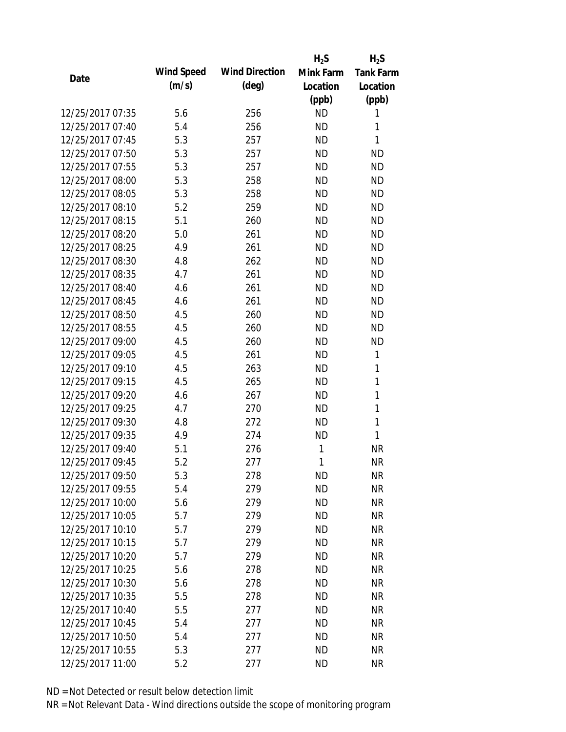|                  |            |                       | $H_2S$    | $H_2S$           |
|------------------|------------|-----------------------|-----------|------------------|
| Date             | Wind Speed | <b>Wind Direction</b> | Mink Farm | <b>Tank Farm</b> |
|                  | (m/s)      | $(\text{deg})$        | Location  | Location         |
|                  |            |                       | (ppb)     | (ppb)            |
| 12/25/2017 07:35 | 5.6        | 256                   | <b>ND</b> | 1                |
| 12/25/2017 07:40 | 5.4        | 256                   | <b>ND</b> | 1                |
| 12/25/2017 07:45 | 5.3        | 257                   | <b>ND</b> | $\mathbf{1}$     |
| 12/25/2017 07:50 | 5.3        | 257                   | <b>ND</b> | <b>ND</b>        |
| 12/25/2017 07:55 | 5.3        | 257                   | <b>ND</b> | <b>ND</b>        |
| 12/25/2017 08:00 | 5.3        | 258                   | <b>ND</b> | <b>ND</b>        |
| 12/25/2017 08:05 | 5.3        | 258                   | <b>ND</b> | <b>ND</b>        |
| 12/25/2017 08:10 | 5.2        | 259                   | <b>ND</b> | <b>ND</b>        |
| 12/25/2017 08:15 | 5.1        | 260                   | <b>ND</b> | <b>ND</b>        |
| 12/25/2017 08:20 | 5.0        | 261                   | <b>ND</b> | <b>ND</b>        |
| 12/25/2017 08:25 | 4.9        | 261                   | <b>ND</b> | <b>ND</b>        |
| 12/25/2017 08:30 | 4.8        | 262                   | <b>ND</b> | <b>ND</b>        |
| 12/25/2017 08:35 | 4.7        | 261                   | <b>ND</b> | <b>ND</b>        |
| 12/25/2017 08:40 | 4.6        | 261                   | <b>ND</b> | <b>ND</b>        |
| 12/25/2017 08:45 | 4.6        | 261                   | <b>ND</b> | <b>ND</b>        |
| 12/25/2017 08:50 | 4.5        | 260                   | <b>ND</b> | <b>ND</b>        |
| 12/25/2017 08:55 | 4.5        | 260                   | <b>ND</b> | <b>ND</b>        |
| 12/25/2017 09:00 | 4.5        | 260                   | <b>ND</b> | <b>ND</b>        |
| 12/25/2017 09:05 | 4.5        | 261                   | <b>ND</b> | 1                |
| 12/25/2017 09:10 | 4.5        | 263                   | <b>ND</b> | 1                |
| 12/25/2017 09:15 | 4.5        | 265                   | <b>ND</b> | $\mathbf{1}$     |
| 12/25/2017 09:20 | 4.6        | 267                   | <b>ND</b> | $\mathbf{1}$     |
| 12/25/2017 09:25 | 4.7        | 270                   | <b>ND</b> | 1                |
| 12/25/2017 09:30 | 4.8        | 272                   | <b>ND</b> | $\mathbf{1}$     |
| 12/25/2017 09:35 | 4.9        | 274                   | <b>ND</b> | $\mathbf{1}$     |
| 12/25/2017 09:40 | 5.1        | 276                   | 1         | <b>NR</b>        |
| 12/25/2017 09:45 | 5.2        | 277                   | 1         | <b>NR</b>        |
| 12/25/2017 09:50 | 5.3        | 278                   | ND        | <b>NR</b>        |
| 12/25/2017 09:55 | 5.4        | 279                   | <b>ND</b> | <b>NR</b>        |
| 12/25/2017 10:00 | 5.6        | 279                   | <b>ND</b> | <b>NR</b>        |
| 12/25/2017 10:05 | 5.7        | 279                   | <b>ND</b> | <b>NR</b>        |
| 12/25/2017 10:10 | 5.7        | 279                   | <b>ND</b> | <b>NR</b>        |
| 12/25/2017 10:15 | 5.7        | 279                   | <b>ND</b> | <b>NR</b>        |
| 12/25/2017 10:20 | 5.7        | 279                   | <b>ND</b> | <b>NR</b>        |
| 12/25/2017 10:25 | 5.6        | 278                   | <b>ND</b> | <b>NR</b>        |
| 12/25/2017 10:30 | 5.6        | 278                   | <b>ND</b> | <b>NR</b>        |
| 12/25/2017 10:35 | 5.5        | 278                   | <b>ND</b> | <b>NR</b>        |
| 12/25/2017 10:40 | 5.5        | 277                   | <b>ND</b> | <b>NR</b>        |
| 12/25/2017 10:45 | 5.4        | 277                   | <b>ND</b> | <b>NR</b>        |
| 12/25/2017 10:50 | 5.4        | 277                   | <b>ND</b> | <b>NR</b>        |
| 12/25/2017 10:55 | 5.3        | 277                   | <b>ND</b> | <b>NR</b>        |
| 12/25/2017 11:00 | 5.2        | 277                   | <b>ND</b> | <b>NR</b>        |
|                  |            |                       |           |                  |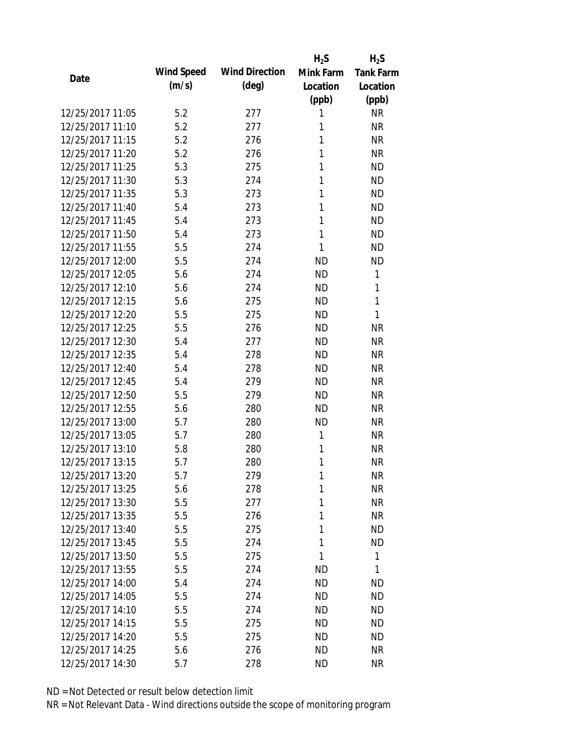|                  |            |                       | $H_2S$    | $H_2S$           |
|------------------|------------|-----------------------|-----------|------------------|
|                  | Wind Speed | <b>Wind Direction</b> | Mink Farm | <b>Tank Farm</b> |
| Date             | (m/s)      | $(\text{deg})$        | Location  | Location         |
|                  |            |                       | (ppb)     | (ppb)            |
| 12/25/2017 11:05 | 5.2        | 277                   | 1         | <b>NR</b>        |
| 12/25/2017 11:10 | 5.2        | 277                   | 1         | <b>NR</b>        |
| 12/25/2017 11:15 | 5.2        | 276                   | 1         | <b>NR</b>        |
| 12/25/2017 11:20 | 5.2        | 276                   | 1         | <b>NR</b>        |
| 12/25/2017 11:25 | 5.3        | 275                   | 1         | <b>ND</b>        |
| 12/25/2017 11:30 | 5.3        | 274                   | 1         | <b>ND</b>        |
| 12/25/2017 11:35 | 5.3        | 273                   | 1         | <b>ND</b>        |
| 12/25/2017 11:40 | 5.4        | 273                   | 1         | <b>ND</b>        |
| 12/25/2017 11:45 | 5.4        | 273                   | 1         | <b>ND</b>        |
| 12/25/2017 11:50 | 5.4        | 273                   | 1         | <b>ND</b>        |
| 12/25/2017 11:55 | 5.5        | 274                   | 1         | <b>ND</b>        |
| 12/25/2017 12:00 | 5.5        | 274                   | <b>ND</b> | <b>ND</b>        |
| 12/25/2017 12:05 | 5.6        | 274                   | <b>ND</b> | 1                |
| 12/25/2017 12:10 | 5.6        | 274                   | <b>ND</b> | 1                |
| 12/25/2017 12:15 | 5.6        | 275                   | <b>ND</b> | 1                |
| 12/25/2017 12:20 | 5.5        | 275                   | <b>ND</b> | 1                |
| 12/25/2017 12:25 | 5.5        | 276                   | <b>ND</b> | <b>NR</b>        |
| 12/25/2017 12:30 | 5.4        | 277                   | <b>ND</b> | <b>NR</b>        |
| 12/25/2017 12:35 | 5.4        | 278                   | <b>ND</b> | <b>NR</b>        |
| 12/25/2017 12:40 | 5.4        | 278                   | <b>ND</b> | <b>NR</b>        |
| 12/25/2017 12:45 | 5.4        | 279                   | <b>ND</b> | <b>NR</b>        |
| 12/25/2017 12:50 | 5.5        | 279                   | <b>ND</b> | <b>NR</b>        |
| 12/25/2017 12:55 | 5.6        | 280                   | <b>ND</b> | <b>NR</b>        |
| 12/25/2017 13:00 | 5.7        | 280                   | <b>ND</b> | <b>NR</b>        |
| 12/25/2017 13:05 | 5.7        | 280                   | 1         | <b>NR</b>        |
| 12/25/2017 13:10 | 5.8        | 280                   | 1         | <b>NR</b>        |
| 12/25/2017 13:15 | 5.7        | 280                   | 1         | <b>NR</b>        |
| 12/25/2017 13:20 | 5.7        | 279                   | 1         | <b>NR</b>        |
| 12/25/2017 13:25 | 5.6        | 278                   | 1         | <b>NR</b>        |
| 12/25/2017 13:30 | 5.5        | 277                   | 1         | <b>NR</b>        |
| 12/25/2017 13:35 | 5.5        | 276                   | 1         | <b>NR</b>        |
| 12/25/2017 13:40 | 5.5        | 275                   | 1         | <b>ND</b>        |
| 12/25/2017 13:45 | 5.5        | 274                   | 1         | <b>ND</b>        |
| 12/25/2017 13:50 | 5.5        | 275                   | 1         | $\mathbf{1}$     |
| 12/25/2017 13:55 | 5.5        | 274                   | ND        | 1                |
| 12/25/2017 14:00 | 5.4        | 274                   | ND        | <b>ND</b>        |
| 12/25/2017 14:05 | 5.5        | 274                   | <b>ND</b> | <b>ND</b>        |
| 12/25/2017 14:10 | 5.5        | 274                   | <b>ND</b> | <b>ND</b>        |
| 12/25/2017 14:15 | 5.5        | 275                   | <b>ND</b> | <b>ND</b>        |
| 12/25/2017 14:20 | 5.5        | 275                   | ND        | <b>ND</b>        |
|                  |            |                       |           |                  |
| 12/25/2017 14:25 | 5.6        | 276                   | <b>ND</b> | <b>NR</b>        |
| 12/25/2017 14:30 | 5.7        | 278                   | <b>ND</b> | <b>NR</b>        |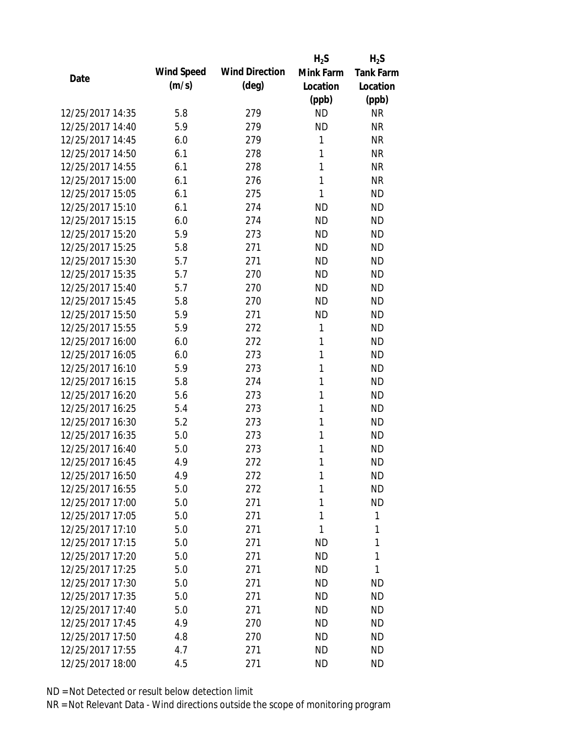|                  |                   |                       | $H_2S$    | $H_2S$           |
|------------------|-------------------|-----------------------|-----------|------------------|
| Date             | <b>Wind Speed</b> | <b>Wind Direction</b> | Mink Farm | <b>Tank Farm</b> |
|                  | (m/s)             | $(\text{deg})$        | Location  | Location         |
|                  |                   |                       | (ppb)     | (ppb)            |
| 12/25/2017 14:35 | 5.8               | 279                   | <b>ND</b> | <b>NR</b>        |
| 12/25/2017 14:40 | 5.9               | 279                   | <b>ND</b> | <b>NR</b>        |
| 12/25/2017 14:45 | 6.0               | 279                   | 1         | <b>NR</b>        |
| 12/25/2017 14:50 | 6.1               | 278                   | 1         | <b>NR</b>        |
| 12/25/2017 14:55 | 6.1               | 278                   | 1         | <b>NR</b>        |
| 12/25/2017 15:00 | 6.1               | 276                   | 1         | <b>NR</b>        |
| 12/25/2017 15:05 | 6.1               | 275                   | 1         | <b>ND</b>        |
| 12/25/2017 15:10 | 6.1               | 274                   | <b>ND</b> | <b>ND</b>        |
| 12/25/2017 15:15 | 6.0               | 274                   | <b>ND</b> | <b>ND</b>        |
| 12/25/2017 15:20 | 5.9               | 273                   | <b>ND</b> | <b>ND</b>        |
| 12/25/2017 15:25 | 5.8               | 271                   | <b>ND</b> | <b>ND</b>        |
| 12/25/2017 15:30 | 5.7               | 271                   | <b>ND</b> | <b>ND</b>        |
| 12/25/2017 15:35 | 5.7               | 270                   | <b>ND</b> | <b>ND</b>        |
| 12/25/2017 15:40 | 5.7               | 270                   | <b>ND</b> | <b>ND</b>        |
| 12/25/2017 15:45 | 5.8               | 270                   | <b>ND</b> | <b>ND</b>        |
| 12/25/2017 15:50 | 5.9               | 271                   | <b>ND</b> | <b>ND</b>        |
| 12/25/2017 15:55 | 5.9               | 272                   | 1         | <b>ND</b>        |
| 12/25/2017 16:00 | 6.0               | 272                   | 1         | <b>ND</b>        |
| 12/25/2017 16:05 | 6.0               | 273                   | 1         | <b>ND</b>        |
| 12/25/2017 16:10 | 5.9               | 273                   | 1         | <b>ND</b>        |
| 12/25/2017 16:15 | 5.8               | 274                   | 1         | <b>ND</b>        |
| 12/25/2017 16:20 | 5.6               | 273                   | 1         | <b>ND</b>        |
| 12/25/2017 16:25 | 5.4               | 273                   | 1         | <b>ND</b>        |
| 12/25/2017 16:30 | 5.2               | 273                   | 1         | <b>ND</b>        |
| 12/25/2017 16:35 | 5.0               | 273                   | 1         | <b>ND</b>        |
| 12/25/2017 16:40 | 5.0               | 273                   | 1         | <b>ND</b>        |
| 12/25/2017 16:45 | 4.9               | 272                   | 1         | <b>ND</b>        |
| 12/25/2017 16:50 | 4.9               | 272                   | 1         | <b>ND</b>        |
| 12/25/2017 16:55 | 5.0               | 272                   | 1         | <b>ND</b>        |
| 12/25/2017 17:00 | 5.0               | 271                   | 1         | <b>ND</b>        |
| 12/25/2017 17:05 | 5.0               | 271                   | 1         | 1                |
| 12/25/2017 17:10 | 5.0               | 271                   | 1         | 1                |
| 12/25/2017 17:15 | 5.0               | 271                   | ND        | 1                |
| 12/25/2017 17:20 | 5.0               | 271                   | <b>ND</b> | 1                |
| 12/25/2017 17:25 | 5.0               | 271                   | <b>ND</b> | 1                |
| 12/25/2017 17:30 | 5.0               | 271                   | <b>ND</b> | <b>ND</b>        |
| 12/25/2017 17:35 | 5.0               | 271                   | ND        | <b>ND</b>        |
| 12/25/2017 17:40 | 5.0               | 271                   | ND        | <b>ND</b>        |
| 12/25/2017 17:45 | 4.9               | 270                   | <b>ND</b> | <b>ND</b>        |
| 12/25/2017 17:50 | 4.8               | 270                   | <b>ND</b> | <b>ND</b>        |
| 12/25/2017 17:55 | 4.7               | 271                   | <b>ND</b> | <b>ND</b>        |
| 12/25/2017 18:00 | 4.5               | 271                   | <b>ND</b> | <b>ND</b>        |
|                  |                   |                       |           |                  |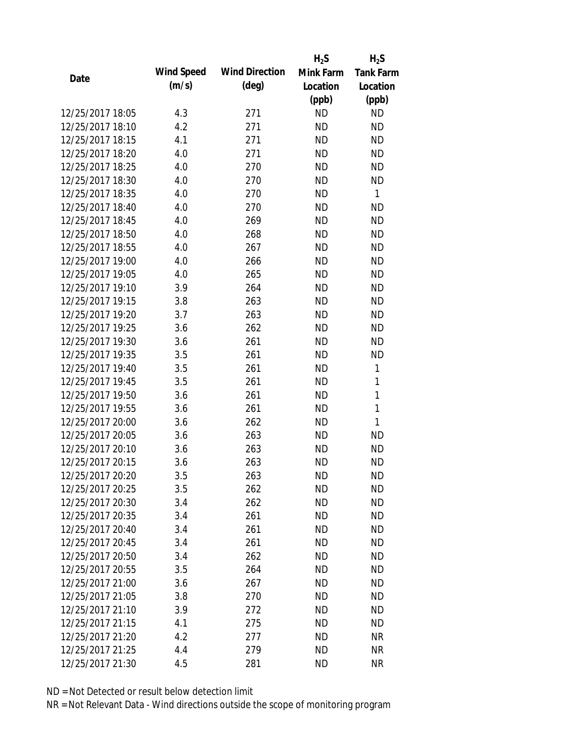|                  |            |                       | $H_2S$    | $H_2S$           |
|------------------|------------|-----------------------|-----------|------------------|
| Date             | Wind Speed | <b>Wind Direction</b> | Mink Farm | <b>Tank Farm</b> |
|                  | (m/s)      | $(\text{deg})$        | Location  | Location         |
|                  |            |                       | (ppb)     | (ppb)            |
| 12/25/2017 18:05 | 4.3        | 271                   | <b>ND</b> | <b>ND</b>        |
| 12/25/2017 18:10 | 4.2        | 271                   | <b>ND</b> | <b>ND</b>        |
| 12/25/2017 18:15 | 4.1        | 271                   | <b>ND</b> | <b>ND</b>        |
| 12/25/2017 18:20 | 4.0        | 271                   | <b>ND</b> | <b>ND</b>        |
| 12/25/2017 18:25 | 4.0        | 270                   | <b>ND</b> | <b>ND</b>        |
| 12/25/2017 18:30 | 4.0        | 270                   | <b>ND</b> | <b>ND</b>        |
| 12/25/2017 18:35 | 4.0        | 270                   | <b>ND</b> | $\mathbf{1}$     |
| 12/25/2017 18:40 | 4.0        | 270                   | <b>ND</b> | <b>ND</b>        |
| 12/25/2017 18:45 | 4.0        | 269                   | <b>ND</b> | <b>ND</b>        |
| 12/25/2017 18:50 | 4.0        | 268                   | <b>ND</b> | <b>ND</b>        |
| 12/25/2017 18:55 | 4.0        | 267                   | <b>ND</b> | <b>ND</b>        |
| 12/25/2017 19:00 | 4.0        | 266                   | <b>ND</b> | <b>ND</b>        |
| 12/25/2017 19:05 | 4.0        | 265                   | <b>ND</b> | <b>ND</b>        |
| 12/25/2017 19:10 | 3.9        | 264                   | <b>ND</b> | <b>ND</b>        |
| 12/25/2017 19:15 | 3.8        | 263                   | <b>ND</b> | <b>ND</b>        |
| 12/25/2017 19:20 | 3.7        | 263                   | <b>ND</b> | <b>ND</b>        |
| 12/25/2017 19:25 | 3.6        | 262                   | <b>ND</b> | <b>ND</b>        |
| 12/25/2017 19:30 | 3.6        | 261                   | <b>ND</b> | <b>ND</b>        |
| 12/25/2017 19:35 | 3.5        | 261                   | <b>ND</b> | <b>ND</b>        |
| 12/25/2017 19:40 | 3.5        | 261                   | <b>ND</b> | 1                |
| 12/25/2017 19:45 | 3.5        | 261                   | <b>ND</b> | 1                |
| 12/25/2017 19:50 | 3.6        | 261                   | <b>ND</b> | $\mathbf{1}$     |
| 12/25/2017 19:55 | 3.6        | 261                   | <b>ND</b> | $\mathbf{1}$     |
| 12/25/2017 20:00 | 3.6        | 262                   | <b>ND</b> | 1                |
| 12/25/2017 20:05 | 3.6        | 263                   | <b>ND</b> | <b>ND</b>        |
| 12/25/2017 20:10 | 3.6        | 263                   | <b>ND</b> | <b>ND</b>        |
| 12/25/2017 20:15 | 3.6        | 263                   | <b>ND</b> | <b>ND</b>        |
| 12/25/2017 20:20 | 3.5        | 263                   | <b>ND</b> | <b>ND</b>        |
| 12/25/2017 20:25 | 3.5        | 262                   | <b>ND</b> | <b>ND</b>        |
| 12/25/2017 20:30 | 3.4        | 262                   | ND        | <b>ND</b>        |
| 12/25/2017 20:35 | 3.4        | 261                   | <b>ND</b> | <b>ND</b>        |
| 12/25/2017 20:40 | 3.4        | 261                   | <b>ND</b> | <b>ND</b>        |
| 12/25/2017 20:45 | 3.4        | 261                   | <b>ND</b> | <b>ND</b>        |
| 12/25/2017 20:50 | 3.4        | 262                   | <b>ND</b> | <b>ND</b>        |
| 12/25/2017 20:55 | 3.5        | 264                   | <b>ND</b> | <b>ND</b>        |
| 12/25/2017 21:00 | 3.6        | 267                   | <b>ND</b> | <b>ND</b>        |
| 12/25/2017 21:05 | 3.8        | 270                   | ND.       | <b>ND</b>        |
| 12/25/2017 21:10 | 3.9        | 272                   | <b>ND</b> | <b>ND</b>        |
| 12/25/2017 21:15 | 4.1        | 275                   | <b>ND</b> | <b>ND</b>        |
| 12/25/2017 21:20 | 4.2        | 277                   | <b>ND</b> | <b>NR</b>        |
| 12/25/2017 21:25 | 4.4        | 279                   | <b>ND</b> | <b>NR</b>        |
| 12/25/2017 21:30 | 4.5        | 281                   | <b>ND</b> | <b>NR</b>        |
|                  |            |                       |           |                  |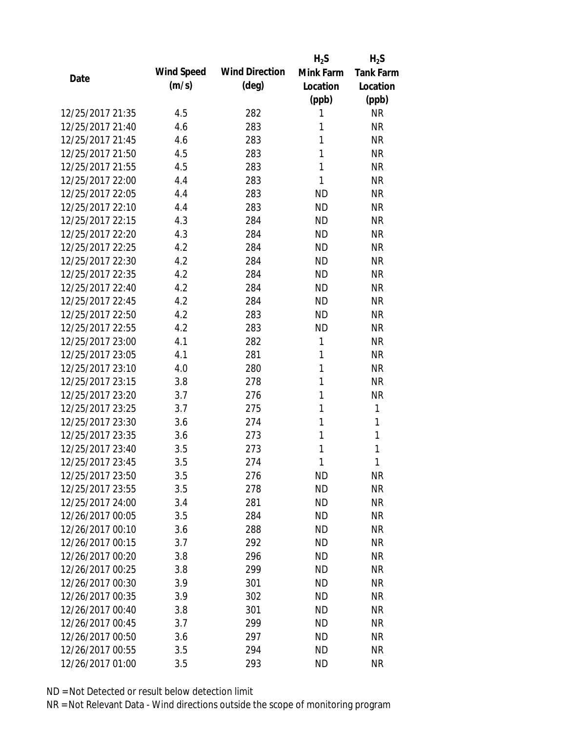|                  |            |                       | $H_2S$    | $H_2S$           |
|------------------|------------|-----------------------|-----------|------------------|
| Date             | Wind Speed | <b>Wind Direction</b> | Mink Farm | <b>Tank Farm</b> |
|                  | (m/s)      | $(\text{deg})$        | Location  | Location         |
|                  |            |                       | (ppb)     | (ppb)            |
| 12/25/2017 21:35 | 4.5        | 282                   | 1         | <b>NR</b>        |
| 12/25/2017 21:40 | 4.6        | 283                   | 1         | <b>NR</b>        |
| 12/25/2017 21:45 | 4.6        | 283                   | 1         | <b>NR</b>        |
| 12/25/2017 21:50 | 4.5        | 283                   | 1         | <b>NR</b>        |
| 12/25/2017 21:55 | 4.5        | 283                   | 1         | <b>NR</b>        |
| 12/25/2017 22:00 | 4.4        | 283                   | 1         | <b>NR</b>        |
| 12/25/2017 22:05 | 4.4        | 283                   | <b>ND</b> | <b>NR</b>        |
| 12/25/2017 22:10 | 4.4        | 283                   | <b>ND</b> | <b>NR</b>        |
| 12/25/2017 22:15 | 4.3        | 284                   | <b>ND</b> | <b>NR</b>        |
| 12/25/2017 22:20 | 4.3        | 284                   | <b>ND</b> | <b>NR</b>        |
| 12/25/2017 22:25 | 4.2        | 284                   | <b>ND</b> | <b>NR</b>        |
| 12/25/2017 22:30 | 4.2        | 284                   | <b>ND</b> | <b>NR</b>        |
| 12/25/2017 22:35 | 4.2        | 284                   | <b>ND</b> | <b>NR</b>        |
| 12/25/2017 22:40 | 4.2        | 284                   | <b>ND</b> | <b>NR</b>        |
| 12/25/2017 22:45 | 4.2        | 284                   | <b>ND</b> | <b>NR</b>        |
| 12/25/2017 22:50 | 4.2        | 283                   | <b>ND</b> | <b>NR</b>        |
| 12/25/2017 22:55 | 4.2        | 283                   | <b>ND</b> | <b>NR</b>        |
| 12/25/2017 23:00 | 4.1        | 282                   | 1         | <b>NR</b>        |
| 12/25/2017 23:05 | 4.1        | 281                   | 1         | <b>NR</b>        |
| 12/25/2017 23:10 | 4.0        | 280                   | 1         | <b>NR</b>        |
| 12/25/2017 23:15 | 3.8        | 278                   | 1         | <b>NR</b>        |
| 12/25/2017 23:20 | 3.7        | 276                   | 1         | <b>NR</b>        |
| 12/25/2017 23:25 | 3.7        | 275                   | 1         | 1                |
| 12/25/2017 23:30 | 3.6        | 274                   | 1         | 1                |
| 12/25/2017 23:35 | 3.6        | 273                   | 1         | 1                |
| 12/25/2017 23:40 | 3.5        | 273                   | 1         | 1                |
| 12/25/2017 23:45 | 3.5        | 274                   | 1         | 1                |
| 12/25/2017 23:50 | 3.5        | 276                   | <b>ND</b> | <b>NR</b>        |
| 12/25/2017 23:55 | 3.5        | 278                   | <b>ND</b> | <b>NR</b>        |
| 12/25/2017 24:00 | 3.4        | 281                   | ND        | <b>NR</b>        |
| 12/26/2017 00:05 | 3.5        | 284                   | <b>ND</b> | <b>NR</b>        |
| 12/26/2017 00:10 | 3.6        | 288                   | <b>ND</b> | <b>NR</b>        |
| 12/26/2017 00:15 | 3.7        | 292                   | <b>ND</b> | <b>NR</b>        |
| 12/26/2017 00:20 | 3.8        | 296                   | <b>ND</b> | <b>NR</b>        |
| 12/26/2017 00:25 | 3.8        | 299                   | <b>ND</b> | <b>NR</b>        |
| 12/26/2017 00:30 | 3.9        | 301                   | <b>ND</b> | <b>NR</b>        |
| 12/26/2017 00:35 | 3.9        | 302                   | ND.       | <b>NR</b>        |
| 12/26/2017 00:40 | 3.8        | 301                   | <b>ND</b> | <b>NR</b>        |
| 12/26/2017 00:45 | 3.7        | 299                   | <b>ND</b> | <b>NR</b>        |
| 12/26/2017 00:50 | 3.6        | 297                   | <b>ND</b> | NR               |
| 12/26/2017 00:55 | 3.5        | 294                   | <b>ND</b> | <b>NR</b>        |
| 12/26/2017 01:00 | 3.5        | 293                   | <b>ND</b> | <b>NR</b>        |
|                  |            |                       |           |                  |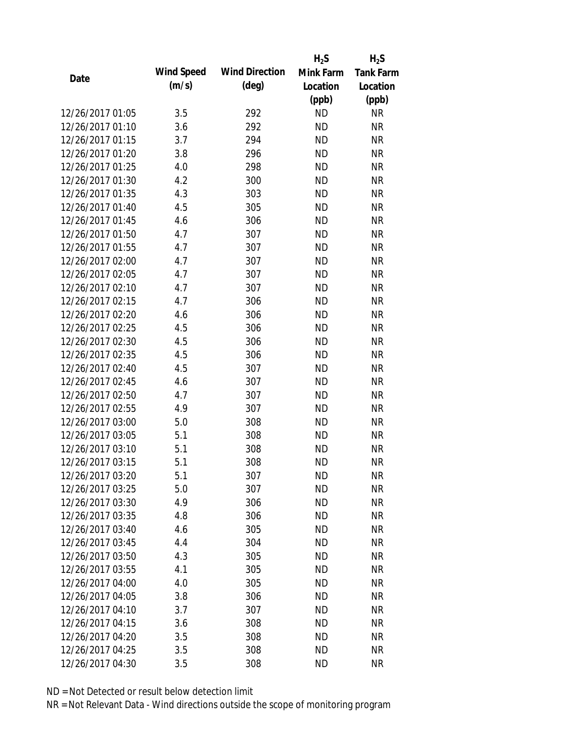|                  |            |                       | $H_2S$    | $H_2S$           |
|------------------|------------|-----------------------|-----------|------------------|
|                  | Wind Speed | <b>Wind Direction</b> | Mink Farm | <b>Tank Farm</b> |
| Date             | (m/s)      | $(\text{deg})$        | Location  | Location         |
|                  |            |                       | (ppb)     | (ppb)            |
| 12/26/2017 01:05 | 3.5        | 292                   | <b>ND</b> | <b>NR</b>        |
| 12/26/2017 01:10 | 3.6        | 292                   | <b>ND</b> | <b>NR</b>        |
| 12/26/2017 01:15 | 3.7        | 294                   | <b>ND</b> | <b>NR</b>        |
| 12/26/2017 01:20 | 3.8        | 296                   | <b>ND</b> | <b>NR</b>        |
| 12/26/2017 01:25 | 4.0        | 298                   | <b>ND</b> | <b>NR</b>        |
| 12/26/2017 01:30 | 4.2        | 300                   | <b>ND</b> | <b>NR</b>        |
| 12/26/2017 01:35 | 4.3        | 303                   | <b>ND</b> | <b>NR</b>        |
| 12/26/2017 01:40 | 4.5        | 305                   | <b>ND</b> | <b>NR</b>        |
| 12/26/2017 01:45 | 4.6        | 306                   | <b>ND</b> | <b>NR</b>        |
| 12/26/2017 01:50 | 4.7        | 307                   | <b>ND</b> | <b>NR</b>        |
| 12/26/2017 01:55 | 4.7        | 307                   | <b>ND</b> | <b>NR</b>        |
| 12/26/2017 02:00 | 4.7        | 307                   | <b>ND</b> | <b>NR</b>        |
| 12/26/2017 02:05 | 4.7        | 307                   | <b>ND</b> | <b>NR</b>        |
| 12/26/2017 02:10 | 4.7        | 307                   | <b>ND</b> | <b>NR</b>        |
| 12/26/2017 02:15 | 4.7        | 306                   | <b>ND</b> | <b>NR</b>        |
| 12/26/2017 02:20 | 4.6        | 306                   | <b>ND</b> | <b>NR</b>        |
| 12/26/2017 02:25 | 4.5        | 306                   | <b>ND</b> | <b>NR</b>        |
| 12/26/2017 02:30 | 4.5        | 306                   | <b>ND</b> | <b>NR</b>        |
| 12/26/2017 02:35 | 4.5        | 306                   | <b>ND</b> | <b>NR</b>        |
| 12/26/2017 02:40 | 4.5        | 307                   | <b>ND</b> | <b>NR</b>        |
| 12/26/2017 02:45 | 4.6        | 307                   | <b>ND</b> | <b>NR</b>        |
| 12/26/2017 02:50 | 4.7        | 307                   | <b>ND</b> | <b>NR</b>        |
| 12/26/2017 02:55 | 4.9        | 307                   | <b>ND</b> | <b>NR</b>        |
| 12/26/2017 03:00 | 5.0        | 308                   | <b>ND</b> | <b>NR</b>        |
| 12/26/2017 03:05 | 5.1        | 308                   | <b>ND</b> | <b>NR</b>        |
| 12/26/2017 03:10 | 5.1        | 308                   | <b>ND</b> | <b>NR</b>        |
| 12/26/2017 03:15 | 5.1        | 308                   | <b>ND</b> | <b>NR</b>        |
| 12/26/2017 03:20 | 5.1        | 307                   | <b>ND</b> | <b>NR</b>        |
| 12/26/2017 03:25 | 5.0        | 307                   | <b>ND</b> | <b>NR</b>        |
| 12/26/2017 03:30 | 4.9        | 306                   | <b>ND</b> | <b>NR</b>        |
| 12/26/2017 03:35 | 4.8        | 306                   | <b>ND</b> | <b>NR</b>        |
| 12/26/2017 03:40 | 4.6        | 305                   | <b>ND</b> | <b>NR</b>        |
| 12/26/2017 03:45 | 4.4        | 304                   | <b>ND</b> | NR               |
| 12/26/2017 03:50 | 4.3        | 305                   | <b>ND</b> | <b>NR</b>        |
| 12/26/2017 03:55 | 4.1        | 305                   | ND        | <b>NR</b>        |
| 12/26/2017 04:00 | 4.0        | 305                   | ND        | <b>NR</b>        |
| 12/26/2017 04:05 | 3.8        | 306                   | ND        | <b>NR</b>        |
| 12/26/2017 04:10 | 3.7        | 307                   | <b>ND</b> | <b>NR</b>        |
| 12/26/2017 04:15 | 3.6        | 308                   | <b>ND</b> | <b>NR</b>        |
| 12/26/2017 04:20 | 3.5        | 308                   | <b>ND</b> | NR               |
| 12/26/2017 04:25 | 3.5        | 308                   | <b>ND</b> | <b>NR</b>        |
| 12/26/2017 04:30 | 3.5        | 308                   | <b>ND</b> | <b>NR</b>        |
|                  |            |                       |           |                  |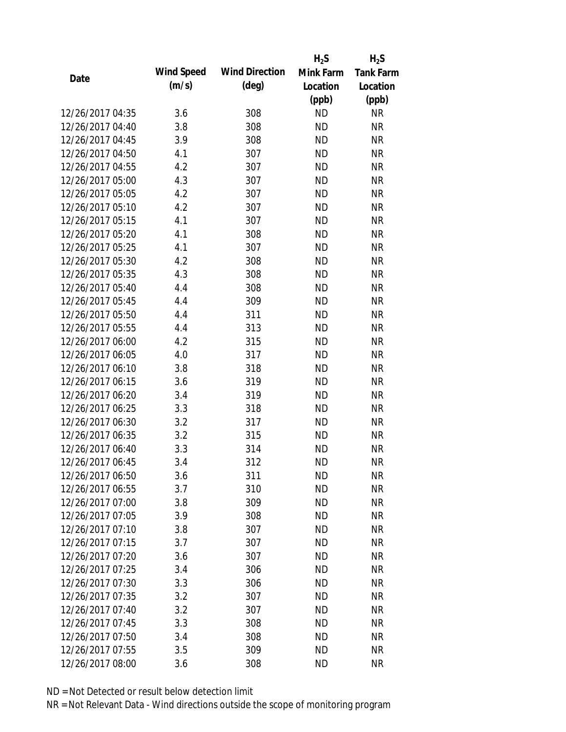|                  |            |                       | $H_2S$    | $H_2S$           |
|------------------|------------|-----------------------|-----------|------------------|
| Date             | Wind Speed | <b>Wind Direction</b> | Mink Farm | <b>Tank Farm</b> |
|                  | (m/s)      | $(\text{deg})$        | Location  | Location         |
|                  |            |                       | (ppb)     | (ppb)            |
| 12/26/2017 04:35 | 3.6        | 308                   | <b>ND</b> | <b>NR</b>        |
| 12/26/2017 04:40 | 3.8        | 308                   | <b>ND</b> | <b>NR</b>        |
| 12/26/2017 04:45 | 3.9        | 308                   | <b>ND</b> | <b>NR</b>        |
| 12/26/2017 04:50 | 4.1        | 307                   | <b>ND</b> | <b>NR</b>        |
| 12/26/2017 04:55 | 4.2        | 307                   | <b>ND</b> | <b>NR</b>        |
| 12/26/2017 05:00 | 4.3        | 307                   | <b>ND</b> | <b>NR</b>        |
| 12/26/2017 05:05 | 4.2        | 307                   | <b>ND</b> | <b>NR</b>        |
| 12/26/2017 05:10 | 4.2        | 307                   | <b>ND</b> | <b>NR</b>        |
| 12/26/2017 05:15 | 4.1        | 307                   | <b>ND</b> | <b>NR</b>        |
| 12/26/2017 05:20 | 4.1        | 308                   | <b>ND</b> | <b>NR</b>        |
| 12/26/2017 05:25 | 4.1        | 307                   | <b>ND</b> | <b>NR</b>        |
| 12/26/2017 05:30 | 4.2        | 308                   | <b>ND</b> | <b>NR</b>        |
| 12/26/2017 05:35 | 4.3        | 308                   | <b>ND</b> | <b>NR</b>        |
| 12/26/2017 05:40 | 4.4        | 308                   | <b>ND</b> | <b>NR</b>        |
| 12/26/2017 05:45 | 4.4        | 309                   | <b>ND</b> | <b>NR</b>        |
| 12/26/2017 05:50 | 4.4        | 311                   | <b>ND</b> | <b>NR</b>        |
| 12/26/2017 05:55 | 4.4        | 313                   | <b>ND</b> | <b>NR</b>        |
| 12/26/2017 06:00 | 4.2        | 315                   | <b>ND</b> | <b>NR</b>        |
| 12/26/2017 06:05 | 4.0        | 317                   | <b>ND</b> | <b>NR</b>        |
| 12/26/2017 06:10 | 3.8        | 318                   | <b>ND</b> | <b>NR</b>        |
| 12/26/2017 06:15 | 3.6        | 319                   | <b>ND</b> | <b>NR</b>        |
| 12/26/2017 06:20 | 3.4        | 319                   | <b>ND</b> | <b>NR</b>        |
| 12/26/2017 06:25 | 3.3        | 318                   | <b>ND</b> | <b>NR</b>        |
| 12/26/2017 06:30 | 3.2        | 317                   | <b>ND</b> | <b>NR</b>        |
| 12/26/2017 06:35 | 3.2        | 315                   | <b>ND</b> | <b>NR</b>        |
| 12/26/2017 06:40 | 3.3        | 314                   | <b>ND</b> | <b>NR</b>        |
| 12/26/2017 06:45 | 3.4        | 312                   | <b>ND</b> | <b>NR</b>        |
| 12/26/2017 06:50 | 3.6        | 311                   | <b>ND</b> | <b>NR</b>        |
| 12/26/2017 06:55 | 3.7        | 310                   | <b>ND</b> | <b>NR</b>        |
| 12/26/2017 07:00 | 3.8        | 309                   | ND        | <b>NR</b>        |
| 12/26/2017 07:05 | 3.9        | 308                   | <b>ND</b> | <b>NR</b>        |
| 12/26/2017 07:10 | 3.8        | 307                   | <b>ND</b> | <b>NR</b>        |
| 12/26/2017 07:15 | 3.7        | 307                   | <b>ND</b> | <b>NR</b>        |
| 12/26/2017 07:20 | 3.6        | 307                   | <b>ND</b> | <b>NR</b>        |
| 12/26/2017 07:25 | 3.4        | 306                   | <b>ND</b> | <b>NR</b>        |
| 12/26/2017 07:30 | 3.3        | 306                   | <b>ND</b> | <b>NR</b>        |
| 12/26/2017 07:35 | 3.2        | 307                   | ND.       | <b>NR</b>        |
| 12/26/2017 07:40 | 3.2        | 307                   | <b>ND</b> | <b>NR</b>        |
| 12/26/2017 07:45 | 3.3        | 308                   | <b>ND</b> | <b>NR</b>        |
| 12/26/2017 07:50 | 3.4        | 308                   | <b>ND</b> | <b>NR</b>        |
| 12/26/2017 07:55 | 3.5        | 309                   | <b>ND</b> | <b>NR</b>        |
| 12/26/2017 08:00 | 3.6        | 308                   | <b>ND</b> | <b>NR</b>        |
|                  |            |                       |           |                  |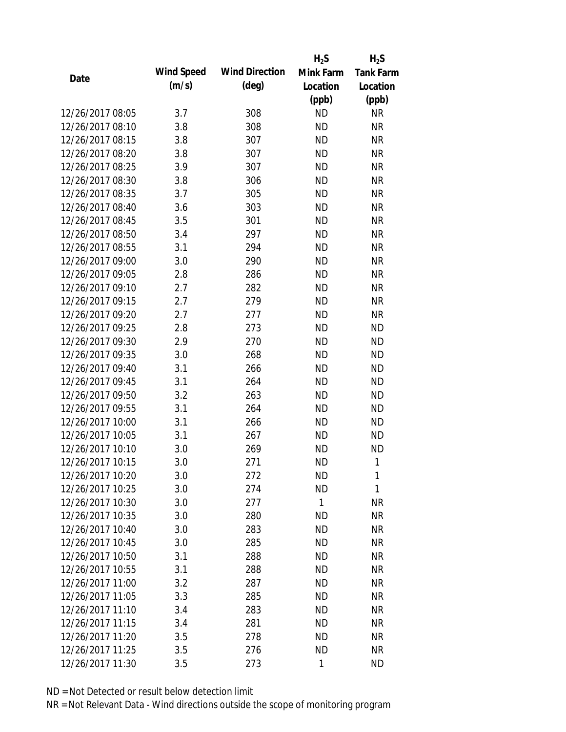|                  |            |                       | $H_2S$       | $H_2S$           |
|------------------|------------|-----------------------|--------------|------------------|
| Date             | Wind Speed | <b>Wind Direction</b> | Mink Farm    | <b>Tank Farm</b> |
|                  | (m/s)      | (deg)                 | Location     | Location         |
|                  |            |                       | (ppb)        | (ppb)            |
| 12/26/2017 08:05 | 3.7        | 308                   | <b>ND</b>    | <b>NR</b>        |
| 12/26/2017 08:10 | 3.8        | 308                   | <b>ND</b>    | <b>NR</b>        |
| 12/26/2017 08:15 | 3.8        | 307                   | <b>ND</b>    | <b>NR</b>        |
| 12/26/2017 08:20 | 3.8        | 307                   | <b>ND</b>    | <b>NR</b>        |
| 12/26/2017 08:25 | 3.9        | 307                   | <b>ND</b>    | <b>NR</b>        |
| 12/26/2017 08:30 | 3.8        | 306                   | <b>ND</b>    | <b>NR</b>        |
| 12/26/2017 08:35 | 3.7        | 305                   | <b>ND</b>    | <b>NR</b>        |
| 12/26/2017 08:40 | 3.6        | 303                   | <b>ND</b>    | <b>NR</b>        |
| 12/26/2017 08:45 | 3.5        | 301                   | <b>ND</b>    | <b>NR</b>        |
| 12/26/2017 08:50 | 3.4        | 297                   | <b>ND</b>    | <b>NR</b>        |
| 12/26/2017 08:55 | 3.1        | 294                   | <b>ND</b>    | <b>NR</b>        |
| 12/26/2017 09:00 | 3.0        | 290                   | <b>ND</b>    | <b>NR</b>        |
| 12/26/2017 09:05 | 2.8        | 286                   | <b>ND</b>    | <b>NR</b>        |
| 12/26/2017 09:10 | 2.7        | 282                   | <b>ND</b>    | <b>NR</b>        |
| 12/26/2017 09:15 | 2.7        | 279                   | <b>ND</b>    | <b>NR</b>        |
| 12/26/2017 09:20 | 2.7        | 277                   | <b>ND</b>    | <b>NR</b>        |
| 12/26/2017 09:25 | 2.8        | 273                   | <b>ND</b>    | <b>ND</b>        |
| 12/26/2017 09:30 | 2.9        | 270                   | <b>ND</b>    | <b>ND</b>        |
| 12/26/2017 09:35 | 3.0        | 268                   | <b>ND</b>    | <b>ND</b>        |
| 12/26/2017 09:40 | 3.1        | 266                   | <b>ND</b>    | <b>ND</b>        |
| 12/26/2017 09:45 | 3.1        | 264                   | <b>ND</b>    | <b>ND</b>        |
| 12/26/2017 09:50 | 3.2        | 263                   | <b>ND</b>    | <b>ND</b>        |
| 12/26/2017 09:55 | 3.1        | 264                   | <b>ND</b>    | <b>ND</b>        |
| 12/26/2017 10:00 | 3.1        | 266                   | <b>ND</b>    | <b>ND</b>        |
| 12/26/2017 10:05 | 3.1        | 267                   | <b>ND</b>    | <b>ND</b>        |
| 12/26/2017 10:10 | 3.0        | 269                   | <b>ND</b>    | <b>ND</b>        |
| 12/26/2017 10:15 | 3.0        | 271                   | <b>ND</b>    | 1                |
| 12/26/2017 10:20 | 3.0        | 272                   | ΝD           | 1                |
| 12/26/2017 10:25 | 3.0        | 274                   | <b>ND</b>    | 1                |
| 12/26/2017 10:30 | 3.0        | 277                   | $\mathbf{1}$ | <b>NR</b>        |
| 12/26/2017 10:35 | 3.0        | 280                   | <b>ND</b>    | <b>NR</b>        |
| 12/26/2017 10:40 | 3.0        | 283                   | <b>ND</b>    | <b>NR</b>        |
| 12/26/2017 10:45 | 3.0        | 285                   | <b>ND</b>    | <b>NR</b>        |
| 12/26/2017 10:50 | 3.1        | 288                   | <b>ND</b>    | <b>NR</b>        |
| 12/26/2017 10:55 | 3.1        | 288                   | ND           | <b>NR</b>        |
| 12/26/2017 11:00 | 3.2        | 287                   | <b>ND</b>    | <b>NR</b>        |
| 12/26/2017 11:05 | 3.3        | 285                   | ND.          | <b>NR</b>        |
| 12/26/2017 11:10 | 3.4        | 283                   | <b>ND</b>    | <b>NR</b>        |
| 12/26/2017 11:15 | 3.4        | 281                   | <b>ND</b>    | <b>NR</b>        |
| 12/26/2017 11:20 | 3.5        | 278                   | <b>ND</b>    | <b>NR</b>        |
| 12/26/2017 11:25 | 3.5        | 276                   | <b>ND</b>    | <b>NR</b>        |
| 12/26/2017 11:30 | 3.5        | 273                   | 1            | <b>ND</b>        |
|                  |            |                       |              |                  |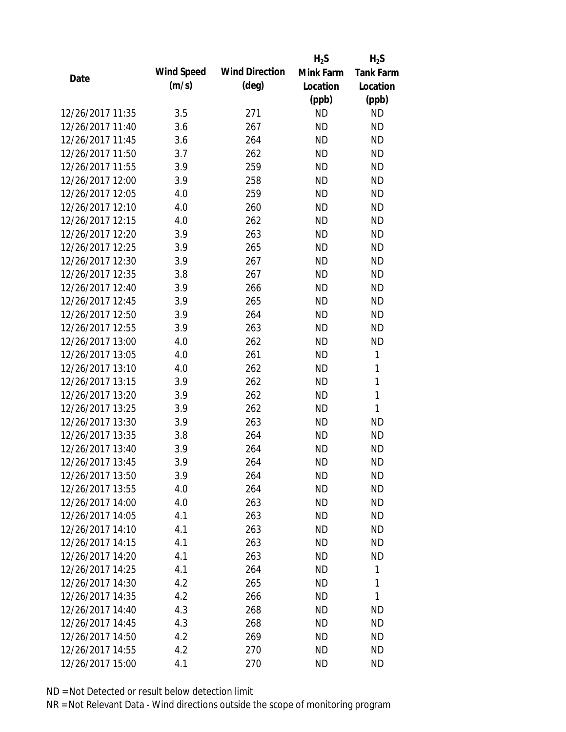|                  |            |                       | $H_2S$    | $H_2S$           |
|------------------|------------|-----------------------|-----------|------------------|
| Date             | Wind Speed | <b>Wind Direction</b> | Mink Farm | <b>Tank Farm</b> |
|                  | (m/s)      | (deg)                 | Location  | Location         |
|                  |            |                       | (ppb)     | (ppb)            |
| 12/26/2017 11:35 | 3.5        | 271                   | <b>ND</b> | <b>ND</b>        |
| 12/26/2017 11:40 | 3.6        | 267                   | <b>ND</b> | <b>ND</b>        |
| 12/26/2017 11:45 | 3.6        | 264                   | <b>ND</b> | <b>ND</b>        |
| 12/26/2017 11:50 | 3.7        | 262                   | <b>ND</b> | <b>ND</b>        |
| 12/26/2017 11:55 | 3.9        | 259                   | <b>ND</b> | <b>ND</b>        |
| 12/26/2017 12:00 | 3.9        | 258                   | <b>ND</b> | <b>ND</b>        |
| 12/26/2017 12:05 | 4.0        | 259                   | <b>ND</b> | <b>ND</b>        |
| 12/26/2017 12:10 | 4.0        | 260                   | <b>ND</b> | <b>ND</b>        |
| 12/26/2017 12:15 | 4.0        | 262                   | <b>ND</b> | <b>ND</b>        |
| 12/26/2017 12:20 | 3.9        | 263                   | <b>ND</b> | <b>ND</b>        |
| 12/26/2017 12:25 | 3.9        | 265                   | <b>ND</b> | <b>ND</b>        |
| 12/26/2017 12:30 | 3.9        | 267                   | <b>ND</b> | <b>ND</b>        |
| 12/26/2017 12:35 | 3.8        | 267                   | <b>ND</b> | <b>ND</b>        |
| 12/26/2017 12:40 | 3.9        | 266                   | <b>ND</b> | <b>ND</b>        |
| 12/26/2017 12:45 | 3.9        | 265                   | <b>ND</b> | <b>ND</b>        |
| 12/26/2017 12:50 | 3.9        | 264                   | <b>ND</b> | <b>ND</b>        |
| 12/26/2017 12:55 | 3.9        | 263                   | <b>ND</b> | <b>ND</b>        |
| 12/26/2017 13:00 | 4.0        | 262                   | <b>ND</b> | <b>ND</b>        |
| 12/26/2017 13:05 | 4.0        | 261                   | <b>ND</b> | 1                |
| 12/26/2017 13:10 | 4.0        | 262                   | <b>ND</b> | 1                |
| 12/26/2017 13:15 | 3.9        | 262                   | <b>ND</b> | $\mathbf{1}$     |
| 12/26/2017 13:20 | 3.9        | 262                   | <b>ND</b> | $\mathbf{1}$     |
| 12/26/2017 13:25 | 3.9        | 262                   | <b>ND</b> | 1                |
| 12/26/2017 13:30 | 3.9        | 263                   | <b>ND</b> | <b>ND</b>        |
| 12/26/2017 13:35 | 3.8        | 264                   | <b>ND</b> | <b>ND</b>        |
| 12/26/2017 13:40 | 3.9        | 264                   | <b>ND</b> | <b>ND</b>        |
| 12/26/2017 13:45 | 3.9        | 264                   | <b>ND</b> | <b>ND</b>        |
| 12/26/2017 13:50 | 3.9        | 264                   | ND        | <b>ND</b>        |
| 12/26/2017 13:55 | 4.0        | 264                   | <b>ND</b> | <b>ND</b>        |
| 12/26/2017 14:00 | 4.0        | 263                   | ND        | ND               |
| 12/26/2017 14:05 | 4.1        | 263                   | <b>ND</b> | <b>ND</b>        |
| 12/26/2017 14:10 | 4.1        | 263                   | <b>ND</b> | ND               |
| 12/26/2017 14:15 | 4.1        | 263                   | <b>ND</b> | <b>ND</b>        |
| 12/26/2017 14:20 | 4.1        | 263                   | <b>ND</b> | <b>ND</b>        |
| 12/26/2017 14:25 | 4.1        | 264                   | <b>ND</b> | 1                |
| 12/26/2017 14:30 | 4.2        | 265                   | <b>ND</b> | 1                |
| 12/26/2017 14:35 | 4.2        | 266                   | ND        | 1                |
| 12/26/2017 14:40 | 4.3        | 268                   | <b>ND</b> | <b>ND</b>        |
| 12/26/2017 14:45 | 4.3        | 268                   | <b>ND</b> | <b>ND</b>        |
| 12/26/2017 14:50 | 4.2        | 269                   | <b>ND</b> | <b>ND</b>        |
| 12/26/2017 14:55 | 4.2        | 270                   | <b>ND</b> | <b>ND</b>        |
| 12/26/2017 15:00 | 4.1        | 270                   | <b>ND</b> | <b>ND</b>        |
|                  |            |                       |           |                  |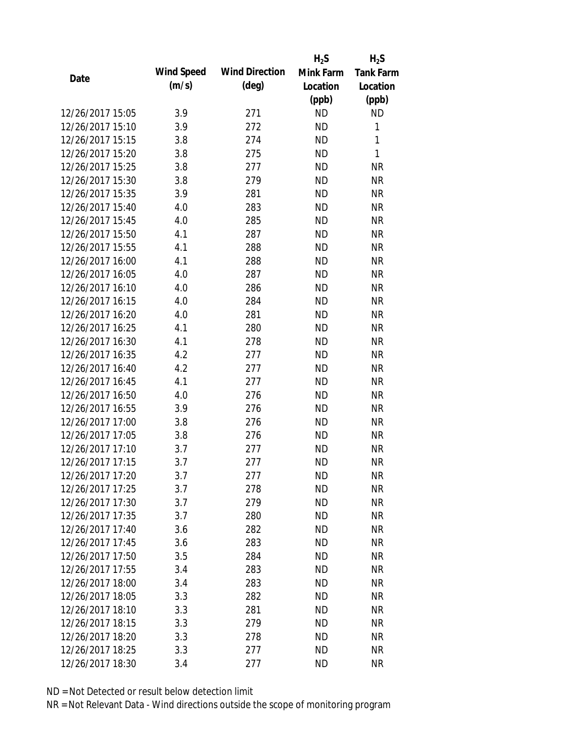|                  |            |                       | $H_2S$    | $H_2S$           |
|------------------|------------|-----------------------|-----------|------------------|
| Date             | Wind Speed | <b>Wind Direction</b> | Mink Farm | <b>Tank Farm</b> |
|                  | (m/s)      | $(\text{deg})$        | Location  | Location         |
|                  |            |                       | (ppb)     | (ppb)            |
| 12/26/2017 15:05 | 3.9        | 271                   | <b>ND</b> | <b>ND</b>        |
| 12/26/2017 15:10 | 3.9        | 272                   | <b>ND</b> | 1                |
| 12/26/2017 15:15 | 3.8        | 274                   | <b>ND</b> | 1                |
| 12/26/2017 15:20 | 3.8        | 275                   | <b>ND</b> | 1                |
| 12/26/2017 15:25 | 3.8        | 277                   | <b>ND</b> | <b>NR</b>        |
| 12/26/2017 15:30 | 3.8        | 279                   | <b>ND</b> | <b>NR</b>        |
| 12/26/2017 15:35 | 3.9        | 281                   | <b>ND</b> | <b>NR</b>        |
| 12/26/2017 15:40 | 4.0        | 283                   | <b>ND</b> | <b>NR</b>        |
| 12/26/2017 15:45 | 4.0        | 285                   | <b>ND</b> | <b>NR</b>        |
| 12/26/2017 15:50 | 4.1        | 287                   | <b>ND</b> | <b>NR</b>        |
| 12/26/2017 15:55 | 4.1        | 288                   | <b>ND</b> | <b>NR</b>        |
| 12/26/2017 16:00 | 4.1        | 288                   | <b>ND</b> | <b>NR</b>        |
| 12/26/2017 16:05 | 4.0        | 287                   | <b>ND</b> | <b>NR</b>        |
| 12/26/2017 16:10 | 4.0        | 286                   | <b>ND</b> | <b>NR</b>        |
| 12/26/2017 16:15 | 4.0        | 284                   | <b>ND</b> | <b>NR</b>        |
| 12/26/2017 16:20 | 4.0        | 281                   | <b>ND</b> | <b>NR</b>        |
| 12/26/2017 16:25 | 4.1        | 280                   | <b>ND</b> | <b>NR</b>        |
| 12/26/2017 16:30 | 4.1        | 278                   | <b>ND</b> | <b>NR</b>        |
| 12/26/2017 16:35 | 4.2        | 277                   | <b>ND</b> | <b>NR</b>        |
| 12/26/2017 16:40 | 4.2        | 277                   | <b>ND</b> | <b>NR</b>        |
| 12/26/2017 16:45 | 4.1        | 277                   | <b>ND</b> | <b>NR</b>        |
| 12/26/2017 16:50 | 4.0        | 276                   | <b>ND</b> | <b>NR</b>        |
| 12/26/2017 16:55 | 3.9        | 276                   | <b>ND</b> | <b>NR</b>        |
| 12/26/2017 17:00 | 3.8        | 276                   | <b>ND</b> | <b>NR</b>        |
| 12/26/2017 17:05 | 3.8        | 276                   | <b>ND</b> | <b>NR</b>        |
| 12/26/2017 17:10 | 3.7        | 277                   | <b>ND</b> | <b>NR</b>        |
| 12/26/2017 17:15 | 3.7        | 277                   | <b>ND</b> | <b>NR</b>        |
| 12/26/2017 17:20 | 3.7        | 277                   | <b>ND</b> | <b>NR</b>        |
| 12/26/2017 17:25 | 3.7        | 278                   | <b>ND</b> | <b>NR</b>        |
| 12/26/2017 17:30 | 3.7        | 279                   | ND        | <b>NR</b>        |
| 12/26/2017 17:35 | 3.7        | 280                   | <b>ND</b> | <b>NR</b>        |
| 12/26/2017 17:40 | 3.6        | 282                   | <b>ND</b> | <b>NR</b>        |
| 12/26/2017 17:45 | 3.6        | 283                   | <b>ND</b> | <b>NR</b>        |
| 12/26/2017 17:50 | 3.5        | 284                   | <b>ND</b> | <b>NR</b>        |
| 12/26/2017 17:55 | 3.4        | 283                   | <b>ND</b> | <b>NR</b>        |
| 12/26/2017 18:00 | 3.4        | 283                   | <b>ND</b> | <b>NR</b>        |
| 12/26/2017 18:05 | 3.3        | 282                   | ND.       | <b>NR</b>        |
| 12/26/2017 18:10 | 3.3        | 281                   | <b>ND</b> | <b>NR</b>        |
| 12/26/2017 18:15 | 3.3        | 279                   | <b>ND</b> | <b>NR</b>        |
| 12/26/2017 18:20 | 3.3        | 278                   | <b>ND</b> | <b>NR</b>        |
| 12/26/2017 18:25 | 3.3        | 277                   | <b>ND</b> | <b>NR</b>        |
| 12/26/2017 18:30 | 3.4        | 277                   | <b>ND</b> | <b>NR</b>        |
|                  |            |                       |           |                  |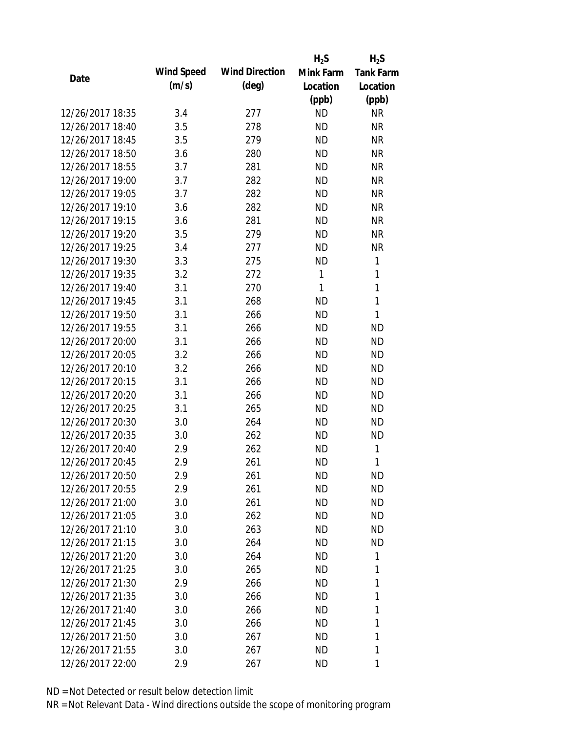|                  |                   |                       | $H_2S$       | $H_2S$           |
|------------------|-------------------|-----------------------|--------------|------------------|
| Date             | <b>Wind Speed</b> | <b>Wind Direction</b> | Mink Farm    | <b>Tank Farm</b> |
|                  | (m/s)             | $(\text{deg})$        | Location     | Location         |
|                  |                   |                       | (ppb)        | (ppb)            |
| 12/26/2017 18:35 | 3.4               | 277                   | <b>ND</b>    | <b>NR</b>        |
| 12/26/2017 18:40 | 3.5               | 278                   | <b>ND</b>    | <b>NR</b>        |
| 12/26/2017 18:45 | 3.5               | 279                   | <b>ND</b>    | <b>NR</b>        |
| 12/26/2017 18:50 | 3.6               | 280                   | <b>ND</b>    | <b>NR</b>        |
| 12/26/2017 18:55 | 3.7               | 281                   | <b>ND</b>    | <b>NR</b>        |
| 12/26/2017 19:00 | 3.7               | 282                   | <b>ND</b>    | <b>NR</b>        |
| 12/26/2017 19:05 | 3.7               | 282                   | <b>ND</b>    | <b>NR</b>        |
| 12/26/2017 19:10 | 3.6               | 282                   | <b>ND</b>    | <b>NR</b>        |
| 12/26/2017 19:15 | 3.6               | 281                   | <b>ND</b>    | <b>NR</b>        |
| 12/26/2017 19:20 | 3.5               | 279                   | <b>ND</b>    | <b>NR</b>        |
| 12/26/2017 19:25 | 3.4               | 277                   | <b>ND</b>    | <b>NR</b>        |
| 12/26/2017 19:30 | 3.3               | 275                   | <b>ND</b>    | 1                |
| 12/26/2017 19:35 | 3.2               | 272                   | $\mathbf{1}$ | $\mathbf{1}$     |
| 12/26/2017 19:40 | 3.1               | 270                   | 1            | 1                |
| 12/26/2017 19:45 | 3.1               | 268                   | <b>ND</b>    | 1                |
| 12/26/2017 19:50 | 3.1               | 266                   | <b>ND</b>    | 1                |
| 12/26/2017 19:55 | 3.1               | 266                   | <b>ND</b>    | <b>ND</b>        |
| 12/26/2017 20:00 | 3.1               | 266                   | <b>ND</b>    | <b>ND</b>        |
| 12/26/2017 20:05 | 3.2               | 266                   | <b>ND</b>    | <b>ND</b>        |
| 12/26/2017 20:10 | 3.2               | 266                   | <b>ND</b>    | <b>ND</b>        |
| 12/26/2017 20:15 | 3.1               | 266                   | <b>ND</b>    | <b>ND</b>        |
| 12/26/2017 20:20 | 3.1               | 266                   | <b>ND</b>    | <b>ND</b>        |
| 12/26/2017 20:25 | 3.1               | 265                   | <b>ND</b>    | <b>ND</b>        |
| 12/26/2017 20:30 | 3.0               | 264                   | <b>ND</b>    | <b>ND</b>        |
| 12/26/2017 20:35 | 3.0               | 262                   | <b>ND</b>    | <b>ND</b>        |
| 12/26/2017 20:40 | 2.9               | 262                   | <b>ND</b>    | 1                |
| 12/26/2017 20:45 | 2.9               | 261                   | <b>ND</b>    | 1                |
| 12/26/2017 20:50 | 2.9               | 261                   | ND           | <b>ND</b>        |
| 12/26/2017 20:55 | 2.9               | 261                   | <b>ND</b>    | <b>ND</b>        |
| 12/26/2017 21:00 | 3.0               | 261                   | <b>ND</b>    | ND               |
| 12/26/2017 21:05 | 3.0               | 262                   | ΝD           | <b>ND</b>        |
| 12/26/2017 21:10 | 3.0               | 263                   | <b>ND</b>    | <b>ND</b>        |
| 12/26/2017 21:15 | 3.0               | 264                   | ΝD           | <b>ND</b>        |
| 12/26/2017 21:20 | 3.0               | 264                   | <b>ND</b>    | 1                |
| 12/26/2017 21:25 | 3.0               | 265                   | ΝD           | 1                |
| 12/26/2017 21:30 | 2.9               | 266                   | ΝD           | 1                |
| 12/26/2017 21:35 | 3.0               | 266                   | ΝD           | 1                |
| 12/26/2017 21:40 |                   |                       |              | 1                |
|                  | 3.0               | 266                   | ΝD           |                  |
| 12/26/2017 21:45 | 3.0               | 266                   | <b>ND</b>    | 1                |
| 12/26/2017 21:50 | 3.0               | 267                   | ND           | 1                |
| 12/26/2017 21:55 | 3.0               | 267                   | ND           | 1                |
| 12/26/2017 22:00 | 2.9               | 267                   | ND           | 1                |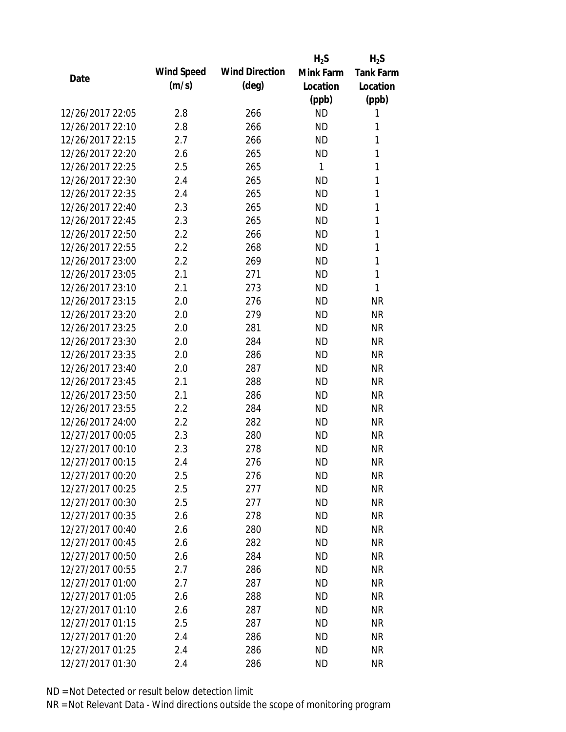|                  |            |                       | $H_2S$    | $H_2S$           |
|------------------|------------|-----------------------|-----------|------------------|
|                  | Wind Speed | <b>Wind Direction</b> | Mink Farm | <b>Tank Farm</b> |
| Date             | (m/s)      | $(\text{deg})$        | Location  | Location         |
|                  |            |                       | (ppb)     | (ppb)            |
| 12/26/2017 22:05 | 2.8        | 266                   | <b>ND</b> | 1                |
| 12/26/2017 22:10 | 2.8        | 266                   | <b>ND</b> | 1                |
| 12/26/2017 22:15 | 2.7        | 266                   | <b>ND</b> | $\mathbf{1}$     |
| 12/26/2017 22:20 | 2.6        | 265                   | <b>ND</b> | 1                |
| 12/26/2017 22:25 | 2.5        | 265                   | 1         | $\mathbf{1}$     |
| 12/26/2017 22:30 | 2.4        | 265                   | <b>ND</b> | 1                |
| 12/26/2017 22:35 | 2.4        | 265                   | <b>ND</b> | 1                |
| 12/26/2017 22:40 | 2.3        | 265                   | <b>ND</b> | 1                |
| 12/26/2017 22:45 | 2.3        | 265                   | <b>ND</b> | 1                |
| 12/26/2017 22:50 | 2.2        | 266                   | <b>ND</b> | 1                |
| 12/26/2017 22:55 | 2.2        | 268                   | <b>ND</b> | 1                |
| 12/26/2017 23:00 | 2.2        | 269                   | <b>ND</b> | 1                |
| 12/26/2017 23:05 | 2.1        | 271                   | <b>ND</b> | 1                |
| 12/26/2017 23:10 | 2.1        | 273                   | <b>ND</b> | 1                |
| 12/26/2017 23:15 | 2.0        | 276                   | <b>ND</b> | <b>NR</b>        |
| 12/26/2017 23:20 | 2.0        | 279                   | <b>ND</b> | <b>NR</b>        |
| 12/26/2017 23:25 | 2.0        | 281                   | <b>ND</b> | <b>NR</b>        |
| 12/26/2017 23:30 | 2.0        | 284                   | <b>ND</b> | <b>NR</b>        |
| 12/26/2017 23:35 | 2.0        | 286                   | <b>ND</b> | <b>NR</b>        |
| 12/26/2017 23:40 | 2.0        | 287                   | <b>ND</b> | <b>NR</b>        |
| 12/26/2017 23:45 | 2.1        | 288                   | <b>ND</b> | <b>NR</b>        |
| 12/26/2017 23:50 | 2.1        | 286                   | <b>ND</b> | <b>NR</b>        |
| 12/26/2017 23:55 | 2.2        | 284                   | <b>ND</b> | <b>NR</b>        |
| 12/26/2017 24:00 | 2.2        | 282                   | <b>ND</b> | <b>NR</b>        |
| 12/27/2017 00:05 | 2.3        | 280                   | <b>ND</b> | <b>NR</b>        |
| 12/27/2017 00:10 | 2.3        | 278                   | <b>ND</b> | <b>NR</b>        |
| 12/27/2017 00:15 | 2.4        | 276                   | <b>ND</b> | <b>NR</b>        |
| 12/27/2017 00:20 | 2.5        | 276                   | <b>ND</b> | <b>NR</b>        |
| 12/27/2017 00:25 | 2.5        | 277                   | <b>ND</b> | <b>NR</b>        |
| 12/27/2017 00:30 | 2.5        | 277                   | ND        | <b>NR</b>        |
| 12/27/2017 00:35 | 2.6        | 278                   | <b>ND</b> | <b>NR</b>        |
| 12/27/2017 00:40 | 2.6        | 280                   | <b>ND</b> | <b>NR</b>        |
| 12/27/2017 00:45 | 2.6        | 282                   | <b>ND</b> | <b>NR</b>        |
| 12/27/2017 00:50 | 2.6        | 284                   | <b>ND</b> | <b>NR</b>        |
| 12/27/2017 00:55 | 2.7        | 286                   | ND        | <b>NR</b>        |
| 12/27/2017 01:00 | 2.7        | 287                   | <b>ND</b> | <b>NR</b>        |
| 12/27/2017 01:05 | 2.6        | 288                   | ND.       | <b>NR</b>        |
| 12/27/2017 01:10 | 2.6        | 287                   | ND        | <b>NR</b>        |
| 12/27/2017 01:15 | 2.5        | 287                   | <b>ND</b> | <b>NR</b>        |
| 12/27/2017 01:20 | 2.4        | 286                   | <b>ND</b> | <b>NR</b>        |
| 12/27/2017 01:25 | 2.4        | 286                   | <b>ND</b> | <b>NR</b>        |
| 12/27/2017 01:30 | 2.4        | 286                   | <b>ND</b> | <b>NR</b>        |
|                  |            |                       |           |                  |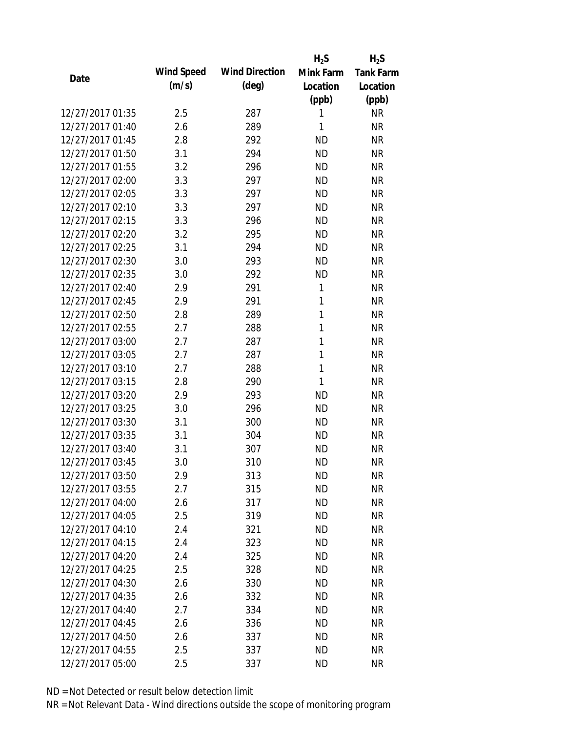|                  |            |                       | $H_2S$       | $H_2S$           |
|------------------|------------|-----------------------|--------------|------------------|
| Date             | Wind Speed | <b>Wind Direction</b> | Mink Farm    | <b>Tank Farm</b> |
|                  | (m/s)      | $(\text{deg})$        | Location     | Location         |
|                  |            |                       | (ppb)        | (ppb)            |
| 12/27/2017 01:35 | 2.5        | 287                   | 1            | <b>NR</b>        |
| 12/27/2017 01:40 | 2.6        | 289                   | 1            | <b>NR</b>        |
| 12/27/2017 01:45 | 2.8        | 292                   | <b>ND</b>    | <b>NR</b>        |
| 12/27/2017 01:50 | 3.1        | 294                   | <b>ND</b>    | <b>NR</b>        |
| 12/27/2017 01:55 | 3.2        | 296                   | <b>ND</b>    | <b>NR</b>        |
| 12/27/2017 02:00 | 3.3        | 297                   | <b>ND</b>    | <b>NR</b>        |
| 12/27/2017 02:05 | 3.3        | 297                   | <b>ND</b>    | <b>NR</b>        |
| 12/27/2017 02:10 | 3.3        | 297                   | <b>ND</b>    | <b>NR</b>        |
| 12/27/2017 02:15 | 3.3        | 296                   | <b>ND</b>    | <b>NR</b>        |
| 12/27/2017 02:20 | 3.2        | 295                   | <b>ND</b>    | <b>NR</b>        |
| 12/27/2017 02:25 | 3.1        | 294                   | <b>ND</b>    | <b>NR</b>        |
| 12/27/2017 02:30 | 3.0        | 293                   | <b>ND</b>    | <b>NR</b>        |
| 12/27/2017 02:35 | 3.0        | 292                   | <b>ND</b>    | <b>NR</b>        |
| 12/27/2017 02:40 | 2.9        | 291                   | 1            | <b>NR</b>        |
| 12/27/2017 02:45 | 2.9        | 291                   | 1            | <b>NR</b>        |
| 12/27/2017 02:50 | 2.8        | 289                   | 1            | <b>NR</b>        |
| 12/27/2017 02:55 | 2.7        | 288                   | 1            | <b>NR</b>        |
| 12/27/2017 03:00 | 2.7        | 287                   | $\mathbf{1}$ | <b>NR</b>        |
| 12/27/2017 03:05 | 2.7        | 287                   | $\mathbf{1}$ | <b>NR</b>        |
| 12/27/2017 03:10 | 2.7        | 288                   | 1            | <b>NR</b>        |
| 12/27/2017 03:15 | 2.8        | 290                   | 1            | <b>NR</b>        |
| 12/27/2017 03:20 | 2.9        | 293                   | <b>ND</b>    | <b>NR</b>        |
| 12/27/2017 03:25 | 3.0        | 296                   | <b>ND</b>    | <b>NR</b>        |
| 12/27/2017 03:30 | 3.1        | 300                   | <b>ND</b>    | <b>NR</b>        |
| 12/27/2017 03:35 | 3.1        | 304                   | <b>ND</b>    | <b>NR</b>        |
| 12/27/2017 03:40 | 3.1        | 307                   | <b>ND</b>    | <b>NR</b>        |
| 12/27/2017 03:45 | 3.0        | 310                   | <b>ND</b>    | <b>NR</b>        |
| 12/27/2017 03:50 | 2.9        | 313                   | <b>ND</b>    | <b>NR</b>        |
| 12/27/2017 03:55 | 2.7        | 315                   | <b>ND</b>    | <b>NR</b>        |
| 12/27/2017 04:00 | 2.6        | 317                   | ND           | <b>NR</b>        |
| 12/27/2017 04:05 | 2.5        | 319                   | <b>ND</b>    | <b>NR</b>        |
| 12/27/2017 04:10 | 2.4        | 321                   | <b>ND</b>    | <b>NR</b>        |
| 12/27/2017 04:15 | 2.4        | 323                   | <b>ND</b>    | <b>NR</b>        |
| 12/27/2017 04:20 | 2.4        | 325                   | <b>ND</b>    | <b>NR</b>        |
| 12/27/2017 04:25 | 2.5        | 328                   | <b>ND</b>    | <b>NR</b>        |
| 12/27/2017 04:30 | 2.6        | 330                   | <b>ND</b>    | <b>NR</b>        |
| 12/27/2017 04:35 | 2.6        | 332                   | ND.          | <b>NR</b>        |
| 12/27/2017 04:40 | 2.7        | 334                   | <b>ND</b>    | <b>NR</b>        |
| 12/27/2017 04:45 | 2.6        | 336                   | <b>ND</b>    | <b>NR</b>        |
| 12/27/2017 04:50 | 2.6        | 337                   | <b>ND</b>    | <b>NR</b>        |
| 12/27/2017 04:55 | 2.5        | 337                   | <b>ND</b>    | <b>NR</b>        |
| 12/27/2017 05:00 | 2.5        | 337                   | <b>ND</b>    | <b>NR</b>        |
|                  |            |                       |              |                  |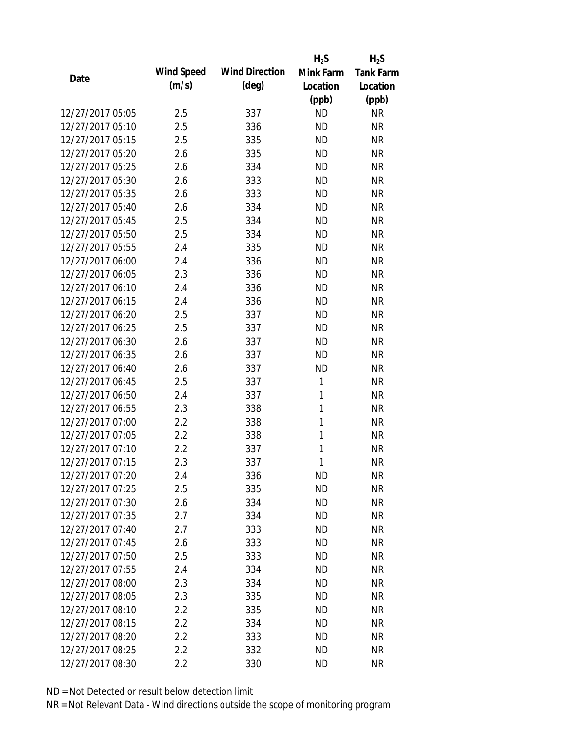|                  |            |                       | $H_2S$       | $H_2S$           |
|------------------|------------|-----------------------|--------------|------------------|
|                  | Wind Speed | <b>Wind Direction</b> | Mink Farm    | <b>Tank Farm</b> |
| Date             | (m/s)      | $(\text{deg})$        | Location     | Location         |
|                  |            |                       | (ppb)        | (ppb)            |
| 12/27/2017 05:05 | 2.5        | 337                   | <b>ND</b>    | <b>NR</b>        |
| 12/27/2017 05:10 | 2.5        | 336                   | <b>ND</b>    | <b>NR</b>        |
| 12/27/2017 05:15 | 2.5        | 335                   | <b>ND</b>    | <b>NR</b>        |
| 12/27/2017 05:20 | 2.6        | 335                   | <b>ND</b>    | <b>NR</b>        |
| 12/27/2017 05:25 | 2.6        | 334                   | <b>ND</b>    | <b>NR</b>        |
| 12/27/2017 05:30 | 2.6        | 333                   | <b>ND</b>    | <b>NR</b>        |
| 12/27/2017 05:35 | 2.6        | 333                   | <b>ND</b>    | <b>NR</b>        |
| 12/27/2017 05:40 | 2.6        | 334                   | <b>ND</b>    | <b>NR</b>        |
| 12/27/2017 05:45 | 2.5        | 334                   | <b>ND</b>    | <b>NR</b>        |
| 12/27/2017 05:50 | 2.5        | 334                   | <b>ND</b>    | <b>NR</b>        |
| 12/27/2017 05:55 | 2.4        | 335                   | <b>ND</b>    | <b>NR</b>        |
| 12/27/2017 06:00 | 2.4        | 336                   | <b>ND</b>    | <b>NR</b>        |
| 12/27/2017 06:05 | 2.3        | 336                   | <b>ND</b>    | <b>NR</b>        |
| 12/27/2017 06:10 | 2.4        | 336                   | <b>ND</b>    | <b>NR</b>        |
| 12/27/2017 06:15 | 2.4        | 336                   | <b>ND</b>    | <b>NR</b>        |
| 12/27/2017 06:20 | 2.5        | 337                   | <b>ND</b>    | <b>NR</b>        |
| 12/27/2017 06:25 | 2.5        | 337                   | <b>ND</b>    | <b>NR</b>        |
| 12/27/2017 06:30 | 2.6        | 337                   | <b>ND</b>    | <b>NR</b>        |
| 12/27/2017 06:35 | 2.6        | 337                   | <b>ND</b>    | <b>NR</b>        |
| 12/27/2017 06:40 | 2.6        | 337                   | <b>ND</b>    | <b>NR</b>        |
| 12/27/2017 06:45 | 2.5        | 337                   | 1            | <b>NR</b>        |
| 12/27/2017 06:50 | 2.4        | 337                   | 1            | <b>NR</b>        |
| 12/27/2017 06:55 | 2.3        | 338                   | $\mathbf{1}$ | <b>NR</b>        |
| 12/27/2017 07:00 | 2.2        | 338                   | $\mathbf{1}$ | <b>NR</b>        |
| 12/27/2017 07:05 | 2.2        | 338                   | 1            | <b>NR</b>        |
| 12/27/2017 07:10 | 2.2        | 337                   | 1            | <b>NR</b>        |
| 12/27/2017 07:15 | 2.3        | 337                   | 1            | <b>NR</b>        |
| 12/27/2017 07:20 | 2.4        | 336                   | <b>ND</b>    | <b>NR</b>        |
| 12/27/2017 07:25 | 2.5        | 335                   | <b>ND</b>    | <b>NR</b>        |
| 12/27/2017 07:30 | 2.6        | 334                   | <b>ND</b>    | <b>NR</b>        |
| 12/27/2017 07:35 | 2.7        | 334                   | <b>ND</b>    | <b>NR</b>        |
| 12/27/2017 07:40 | 2.7        | 333                   | <b>ND</b>    | <b>NR</b>        |
| 12/27/2017 07:45 | 2.6        | 333                   | <b>ND</b>    | <b>NR</b>        |
| 12/27/2017 07:50 | 2.5        | 333                   | <b>ND</b>    | <b>NR</b>        |
| 12/27/2017 07:55 | 2.4        | 334                   | <b>ND</b>    | <b>NR</b>        |
| 12/27/2017 08:00 | 2.3        | 334                   | <b>ND</b>    | <b>NR</b>        |
| 12/27/2017 08:05 | 2.3        | 335                   | <b>ND</b>    | <b>NR</b>        |
| 12/27/2017 08:10 | 2.2        | 335                   | <b>ND</b>    | <b>NR</b>        |
| 12/27/2017 08:15 | 2.2        | 334                   | <b>ND</b>    | <b>NR</b>        |
| 12/27/2017 08:20 | 2.2        | 333                   | <b>ND</b>    | NR               |
| 12/27/2017 08:25 | 2.2        | 332                   | <b>ND</b>    | <b>NR</b>        |
| 12/27/2017 08:30 | 2.2        | 330                   | <b>ND</b>    | <b>NR</b>        |
|                  |            |                       |              |                  |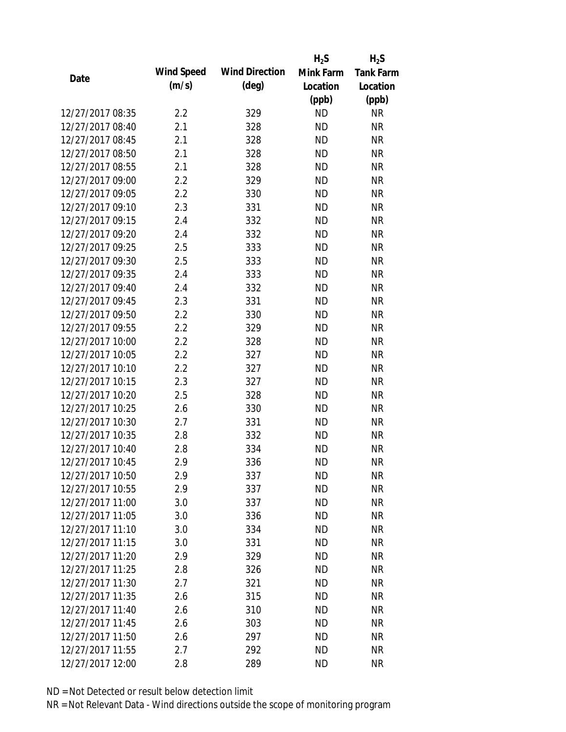|                  |            |                       | $H_2S$    | $H_2S$           |
|------------------|------------|-----------------------|-----------|------------------|
| Date             | Wind Speed | <b>Wind Direction</b> | Mink Farm | <b>Tank Farm</b> |
|                  | (m/s)      | $(\text{deg})$        | Location  | Location         |
|                  |            |                       | (ppb)     | (ppb)            |
| 12/27/2017 08:35 | 2.2        | 329                   | <b>ND</b> | <b>NR</b>        |
| 12/27/2017 08:40 | 2.1        | 328                   | <b>ND</b> | <b>NR</b>        |
| 12/27/2017 08:45 | 2.1        | 328                   | <b>ND</b> | <b>NR</b>        |
| 12/27/2017 08:50 | 2.1        | 328                   | <b>ND</b> | <b>NR</b>        |
| 12/27/2017 08:55 | 2.1        | 328                   | <b>ND</b> | <b>NR</b>        |
| 12/27/2017 09:00 | 2.2        | 329                   | <b>ND</b> | <b>NR</b>        |
| 12/27/2017 09:05 | 2.2        | 330                   | <b>ND</b> | <b>NR</b>        |
| 12/27/2017 09:10 | 2.3        | 331                   | <b>ND</b> | <b>NR</b>        |
| 12/27/2017 09:15 | 2.4        | 332                   | <b>ND</b> | <b>NR</b>        |
| 12/27/2017 09:20 | 2.4        | 332                   | <b>ND</b> | <b>NR</b>        |
| 12/27/2017 09:25 | 2.5        | 333                   | <b>ND</b> | <b>NR</b>        |
| 12/27/2017 09:30 | 2.5        | 333                   | <b>ND</b> | <b>NR</b>        |
| 12/27/2017 09:35 | 2.4        | 333                   | <b>ND</b> | <b>NR</b>        |
| 12/27/2017 09:40 | 2.4        | 332                   | <b>ND</b> | <b>NR</b>        |
| 12/27/2017 09:45 | 2.3        | 331                   | <b>ND</b> | <b>NR</b>        |
| 12/27/2017 09:50 | 2.2        | 330                   | <b>ND</b> | <b>NR</b>        |
| 12/27/2017 09:55 | 2.2        | 329                   | <b>ND</b> | <b>NR</b>        |
| 12/27/2017 10:00 | 2.2        | 328                   | <b>ND</b> | <b>NR</b>        |
| 12/27/2017 10:05 | 2.2        | 327                   | <b>ND</b> | <b>NR</b>        |
| 12/27/2017 10:10 | 2.2        | 327                   | <b>ND</b> | <b>NR</b>        |
| 12/27/2017 10:15 | 2.3        | 327                   | <b>ND</b> | <b>NR</b>        |
| 12/27/2017 10:20 | 2.5        | 328                   | <b>ND</b> | <b>NR</b>        |
| 12/27/2017 10:25 | 2.6        | 330                   | <b>ND</b> | <b>NR</b>        |
| 12/27/2017 10:30 | 2.7        | 331                   | <b>ND</b> | <b>NR</b>        |
| 12/27/2017 10:35 | 2.8        | 332                   | <b>ND</b> | <b>NR</b>        |
| 12/27/2017 10:40 | 2.8        | 334                   | <b>ND</b> | <b>NR</b>        |
| 12/27/2017 10:45 | 2.9        | 336                   | <b>ND</b> | <b>NR</b>        |
| 12/27/2017 10:50 | 2.9        | 337                   | <b>ND</b> | <b>NR</b>        |
| 12/27/2017 10:55 | 2.9        | 337                   | <b>ND</b> | <b>NR</b>        |
| 12/27/2017 11:00 | 3.0        | 337                   | ND        | <b>NR</b>        |
| 12/27/2017 11:05 | 3.0        | 336                   | <b>ND</b> | <b>NR</b>        |
| 12/27/2017 11:10 | 3.0        | 334                   | <b>ND</b> | <b>NR</b>        |
| 12/27/2017 11:15 | 3.0        | 331                   | <b>ND</b> | <b>NR</b>        |
| 12/27/2017 11:20 | 2.9        | 329                   | <b>ND</b> | <b>NR</b>        |
| 12/27/2017 11:25 | 2.8        | 326                   | <b>ND</b> | <b>NR</b>        |
| 12/27/2017 11:30 | 2.7        | 321                   | <b>ND</b> | <b>NR</b>        |
| 12/27/2017 11:35 | 2.6        | 315                   | <b>ND</b> | <b>NR</b>        |
| 12/27/2017 11:40 | 2.6        | 310                   | <b>ND</b> | <b>NR</b>        |
| 12/27/2017 11:45 | 2.6        | 303                   | <b>ND</b> | <b>NR</b>        |
| 12/27/2017 11:50 | 2.6        | 297                   | <b>ND</b> | <b>NR</b>        |
| 12/27/2017 11:55 | 2.7        | 292                   | <b>ND</b> | <b>NR</b>        |
| 12/27/2017 12:00 | 2.8        | 289                   | <b>ND</b> | <b>NR</b>        |
|                  |            |                       |           |                  |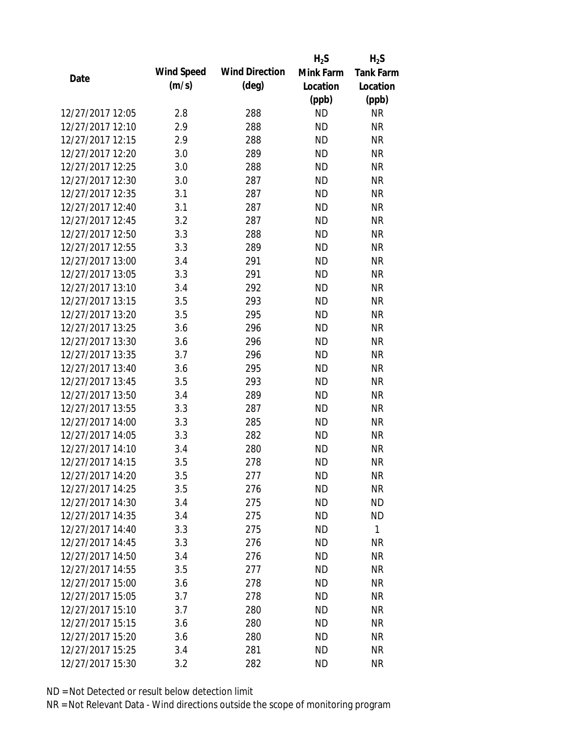|                  |            |                       | $H_2S$    | $H_2S$           |
|------------------|------------|-----------------------|-----------|------------------|
| Date             | Wind Speed | <b>Wind Direction</b> | Mink Farm | <b>Tank Farm</b> |
|                  | (m/s)      | $(\text{deg})$        | Location  | Location         |
|                  |            |                       | (ppb)     | (ppb)            |
| 12/27/2017 12:05 | 2.8        | 288                   | <b>ND</b> | <b>NR</b>        |
| 12/27/2017 12:10 | 2.9        | 288                   | <b>ND</b> | <b>NR</b>        |
| 12/27/2017 12:15 | 2.9        | 288                   | <b>ND</b> | <b>NR</b>        |
| 12/27/2017 12:20 | 3.0        | 289                   | <b>ND</b> | <b>NR</b>        |
| 12/27/2017 12:25 | 3.0        | 288                   | <b>ND</b> | <b>NR</b>        |
| 12/27/2017 12:30 | 3.0        | 287                   | <b>ND</b> | <b>NR</b>        |
| 12/27/2017 12:35 | 3.1        | 287                   | <b>ND</b> | <b>NR</b>        |
| 12/27/2017 12:40 | 3.1        | 287                   | <b>ND</b> | <b>NR</b>        |
| 12/27/2017 12:45 | 3.2        | 287                   | <b>ND</b> | <b>NR</b>        |
| 12/27/2017 12:50 | 3.3        | 288                   | <b>ND</b> | <b>NR</b>        |
| 12/27/2017 12:55 | 3.3        | 289                   | <b>ND</b> | <b>NR</b>        |
| 12/27/2017 13:00 | 3.4        | 291                   | <b>ND</b> | <b>NR</b>        |
| 12/27/2017 13:05 | 3.3        | 291                   | <b>ND</b> | <b>NR</b>        |
| 12/27/2017 13:10 | 3.4        | 292                   | <b>ND</b> | <b>NR</b>        |
| 12/27/2017 13:15 | 3.5        | 293                   | <b>ND</b> | <b>NR</b>        |
| 12/27/2017 13:20 | 3.5        | 295                   | <b>ND</b> | <b>NR</b>        |
| 12/27/2017 13:25 | 3.6        | 296                   | <b>ND</b> | <b>NR</b>        |
| 12/27/2017 13:30 | 3.6        | 296                   | <b>ND</b> | <b>NR</b>        |
| 12/27/2017 13:35 | 3.7        | 296                   | <b>ND</b> | <b>NR</b>        |
| 12/27/2017 13:40 | 3.6        | 295                   | <b>ND</b> | <b>NR</b>        |
| 12/27/2017 13:45 | 3.5        | 293                   | <b>ND</b> | <b>NR</b>        |
| 12/27/2017 13:50 | 3.4        | 289                   | <b>ND</b> | <b>NR</b>        |
| 12/27/2017 13:55 | 3.3        | 287                   | <b>ND</b> | <b>NR</b>        |
| 12/27/2017 14:00 | 3.3        | 285                   | <b>ND</b> | <b>NR</b>        |
| 12/27/2017 14:05 | 3.3        | 282                   | <b>ND</b> | <b>NR</b>        |
| 12/27/2017 14:10 | 3.4        | 280                   | <b>ND</b> | <b>NR</b>        |
| 12/27/2017 14:15 | 3.5        | 278                   | <b>ND</b> | <b>NR</b>        |
| 12/27/2017 14:20 | 3.5        | 277                   | <b>ND</b> | <b>NR</b>        |
| 12/27/2017 14:25 | 3.5        | 276                   | <b>ND</b> | <b>NR</b>        |
| 12/27/2017 14:30 | 3.4        | 275                   | ND        | <b>ND</b>        |
| 12/27/2017 14:35 | 3.4        | 275                   | <b>ND</b> | <b>ND</b>        |
| 12/27/2017 14:40 | 3.3        | 275                   | <b>ND</b> | $\mathbf{1}$     |
| 12/27/2017 14:45 | 3.3        | 276                   | <b>ND</b> | NR               |
| 12/27/2017 14:50 | 3.4        | 276                   | <b>ND</b> | <b>NR</b>        |
| 12/27/2017 14:55 | 3.5        | 277                   | <b>ND</b> | <b>NR</b>        |
| 12/27/2017 15:00 | 3.6        | 278                   | <b>ND</b> | <b>NR</b>        |
| 12/27/2017 15:05 | 3.7        | 278                   | ND.       | <b>NR</b>        |
| 12/27/2017 15:10 | 3.7        | 280                   | <b>ND</b> | <b>NR</b>        |
| 12/27/2017 15:15 | 3.6        | 280                   | <b>ND</b> | <b>NR</b>        |
| 12/27/2017 15:20 | 3.6        | 280                   | <b>ND</b> | <b>NR</b>        |
| 12/27/2017 15:25 | 3.4        | 281                   | <b>ND</b> | <b>NR</b>        |
| 12/27/2017 15:30 | 3.2        | 282                   | <b>ND</b> | <b>NR</b>        |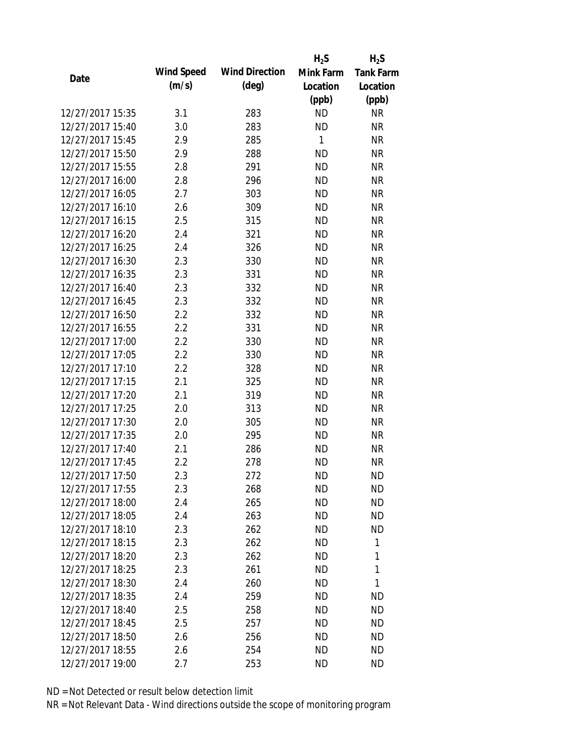|                  |            |                       | $H_2S$    | $H_2S$           |
|------------------|------------|-----------------------|-----------|------------------|
|                  | Wind Speed | <b>Wind Direction</b> | Mink Farm | <b>Tank Farm</b> |
| Date             | (m/s)      | $(\text{deg})$        | Location  | Location         |
|                  |            |                       | (ppb)     | (ppb)            |
| 12/27/2017 15:35 | 3.1        | 283                   | <b>ND</b> | <b>NR</b>        |
| 12/27/2017 15:40 | 3.0        | 283                   | <b>ND</b> | <b>NR</b>        |
| 12/27/2017 15:45 | 2.9        | 285                   | 1         | <b>NR</b>        |
| 12/27/2017 15:50 | 2.9        | 288                   | <b>ND</b> | <b>NR</b>        |
| 12/27/2017 15:55 | 2.8        | 291                   | <b>ND</b> | <b>NR</b>        |
| 12/27/2017 16:00 | 2.8        | 296                   | <b>ND</b> | <b>NR</b>        |
| 12/27/2017 16:05 | 2.7        | 303                   | <b>ND</b> | <b>NR</b>        |
| 12/27/2017 16:10 | 2.6        | 309                   | <b>ND</b> | <b>NR</b>        |
| 12/27/2017 16:15 | 2.5        | 315                   | <b>ND</b> | <b>NR</b>        |
| 12/27/2017 16:20 | 2.4        | 321                   | <b>ND</b> | <b>NR</b>        |
| 12/27/2017 16:25 | 2.4        | 326                   | <b>ND</b> | <b>NR</b>        |
| 12/27/2017 16:30 | 2.3        | 330                   | <b>ND</b> | <b>NR</b>        |
| 12/27/2017 16:35 | 2.3        | 331                   | <b>ND</b> | <b>NR</b>        |
| 12/27/2017 16:40 | 2.3        | 332                   | <b>ND</b> | <b>NR</b>        |
| 12/27/2017 16:45 | 2.3        | 332                   | <b>ND</b> | <b>NR</b>        |
| 12/27/2017 16:50 | 2.2        | 332                   | <b>ND</b> | <b>NR</b>        |
| 12/27/2017 16:55 | 2.2        | 331                   | <b>ND</b> | <b>NR</b>        |
| 12/27/2017 17:00 | 2.2        | 330                   | <b>ND</b> | <b>NR</b>        |
| 12/27/2017 17:05 | 2.2        | 330                   | <b>ND</b> | <b>NR</b>        |
| 12/27/2017 17:10 | 2.2        | 328                   | <b>ND</b> | <b>NR</b>        |
| 12/27/2017 17:15 | 2.1        | 325                   | <b>ND</b> | <b>NR</b>        |
| 12/27/2017 17:20 | 2.1        | 319                   | <b>ND</b> | <b>NR</b>        |
| 12/27/2017 17:25 | 2.0        | 313                   | <b>ND</b> | <b>NR</b>        |
| 12/27/2017 17:30 | 2.0        | 305                   | <b>ND</b> | <b>NR</b>        |
| 12/27/2017 17:35 | 2.0        | 295                   | <b>ND</b> | <b>NR</b>        |
| 12/27/2017 17:40 | 2.1        | 286                   | <b>ND</b> | <b>NR</b>        |
| 12/27/2017 17:45 | 2.2        | 278                   | <b>ND</b> | <b>NR</b>        |
| 12/27/2017 17:50 | 2.3        | 272                   | <b>ND</b> | <b>ND</b>        |
| 12/27/2017 17:55 | 2.3        | 268                   | <b>ND</b> | <b>ND</b>        |
| 12/27/2017 18:00 | 2.4        | 265                   | <b>ND</b> | <b>ND</b>        |
| 12/27/2017 18:05 | 2.4        | 263                   | <b>ND</b> | <b>ND</b>        |
| 12/27/2017 18:10 | 2.3        | 262                   | <b>ND</b> | <b>ND</b>        |
| 12/27/2017 18:15 | 2.3        | 262                   | ND        | 1                |
| 12/27/2017 18:20 | 2.3        | 262                   | <b>ND</b> | 1                |
| 12/27/2017 18:25 | 2.3        | 261                   | <b>ND</b> | 1                |
| 12/27/2017 18:30 | 2.4        | 260                   | ND        | 1                |
| 12/27/2017 18:35 | 2.4        | 259                   | ND.       | <b>ND</b>        |
| 12/27/2017 18:40 | 2.5        | 258                   | <b>ND</b> | <b>ND</b>        |
| 12/27/2017 18:45 | 2.5        | 257                   | <b>ND</b> | <b>ND</b>        |
| 12/27/2017 18:50 | 2.6        | 256                   | ND        | <b>ND</b>        |
| 12/27/2017 18:55 | 2.6        | 254                   | <b>ND</b> | <b>ND</b>        |
| 12/27/2017 19:00 | 2.7        | 253                   | <b>ND</b> | <b>ND</b>        |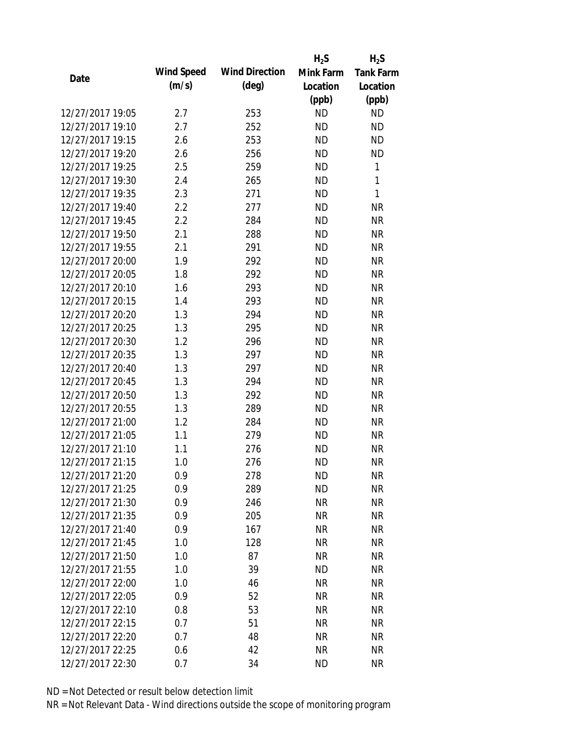|                  |            |                       | $H_2S$    | $H_2S$           |
|------------------|------------|-----------------------|-----------|------------------|
| Date             | Wind Speed | <b>Wind Direction</b> | Mink Farm | <b>Tank Farm</b> |
|                  | (m/s)      | $(\text{deg})$        | Location  | Location         |
|                  |            |                       | (ppb)     | (ppb)            |
| 12/27/2017 19:05 | 2.7        | 253                   | <b>ND</b> | <b>ND</b>        |
| 12/27/2017 19:10 | 2.7        | 252                   | <b>ND</b> | <b>ND</b>        |
| 12/27/2017 19:15 | 2.6        | 253                   | <b>ND</b> | <b>ND</b>        |
| 12/27/2017 19:20 | 2.6        | 256                   | <b>ND</b> | <b>ND</b>        |
| 12/27/2017 19:25 | 2.5        | 259                   | <b>ND</b> | 1                |
| 12/27/2017 19:30 | 2.4        | 265                   | <b>ND</b> | 1                |
| 12/27/2017 19:35 | 2.3        | 271                   | <b>ND</b> | 1                |
| 12/27/2017 19:40 | 2.2        | 277                   | <b>ND</b> | <b>NR</b>        |
| 12/27/2017 19:45 | 2.2        | 284                   | <b>ND</b> | <b>NR</b>        |
| 12/27/2017 19:50 | 2.1        | 288                   | <b>ND</b> | <b>NR</b>        |
| 12/27/2017 19:55 | 2.1        | 291                   | <b>ND</b> | <b>NR</b>        |
| 12/27/2017 20:00 | 1.9        | 292                   | <b>ND</b> | <b>NR</b>        |
| 12/27/2017 20:05 | 1.8        | 292                   | <b>ND</b> | <b>NR</b>        |
| 12/27/2017 20:10 | 1.6        | 293                   | <b>ND</b> | <b>NR</b>        |
| 12/27/2017 20:15 | 1.4        | 293                   | <b>ND</b> | <b>NR</b>        |
| 12/27/2017 20:20 | 1.3        | 294                   | <b>ND</b> | <b>NR</b>        |
| 12/27/2017 20:25 | 1.3        | 295                   | <b>ND</b> | <b>NR</b>        |
| 12/27/2017 20:30 | 1.2        | 296                   | <b>ND</b> | <b>NR</b>        |
| 12/27/2017 20:35 | 1.3        | 297                   | <b>ND</b> | <b>NR</b>        |
| 12/27/2017 20:40 | 1.3        | 297                   | <b>ND</b> | <b>NR</b>        |
| 12/27/2017 20:45 | 1.3        | 294                   | <b>ND</b> | <b>NR</b>        |
| 12/27/2017 20:50 | 1.3        | 292                   | <b>ND</b> | <b>NR</b>        |
| 12/27/2017 20:55 | 1.3        | 289                   | <b>ND</b> | <b>NR</b>        |
| 12/27/2017 21:00 | 1.2        | 284                   | <b>ND</b> | <b>NR</b>        |
| 12/27/2017 21:05 | 1.1        | 279                   | <b>ND</b> | <b>NR</b>        |
| 12/27/2017 21:10 | 1.1        | 276                   | <b>ND</b> | <b>NR</b>        |
| 12/27/2017 21:15 | 1.0        | 276                   | <b>ND</b> | <b>NR</b>        |
| 12/27/2017 21:20 | 0.9        | 278                   | <b>ND</b> | <b>NR</b>        |
| 12/27/2017 21:25 | 0.9        | 289                   | <b>ND</b> | <b>NR</b>        |
| 12/27/2017 21:30 | 0.9        | 246                   | NR        | <b>NR</b>        |
| 12/27/2017 21:35 | 0.9        | 205                   | <b>NR</b> | <b>NR</b>        |
| 12/27/2017 21:40 | 0.9        | 167                   | <b>NR</b> | <b>NR</b>        |
| 12/27/2017 21:45 | 1.0        | 128                   | <b>NR</b> | <b>NR</b>        |
| 12/27/2017 21:50 | 1.0        | 87                    | <b>NR</b> | <b>NR</b>        |
| 12/27/2017 21:55 | 1.0        | 39                    | <b>ND</b> | <b>NR</b>        |
| 12/27/2017 22:00 | 1.0        | 46                    | <b>NR</b> | <b>NR</b>        |
| 12/27/2017 22:05 | 0.9        | 52                    | NR        | <b>NR</b>        |
| 12/27/2017 22:10 | 0.8        | 53                    | NR        | <b>NR</b>        |
| 12/27/2017 22:15 | 0.7        | 51                    | <b>NR</b> | <b>NR</b>        |
| 12/27/2017 22:20 | 0.7        | 48                    | <b>NR</b> | <b>NR</b>        |
| 12/27/2017 22:25 |            | 42                    | <b>NR</b> | <b>NR</b>        |
|                  | 0.6        |                       |           |                  |
| 12/27/2017 22:30 | 0.7        | 34                    | <b>ND</b> | <b>NR</b>        |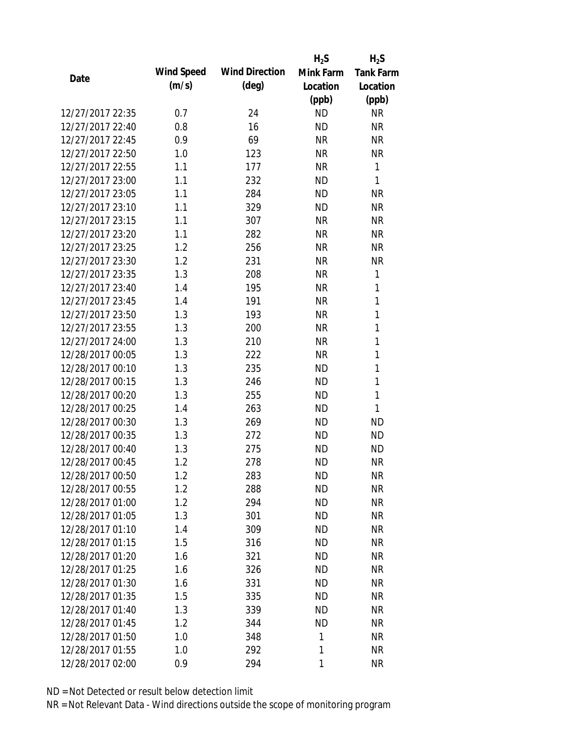|                  |            |                       | $H_2S$    | $H_2S$           |
|------------------|------------|-----------------------|-----------|------------------|
| Date             | Wind Speed | <b>Wind Direction</b> | Mink Farm | <b>Tank Farm</b> |
|                  | (m/s)      | $(\text{deg})$        | Location  | Location         |
|                  |            |                       | (ppb)     | (ppb)            |
| 12/27/2017 22:35 | 0.7        | 24                    | <b>ND</b> | <b>NR</b>        |
| 12/27/2017 22:40 | 0.8        | 16                    | <b>ND</b> | <b>NR</b>        |
| 12/27/2017 22:45 | 0.9        | 69                    | <b>NR</b> | <b>NR</b>        |
| 12/27/2017 22:50 | 1.0        | 123                   | <b>NR</b> | <b>NR</b>        |
| 12/27/2017 22:55 | 1.1        | 177                   | <b>NR</b> | 1                |
| 12/27/2017 23:00 | 1.1        | 232                   | <b>ND</b> | 1                |
| 12/27/2017 23:05 | 1.1        | 284                   | <b>ND</b> | <b>NR</b>        |
| 12/27/2017 23:10 | 1.1        | 329                   | <b>ND</b> | <b>NR</b>        |
| 12/27/2017 23:15 | 1.1        | 307                   | <b>NR</b> | <b>NR</b>        |
| 12/27/2017 23:20 | 1.1        | 282                   | <b>NR</b> | <b>NR</b>        |
| 12/27/2017 23:25 | 1.2        | 256                   | <b>NR</b> | <b>NR</b>        |
| 12/27/2017 23:30 | 1.2        | 231                   | <b>NR</b> | <b>NR</b>        |
| 12/27/2017 23:35 | 1.3        | 208                   | <b>NR</b> | 1                |
| 12/27/2017 23:40 | 1.4        | 195                   | <b>NR</b> | 1                |
| 12/27/2017 23:45 | 1.4        | 191                   | <b>NR</b> | $\mathbf{1}$     |
| 12/27/2017 23:50 | 1.3        | 193                   | <b>NR</b> | 1                |
| 12/27/2017 23:55 | 1.3        | 200                   | <b>NR</b> | 1                |
| 12/27/2017 24:00 | 1.3        | 210                   | <b>NR</b> | 1                |
| 12/28/2017 00:05 | 1.3        | 222                   | <b>NR</b> | $\mathbf{1}$     |
| 12/28/2017 00:10 | 1.3        | 235                   | <b>ND</b> | 1                |
| 12/28/2017 00:15 | 1.3        | 246                   | <b>ND</b> | $\mathbf{1}$     |
| 12/28/2017 00:20 | 1.3        | 255                   | <b>ND</b> | $\mathbf{1}$     |
| 12/28/2017 00:25 | 1.4        | 263                   | <b>ND</b> | 1                |
| 12/28/2017 00:30 | 1.3        | 269                   | <b>ND</b> | <b>ND</b>        |
| 12/28/2017 00:35 | 1.3        | 272                   | <b>ND</b> | <b>ND</b>        |
| 12/28/2017 00:40 | 1.3        | 275                   | <b>ND</b> | <b>ND</b>        |
| 12/28/2017 00:45 | 1.2        | 278                   | <b>ND</b> | <b>NR</b>        |
| 12/28/2017 00:50 | 1.2        | 283                   | <b>ND</b> | <b>NR</b>        |
| 12/28/2017 00:55 | 1.2        | 288                   | <b>ND</b> | <b>NR</b>        |
| 12/28/2017 01:00 | 1.2        | 294                   | <b>ND</b> | <b>NR</b>        |
| 12/28/2017 01:05 | 1.3        | 301                   | <b>ND</b> | <b>NR</b>        |
| 12/28/2017 01:10 | 1.4        | 309                   | <b>ND</b> | <b>NR</b>        |
| 12/28/2017 01:15 | 1.5        | 316                   | <b>ND</b> | <b>NR</b>        |
| 12/28/2017 01:20 | 1.6        | 321                   | <b>ND</b> | <b>NR</b>        |
| 12/28/2017 01:25 | 1.6        | 326                   | <b>ND</b> | <b>NR</b>        |
| 12/28/2017 01:30 | 1.6        | 331                   | <b>ND</b> | <b>NR</b>        |
| 12/28/2017 01:35 | 1.5        | 335                   | <b>ND</b> | <b>NR</b>        |
| 12/28/2017 01:40 | 1.3        | 339                   | <b>ND</b> | <b>NR</b>        |
| 12/28/2017 01:45 | 1.2        | 344                   | <b>ND</b> | <b>NR</b>        |
| 12/28/2017 01:50 | 1.0        | 348                   | 1         | <b>NR</b>        |
| 12/28/2017 01:55 | 1.0        | 292                   | 1         | <b>NR</b>        |
| 12/28/2017 02:00 | 0.9        | 294                   | 1         | <b>NR</b>        |
|                  |            |                       |           |                  |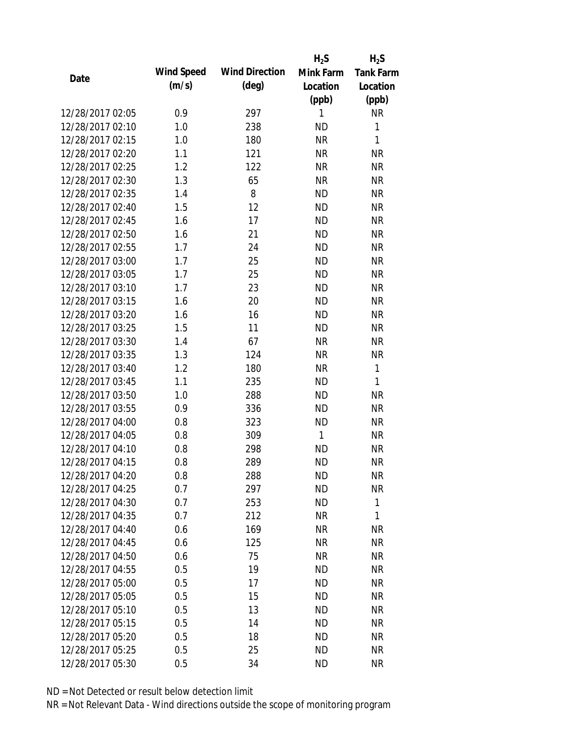|                  |            |                       | $H_2S$       | $H_2S$           |
|------------------|------------|-----------------------|--------------|------------------|
| Date             | Wind Speed | <b>Wind Direction</b> | Mink Farm    | <b>Tank Farm</b> |
|                  | (m/s)      | $(\text{deg})$        | Location     | Location         |
|                  |            |                       | (ppb)        | (ppb)            |
| 12/28/2017 02:05 | 0.9        | 297                   | 1            | NR               |
| 12/28/2017 02:10 | 1.0        | 238                   | <b>ND</b>    | 1                |
| 12/28/2017 02:15 | 1.0        | 180                   | <b>NR</b>    | $\mathbf{1}$     |
| 12/28/2017 02:20 | 1.1        | 121                   | <b>NR</b>    | <b>NR</b>        |
| 12/28/2017 02:25 | 1.2        | 122                   | <b>NR</b>    | <b>NR</b>        |
| 12/28/2017 02:30 | 1.3        | 65                    | <b>NR</b>    | <b>NR</b>        |
| 12/28/2017 02:35 | 1.4        | 8                     | <b>ND</b>    | <b>NR</b>        |
| 12/28/2017 02:40 | 1.5        | 12                    | <b>ND</b>    | <b>NR</b>        |
| 12/28/2017 02:45 | 1.6        | 17                    | <b>ND</b>    | <b>NR</b>        |
| 12/28/2017 02:50 | 1.6        | 21                    | <b>ND</b>    | <b>NR</b>        |
| 12/28/2017 02:55 | 1.7        | 24                    | <b>ND</b>    | <b>NR</b>        |
| 12/28/2017 03:00 | 1.7        | 25                    | <b>ND</b>    | <b>NR</b>        |
| 12/28/2017 03:05 | 1.7        | 25                    | <b>ND</b>    | <b>NR</b>        |
| 12/28/2017 03:10 | 1.7        | 23                    | <b>ND</b>    | <b>NR</b>        |
| 12/28/2017 03:15 | 1.6        | 20                    | <b>ND</b>    | <b>NR</b>        |
| 12/28/2017 03:20 | 1.6        | 16                    | <b>ND</b>    | <b>NR</b>        |
| 12/28/2017 03:25 | 1.5        | 11                    | <b>ND</b>    | <b>NR</b>        |
| 12/28/2017 03:30 | 1.4        | 67                    | <b>NR</b>    | <b>NR</b>        |
| 12/28/2017 03:35 | 1.3        | 124                   | <b>NR</b>    | <b>NR</b>        |
| 12/28/2017 03:40 | 1.2        | 180                   | <b>NR</b>    | $\mathbf{1}$     |
| 12/28/2017 03:45 | 1.1        | 235                   | <b>ND</b>    | 1                |
| 12/28/2017 03:50 | 1.0        | 288                   | <b>ND</b>    | <b>NR</b>        |
| 12/28/2017 03:55 | 0.9        | 336                   | <b>ND</b>    | <b>NR</b>        |
| 12/28/2017 04:00 | 0.8        | 323                   | <b>ND</b>    | <b>NR</b>        |
| 12/28/2017 04:05 | 0.8        | 309                   | $\mathbf{1}$ | <b>NR</b>        |
| 12/28/2017 04:10 | 0.8        | 298                   | <b>ND</b>    | <b>NR</b>        |
| 12/28/2017 04:15 | 0.8        | 289                   | <b>ND</b>    | <b>NR</b>        |
| 12/28/2017 04:20 | 0.8        | 288                   | <b>ND</b>    | <b>NR</b>        |
| 12/28/2017 04:25 | 0.7        | 297                   | <b>ND</b>    | <b>NR</b>        |
| 12/28/2017 04:30 | 0.7        | 253                   | ND           | 1                |
| 12/28/2017 04:35 | 0.7        | 212                   | <b>NR</b>    | 1                |
| 12/28/2017 04:40 | 0.6        | 169                   | <b>NR</b>    | <b>NR</b>        |
| 12/28/2017 04:45 | 0.6        | 125                   | <b>NR</b>    | <b>NR</b>        |
| 12/28/2017 04:50 | 0.6        | 75                    | <b>NR</b>    | <b>NR</b>        |
| 12/28/2017 04:55 | 0.5        | 19                    | <b>ND</b>    | <b>NR</b>        |
| 12/28/2017 05:00 | 0.5        | 17                    | <b>ND</b>    | <b>NR</b>        |
| 12/28/2017 05:05 | 0.5        | 15                    | <b>ND</b>    | <b>NR</b>        |
| 12/28/2017 05:10 | 0.5        | 13                    | <b>ND</b>    | <b>NR</b>        |
| 12/28/2017 05:15 | 0.5        | 14                    | <b>ND</b>    | <b>NR</b>        |
| 12/28/2017 05:20 | 0.5        | 18                    | <b>ND</b>    | NR               |
| 12/28/2017 05:25 | 0.5        | 25                    | <b>ND</b>    | <b>NR</b>        |
| 12/28/2017 05:30 | 0.5        | 34                    | <b>ND</b>    | <b>NR</b>        |
|                  |            |                       |              |                  |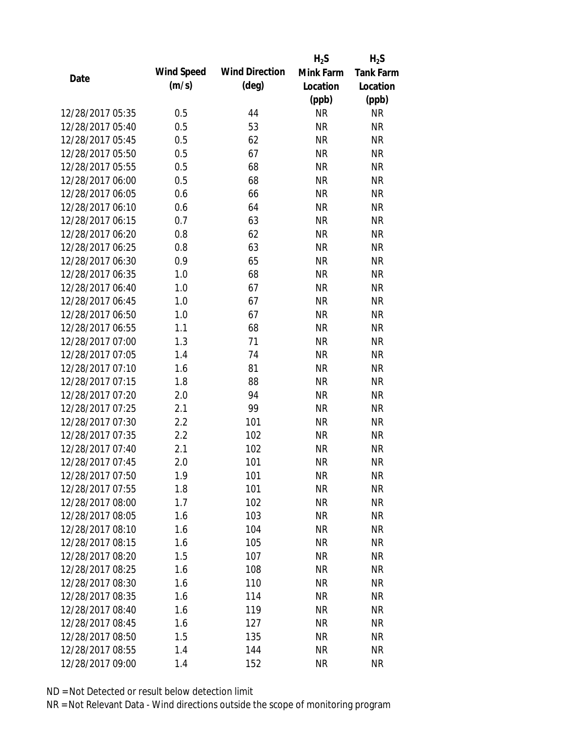|                  |            |                       | $H_2S$    | $H_2S$           |
|------------------|------------|-----------------------|-----------|------------------|
| Date             | Wind Speed | <b>Wind Direction</b> | Mink Farm | <b>Tank Farm</b> |
|                  | (m/s)      | $(\text{deg})$        | Location  | Location         |
|                  |            |                       | (ppb)     | (ppb)            |
| 12/28/2017 05:35 | 0.5        | 44                    | <b>NR</b> | <b>NR</b>        |
| 12/28/2017 05:40 | 0.5        | 53                    | <b>NR</b> | <b>NR</b>        |
| 12/28/2017 05:45 | 0.5        | 62                    | <b>NR</b> | <b>NR</b>        |
| 12/28/2017 05:50 | 0.5        | 67                    | <b>NR</b> | <b>NR</b>        |
| 12/28/2017 05:55 | 0.5        | 68                    | <b>NR</b> | <b>NR</b>        |
| 12/28/2017 06:00 | 0.5        | 68                    | <b>NR</b> | <b>NR</b>        |
| 12/28/2017 06:05 | 0.6        | 66                    | <b>NR</b> | <b>NR</b>        |
| 12/28/2017 06:10 | 0.6        | 64                    | <b>NR</b> | <b>NR</b>        |
| 12/28/2017 06:15 | 0.7        | 63                    | <b>NR</b> | <b>NR</b>        |
| 12/28/2017 06:20 | 0.8        | 62                    | <b>NR</b> | <b>NR</b>        |
| 12/28/2017 06:25 | 0.8        | 63                    | <b>NR</b> | <b>NR</b>        |
| 12/28/2017 06:30 | 0.9        | 65                    | <b>NR</b> | <b>NR</b>        |
| 12/28/2017 06:35 | 1.0        | 68                    | <b>NR</b> | <b>NR</b>        |
| 12/28/2017 06:40 | 1.0        | 67                    | <b>NR</b> | <b>NR</b>        |
| 12/28/2017 06:45 | 1.0        | 67                    | <b>NR</b> | <b>NR</b>        |
| 12/28/2017 06:50 | 1.0        | 67                    | <b>NR</b> | <b>NR</b>        |
| 12/28/2017 06:55 | 1.1        | 68                    | <b>NR</b> | <b>NR</b>        |
| 12/28/2017 07:00 | 1.3        | 71                    | <b>NR</b> | <b>NR</b>        |
| 12/28/2017 07:05 | 1.4        | 74                    | <b>NR</b> | <b>NR</b>        |
| 12/28/2017 07:10 | 1.6        | 81                    | <b>NR</b> | <b>NR</b>        |
| 12/28/2017 07:15 | 1.8        | 88                    | <b>NR</b> | <b>NR</b>        |
| 12/28/2017 07:20 | 2.0        | 94                    | <b>NR</b> | <b>NR</b>        |
| 12/28/2017 07:25 | 2.1        | 99                    | <b>NR</b> | <b>NR</b>        |
| 12/28/2017 07:30 | 2.2        | 101                   | <b>NR</b> | <b>NR</b>        |
| 12/28/2017 07:35 | 2.2        | 102                   | <b>NR</b> | <b>NR</b>        |
| 12/28/2017 07:40 | 2.1        | 102                   | <b>NR</b> | <b>NR</b>        |
| 12/28/2017 07:45 | 2.0        | 101                   | <b>NR</b> | <b>NR</b>        |
| 12/28/2017 07:50 | 1.9        | 101                   | NR        | <b>NR</b>        |
| 12/28/2017 07:55 | 1.8        | 101                   | <b>NR</b> | <b>NR</b>        |
| 12/28/2017 08:00 | 1.7        | 102                   | <b>NR</b> | <b>NR</b>        |
| 12/28/2017 08:05 | 1.6        | 103                   | <b>NR</b> | <b>NR</b>        |
| 12/28/2017 08:10 | 1.6        | 104                   | <b>NR</b> | <b>NR</b>        |
| 12/28/2017 08:15 | 1.6        | 105                   | <b>NR</b> | <b>NR</b>        |
| 12/28/2017 08:20 | 1.5        | 107                   | <b>NR</b> | <b>NR</b>        |
| 12/28/2017 08:25 | 1.6        | 108                   | <b>NR</b> | <b>NR</b>        |
| 12/28/2017 08:30 | 1.6        | 110                   | <b>NR</b> | <b>NR</b>        |
| 12/28/2017 08:35 | 1.6        | 114                   | NR        | <b>NR</b>        |
| 12/28/2017 08:40 | 1.6        | 119                   | NR        | <b>NR</b>        |
| 12/28/2017 08:45 | 1.6        | 127                   | <b>NR</b> | <b>NR</b>        |
| 12/28/2017 08:50 | 1.5        | 135                   | <b>NR</b> | <b>NR</b>        |
| 12/28/2017 08:55 | 1.4        | 144                   | <b>NR</b> | <b>NR</b>        |
| 12/28/2017 09:00 | 1.4        | 152                   | <b>NR</b> | <b>NR</b>        |
|                  |            |                       |           |                  |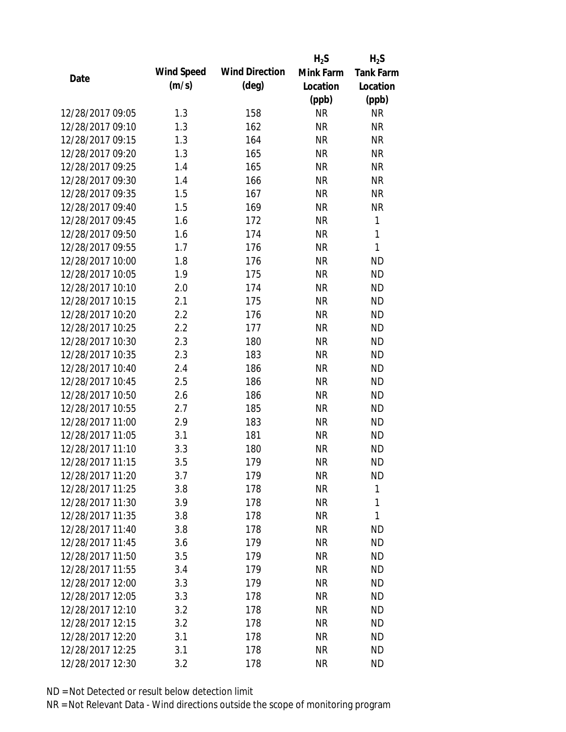|                  |            |                       | $H_2S$    | $H_2S$           |
|------------------|------------|-----------------------|-----------|------------------|
|                  | Wind Speed | <b>Wind Direction</b> | Mink Farm | <b>Tank Farm</b> |
| Date             | (m/s)      | $(\text{deg})$        | Location  | Location         |
|                  |            |                       | (ppb)     | (ppb)            |
| 12/28/2017 09:05 | 1.3        | 158                   | <b>NR</b> | <b>NR</b>        |
| 12/28/2017 09:10 | 1.3        | 162                   | <b>NR</b> | <b>NR</b>        |
| 12/28/2017 09:15 | 1.3        | 164                   | <b>NR</b> | <b>NR</b>        |
| 12/28/2017 09:20 | 1.3        | 165                   | <b>NR</b> | <b>NR</b>        |
| 12/28/2017 09:25 | 1.4        | 165                   | <b>NR</b> | <b>NR</b>        |
| 12/28/2017 09:30 | 1.4        | 166                   | <b>NR</b> | <b>NR</b>        |
| 12/28/2017 09:35 | 1.5        | 167                   | <b>NR</b> | <b>NR</b>        |
| 12/28/2017 09:40 | 1.5        | 169                   | <b>NR</b> | <b>NR</b>        |
| 12/28/2017 09:45 | 1.6        | 172                   | <b>NR</b> | 1                |
| 12/28/2017 09:50 | 1.6        | 174                   | <b>NR</b> | $\mathbf{1}$     |
| 12/28/2017 09:55 | 1.7        | 176                   | <b>NR</b> | 1                |
| 12/28/2017 10:00 | 1.8        | 176                   | <b>NR</b> | <b>ND</b>        |
| 12/28/2017 10:05 | 1.9        | 175                   | <b>NR</b> | <b>ND</b>        |
| 12/28/2017 10:10 | 2.0        | 174                   | <b>NR</b> | <b>ND</b>        |
| 12/28/2017 10:15 | 2.1        | 175                   | <b>NR</b> | <b>ND</b>        |
| 12/28/2017 10:20 | 2.2        | 176                   | <b>NR</b> | <b>ND</b>        |
| 12/28/2017 10:25 | 2.2        | 177                   | <b>NR</b> | <b>ND</b>        |
| 12/28/2017 10:30 | 2.3        | 180                   | <b>NR</b> | <b>ND</b>        |
| 12/28/2017 10:35 | 2.3        | 183                   | <b>NR</b> | <b>ND</b>        |
| 12/28/2017 10:40 | 2.4        | 186                   | <b>NR</b> | <b>ND</b>        |
| 12/28/2017 10:45 | 2.5        | 186                   | <b>NR</b> | <b>ND</b>        |
| 12/28/2017 10:50 | 2.6        | 186                   | <b>NR</b> | <b>ND</b>        |
| 12/28/2017 10:55 | 2.7        | 185                   | <b>NR</b> | <b>ND</b>        |
| 12/28/2017 11:00 | 2.9        | 183                   | <b>NR</b> | <b>ND</b>        |
| 12/28/2017 11:05 | 3.1        | 181                   | <b>NR</b> | <b>ND</b>        |
| 12/28/2017 11:10 | 3.3        | 180                   | <b>NR</b> | <b>ND</b>        |
| 12/28/2017 11:15 | 3.5        | 179                   | <b>NR</b> | <b>ND</b>        |
| 12/28/2017 11:20 | 3.7        | 179                   | <b>NR</b> | <b>ND</b>        |
| 12/28/2017 11:25 | 3.8        | 178                   | <b>NR</b> | 1                |
| 12/28/2017 11:30 | 3.9        | 178                   | <b>NR</b> | 1                |
| 12/28/2017 11:35 | 3.8        | 178                   | <b>NR</b> | 1                |
| 12/28/2017 11:40 | 3.8        | 178                   | <b>NR</b> | <b>ND</b>        |
| 12/28/2017 11:45 | 3.6        | 179                   | <b>NR</b> | <b>ND</b>        |
| 12/28/2017 11:50 | 3.5        | 179                   | <b>NR</b> | <b>ND</b>        |
| 12/28/2017 11:55 | 3.4        | 179                   | <b>NR</b> | <b>ND</b>        |
| 12/28/2017 12:00 | 3.3        | 179                   | <b>NR</b> | <b>ND</b>        |
| 12/28/2017 12:05 | 3.3        | 178                   | <b>NR</b> | <b>ND</b>        |
| 12/28/2017 12:10 | 3.2        | 178                   | NR        | <b>ND</b>        |
| 12/28/2017 12:15 | 3.2        | 178                   | <b>NR</b> | <b>ND</b>        |
| 12/28/2017 12:20 | 3.1        | 178                   | <b>NR</b> | <b>ND</b>        |
| 12/28/2017 12:25 | 3.1        | 178                   | <b>NR</b> | <b>ND</b>        |
|                  |            |                       |           |                  |
| 12/28/2017 12:30 | 3.2        | 178                   | <b>NR</b> | <b>ND</b>        |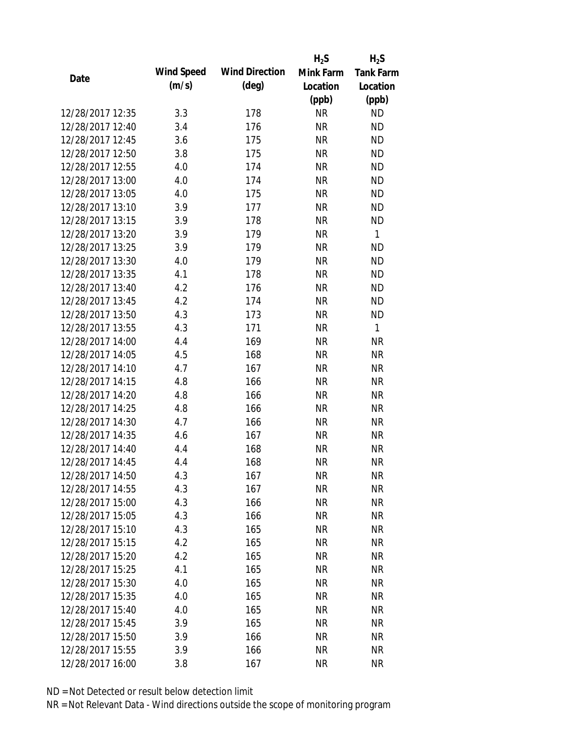|                  |            |                       | $H_2S$    | $H_2S$           |
|------------------|------------|-----------------------|-----------|------------------|
| Date             | Wind Speed | <b>Wind Direction</b> | Mink Farm | <b>Tank Farm</b> |
|                  | (m/s)      | $(\text{deg})$        | Location  | Location         |
|                  |            |                       | (ppb)     | (ppb)            |
| 12/28/2017 12:35 | 3.3        | 178                   | <b>NR</b> | <b>ND</b>        |
| 12/28/2017 12:40 | 3.4        | 176                   | <b>NR</b> | <b>ND</b>        |
| 12/28/2017 12:45 | 3.6        | 175                   | <b>NR</b> | <b>ND</b>        |
| 12/28/2017 12:50 | 3.8        | 175                   | <b>NR</b> | <b>ND</b>        |
| 12/28/2017 12:55 | 4.0        | 174                   | <b>NR</b> | <b>ND</b>        |
| 12/28/2017 13:00 | 4.0        | 174                   | <b>NR</b> | <b>ND</b>        |
| 12/28/2017 13:05 | 4.0        | 175                   | <b>NR</b> | <b>ND</b>        |
| 12/28/2017 13:10 | 3.9        | 177                   | <b>NR</b> | <b>ND</b>        |
| 12/28/2017 13:15 | 3.9        | 178                   | <b>NR</b> | <b>ND</b>        |
| 12/28/2017 13:20 | 3.9        | 179                   | <b>NR</b> | $\mathbf{1}$     |
| 12/28/2017 13:25 | 3.9        | 179                   | <b>NR</b> | <b>ND</b>        |
| 12/28/2017 13:30 | 4.0        | 179                   | <b>NR</b> | <b>ND</b>        |
| 12/28/2017 13:35 | 4.1        | 178                   | <b>NR</b> | <b>ND</b>        |
| 12/28/2017 13:40 | 4.2        | 176                   | <b>NR</b> | <b>ND</b>        |
| 12/28/2017 13:45 | 4.2        | 174                   | <b>NR</b> | <b>ND</b>        |
| 12/28/2017 13:50 | 4.3        | 173                   | <b>NR</b> | <b>ND</b>        |
| 12/28/2017 13:55 | 4.3        | 171                   | <b>NR</b> | $\mathbf{1}$     |
| 12/28/2017 14:00 | 4.4        | 169                   | <b>NR</b> | <b>NR</b>        |
| 12/28/2017 14:05 | 4.5        | 168                   | <b>NR</b> | <b>NR</b>        |
| 12/28/2017 14:10 | 4.7        | 167                   | <b>NR</b> | <b>NR</b>        |
| 12/28/2017 14:15 | 4.8        | 166                   | <b>NR</b> | <b>NR</b>        |
| 12/28/2017 14:20 | 4.8        | 166                   | <b>NR</b> | <b>NR</b>        |
| 12/28/2017 14:25 | 4.8        | 166                   | <b>NR</b> | <b>NR</b>        |
| 12/28/2017 14:30 | 4.7        | 166                   | <b>NR</b> | <b>NR</b>        |
| 12/28/2017 14:35 | 4.6        | 167                   | <b>NR</b> | <b>NR</b>        |
| 12/28/2017 14:40 | 4.4        | 168                   | <b>NR</b> | <b>NR</b>        |
| 12/28/2017 14:45 | 4.4        | 168                   | <b>NR</b> | <b>NR</b>        |
| 12/28/2017 14:50 | 4.3        | 167                   | NR        | <b>NR</b>        |
| 12/28/2017 14:55 | 4.3        | 167                   | <b>NR</b> | <b>NR</b>        |
| 12/28/2017 15:00 | 4.3        | 166                   | NR        | <b>NR</b>        |
| 12/28/2017 15:05 | 4.3        | 166                   | <b>NR</b> | <b>NR</b>        |
| 12/28/2017 15:10 | 4.3        | 165                   | <b>NR</b> | <b>NR</b>        |
| 12/28/2017 15:15 | 4.2        | 165                   | <b>NR</b> | <b>NR</b>        |
| 12/28/2017 15:20 | 4.2        | 165                   | <b>NR</b> | <b>NR</b>        |
| 12/28/2017 15:25 | 4.1        | 165                   | <b>NR</b> | <b>NR</b>        |
| 12/28/2017 15:30 | 4.0        | 165                   | <b>NR</b> | <b>NR</b>        |
| 12/28/2017 15:35 | 4.0        | 165                   | NR        | <b>NR</b>        |
| 12/28/2017 15:40 | 4.0        | 165                   | NR        | <b>NR</b>        |
| 12/28/2017 15:45 | 3.9        | 165                   | <b>NR</b> | <b>NR</b>        |
| 12/28/2017 15:50 | 3.9        | 166                   | <b>NR</b> | <b>NR</b>        |
| 12/28/2017 15:55 | 3.9        | 166                   | <b>NR</b> | <b>NR</b>        |
| 12/28/2017 16:00 | 3.8        | 167                   | <b>NR</b> | <b>NR</b>        |
|                  |            |                       |           |                  |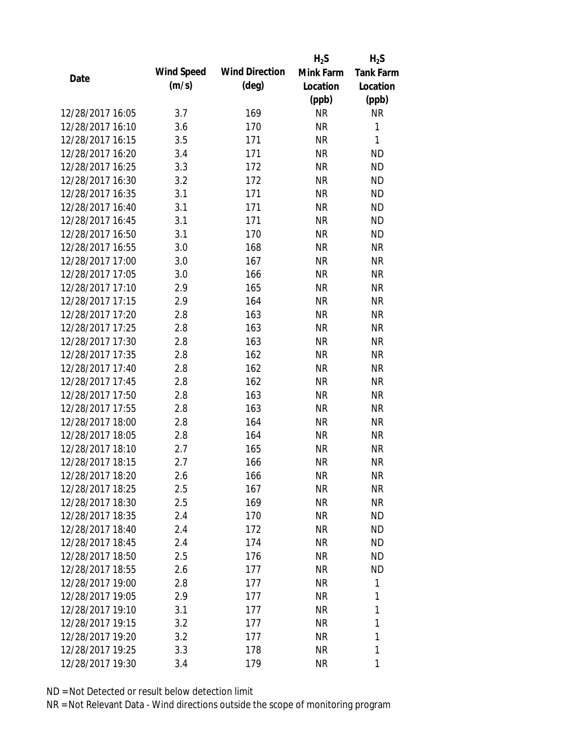|                  |            |                       | $H_2S$    | $H_2S$           |
|------------------|------------|-----------------------|-----------|------------------|
| Date             | Wind Speed | <b>Wind Direction</b> | Mink Farm | <b>Tank Farm</b> |
|                  | (m/s)      | $(\text{deg})$        | Location  | Location         |
|                  |            |                       | (ppb)     | (ppb)            |
| 12/28/2017 16:05 | 3.7        | 169                   | <b>NR</b> | <b>NR</b>        |
| 12/28/2017 16:10 | 3.6        | 170                   | <b>NR</b> | 1                |
| 12/28/2017 16:15 | 3.5        | 171                   | <b>NR</b> | $\mathbf{1}$     |
| 12/28/2017 16:20 | 3.4        | 171                   | <b>NR</b> | <b>ND</b>        |
| 12/28/2017 16:25 | 3.3        | 172                   | <b>NR</b> | <b>ND</b>        |
| 12/28/2017 16:30 | 3.2        | 172                   | <b>NR</b> | <b>ND</b>        |
| 12/28/2017 16:35 | 3.1        | 171                   | <b>NR</b> | <b>ND</b>        |
| 12/28/2017 16:40 | 3.1        | 171                   | <b>NR</b> | <b>ND</b>        |
| 12/28/2017 16:45 | 3.1        | 171                   | <b>NR</b> | <b>ND</b>        |
| 12/28/2017 16:50 | 3.1        | 170                   | <b>NR</b> | <b>ND</b>        |
| 12/28/2017 16:55 | 3.0        | 168                   | <b>NR</b> | <b>NR</b>        |
| 12/28/2017 17:00 | 3.0        | 167                   | NR        | <b>NR</b>        |
| 12/28/2017 17:05 | 3.0        | 166                   | <b>NR</b> | <b>NR</b>        |
| 12/28/2017 17:10 | 2.9        | 165                   | <b>NR</b> | <b>NR</b>        |
| 12/28/2017 17:15 | 2.9        | 164                   | <b>NR</b> | <b>NR</b>        |
| 12/28/2017 17:20 | 2.8        | 163                   | <b>NR</b> | <b>NR</b>        |
| 12/28/2017 17:25 | 2.8        | 163                   | <b>NR</b> | <b>NR</b>        |
| 12/28/2017 17:30 | 2.8        | 163                   | <b>NR</b> | <b>NR</b>        |
| 12/28/2017 17:35 | 2.8        | 162                   | <b>NR</b> | <b>NR</b>        |
| 12/28/2017 17:40 | 2.8        | 162                   | <b>NR</b> | <b>NR</b>        |
| 12/28/2017 17:45 | 2.8        | 162                   | <b>NR</b> | <b>NR</b>        |
| 12/28/2017 17:50 | 2.8        | 163                   | <b>NR</b> | <b>NR</b>        |
| 12/28/2017 17:55 | 2.8        | 163                   | <b>NR</b> | <b>NR</b>        |
| 12/28/2017 18:00 | 2.8        | 164                   | <b>NR</b> | <b>NR</b>        |
| 12/28/2017 18:05 | 2.8        | 164                   | <b>NR</b> | <b>NR</b>        |
| 12/28/2017 18:10 | 2.7        | 165                   | <b>NR</b> | <b>NR</b>        |
| 12/28/2017 18:15 | 2.7        | 166                   | <b>NR</b> | <b>NR</b>        |
| 12/28/2017 18:20 | 2.6        | 166                   | NR        | <b>NR</b>        |
| 12/28/2017 18:25 | 2.5        | 167                   | <b>NR</b> | <b>NR</b>        |
| 12/28/2017 18:30 | 2.5        | 169                   | NR        | <b>NR</b>        |
| 12/28/2017 18:35 | 2.4        | 170                   | NR        | <b>ND</b>        |
| 12/28/2017 18:40 | 2.4        | 172                   | NR        | <b>ND</b>        |
| 12/28/2017 18:45 | 2.4        | 174                   | <b>NR</b> | <b>ND</b>        |
| 12/28/2017 18:50 | 2.5        | 176                   | <b>NR</b> | <b>ND</b>        |
| 12/28/2017 18:55 | 2.6        | 177                   | NR        | <b>ND</b>        |
| 12/28/2017 19:00 | 2.8        | 177                   | <b>NR</b> | 1                |
| 12/28/2017 19:05 | 2.9        | 177                   | NR        | 1                |
| 12/28/2017 19:10 | 3.1        | 177                   | NR        | 1                |
| 12/28/2017 19:15 | 3.2        | 177                   | NR        | 1                |
| 12/28/2017 19:20 | 3.2        | 177                   | NR        | 1                |
| 12/28/2017 19:25 | 3.3        | 178                   | <b>NR</b> | 1                |
| 12/28/2017 19:30 | 3.4        | 179                   | <b>NR</b> | 1                |
|                  |            |                       |           |                  |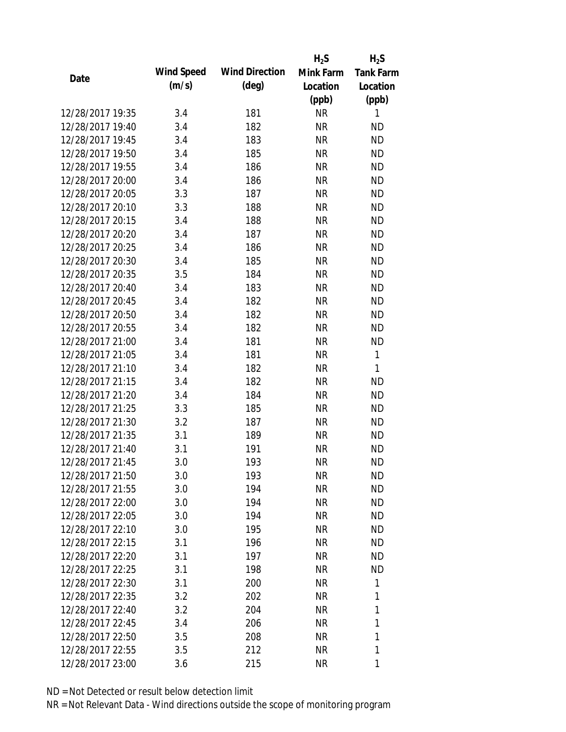|                  |            |                       | $H_2S$    | $H_2S$           |
|------------------|------------|-----------------------|-----------|------------------|
| Date             | Wind Speed | <b>Wind Direction</b> | Mink Farm | <b>Tank Farm</b> |
|                  | (m/s)      | $(\text{deg})$        | Location  | Location         |
|                  |            |                       | (ppb)     | (ppb)            |
| 12/28/2017 19:35 | 3.4        | 181                   | <b>NR</b> | 1                |
| 12/28/2017 19:40 | 3.4        | 182                   | <b>NR</b> | <b>ND</b>        |
| 12/28/2017 19:45 | 3.4        | 183                   | <b>NR</b> | <b>ND</b>        |
| 12/28/2017 19:50 | 3.4        | 185                   | <b>NR</b> | <b>ND</b>        |
| 12/28/2017 19:55 | 3.4        | 186                   | <b>NR</b> | <b>ND</b>        |
| 12/28/2017 20:00 | 3.4        | 186                   | <b>NR</b> | <b>ND</b>        |
| 12/28/2017 20:05 | 3.3        | 187                   | <b>NR</b> | <b>ND</b>        |
| 12/28/2017 20:10 | 3.3        | 188                   | <b>NR</b> | <b>ND</b>        |
| 12/28/2017 20:15 | 3.4        | 188                   | <b>NR</b> | <b>ND</b>        |
| 12/28/2017 20:20 | 3.4        | 187                   | <b>NR</b> | <b>ND</b>        |
| 12/28/2017 20:25 | 3.4        | 186                   | <b>NR</b> | <b>ND</b>        |
| 12/28/2017 20:30 | 3.4        | 185                   | <b>NR</b> | <b>ND</b>        |
| 12/28/2017 20:35 | 3.5        | 184                   | <b>NR</b> | <b>ND</b>        |
| 12/28/2017 20:40 | 3.4        | 183                   | <b>NR</b> | <b>ND</b>        |
| 12/28/2017 20:45 | 3.4        | 182                   | <b>NR</b> | <b>ND</b>        |
| 12/28/2017 20:50 | 3.4        | 182                   | <b>NR</b> | <b>ND</b>        |
| 12/28/2017 20:55 | 3.4        | 182                   | <b>NR</b> | <b>ND</b>        |
| 12/28/2017 21:00 | 3.4        | 181                   | <b>NR</b> | <b>ND</b>        |
| 12/28/2017 21:05 | 3.4        | 181                   | <b>NR</b> | 1                |
| 12/28/2017 21:10 | 3.4        | 182                   | <b>NR</b> | 1                |
| 12/28/2017 21:15 | 3.4        | 182                   | <b>NR</b> | <b>ND</b>        |
| 12/28/2017 21:20 | 3.4        | 184                   | <b>NR</b> | <b>ND</b>        |
| 12/28/2017 21:25 | 3.3        | 185                   | <b>NR</b> | <b>ND</b>        |
| 12/28/2017 21:30 | 3.2        | 187                   | <b>NR</b> | <b>ND</b>        |
| 12/28/2017 21:35 | 3.1        | 189                   | <b>NR</b> | <b>ND</b>        |
| 12/28/2017 21:40 | 3.1        | 191                   | <b>NR</b> | <b>ND</b>        |
| 12/28/2017 21:45 | 3.0        | 193                   | <b>NR</b> | <b>ND</b>        |
| 12/28/2017 21:50 | 3.0        | 193                   | NR        | <b>ND</b>        |
| 12/28/2017 21:55 | 3.0        | 194                   | <b>NR</b> | <b>ND</b>        |
| 12/28/2017 22:00 | 3.0        | 194                   | NR        | <b>ND</b>        |
| 12/28/2017 22:05 | 3.0        | 194                   | NR        | <b>ND</b>        |
| 12/28/2017 22:10 | 3.0        | 195                   | <b>NR</b> | <b>ND</b>        |
| 12/28/2017 22:15 | 3.1        | 196                   | NR        | <b>ND</b>        |
| 12/28/2017 22:20 | 3.1        | 197                   | <b>NR</b> | <b>ND</b>        |
| 12/28/2017 22:25 | 3.1        | 198                   | NR        | <b>ND</b>        |
| 12/28/2017 22:30 | 3.1        | 200                   | <b>NR</b> | 1                |
| 12/28/2017 22:35 | 3.2        | 202                   | NR        | 1                |
| 12/28/2017 22:40 | 3.2        | 204                   | NR        | 1                |
| 12/28/2017 22:45 | 3.4        | 206                   | <b>NR</b> | 1                |
| 12/28/2017 22:50 | 3.5        | 208                   | <b>NR</b> | 1                |
| 12/28/2017 22:55 | 3.5        | 212                   | <b>NR</b> | 1                |
|                  |            |                       | <b>NR</b> | 1                |
| 12/28/2017 23:00 | 3.6        | 215                   |           |                  |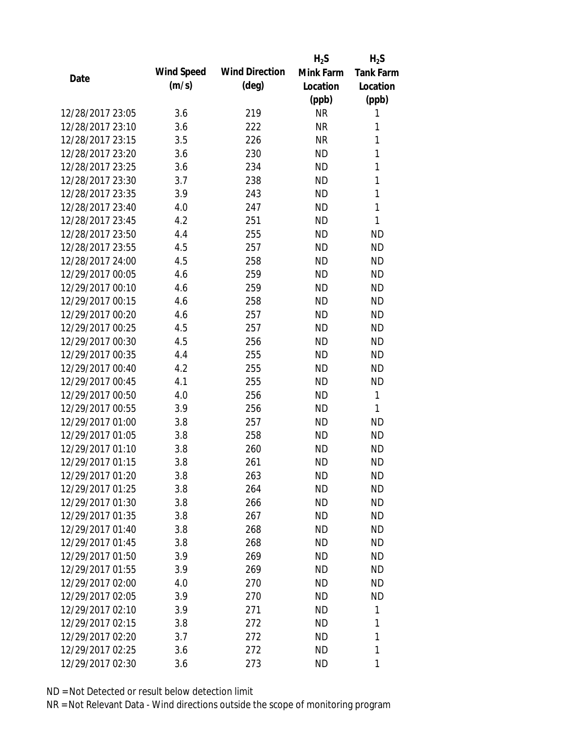|                  |            |                       | $H_2S$    | $H_2S$           |
|------------------|------------|-----------------------|-----------|------------------|
| Date             | Wind Speed | <b>Wind Direction</b> | Mink Farm | <b>Tank Farm</b> |
|                  | (m/s)      | $(\text{deg})$        | Location  | Location         |
|                  |            |                       | (ppb)     | (ppb)            |
| 12/28/2017 23:05 | 3.6        | 219                   | <b>NR</b> | 1                |
| 12/28/2017 23:10 | 3.6        | 222                   | <b>NR</b> | 1                |
| 12/28/2017 23:15 | 3.5        | 226                   | <b>NR</b> | $\mathbf{1}$     |
| 12/28/2017 23:20 | 3.6        | 230                   | <b>ND</b> | 1                |
| 12/28/2017 23:25 | 3.6        | 234                   | <b>ND</b> | $\mathbf{1}$     |
| 12/28/2017 23:30 | 3.7        | 238                   | <b>ND</b> | 1                |
| 12/28/2017 23:35 | 3.9        | 243                   | <b>ND</b> | 1                |
| 12/28/2017 23:40 | 4.0        | 247                   | <b>ND</b> | $\mathbf{1}$     |
| 12/28/2017 23:45 | 4.2        | 251                   | <b>ND</b> | 1                |
| 12/28/2017 23:50 | 4.4        | 255                   | <b>ND</b> | <b>ND</b>        |
| 12/28/2017 23:55 | 4.5        | 257                   | <b>ND</b> | <b>ND</b>        |
| 12/28/2017 24:00 | 4.5        | 258                   | <b>ND</b> | <b>ND</b>        |
| 12/29/2017 00:05 | 4.6        | 259                   | <b>ND</b> | <b>ND</b>        |
| 12/29/2017 00:10 | 4.6        | 259                   | <b>ND</b> | <b>ND</b>        |
| 12/29/2017 00:15 | 4.6        | 258                   | <b>ND</b> | <b>ND</b>        |
| 12/29/2017 00:20 | 4.6        | 257                   | <b>ND</b> | <b>ND</b>        |
| 12/29/2017 00:25 | 4.5        | 257                   | <b>ND</b> | <b>ND</b>        |
| 12/29/2017 00:30 | 4.5        | 256                   | <b>ND</b> | <b>ND</b>        |
| 12/29/2017 00:35 | 4.4        | 255                   | <b>ND</b> | <b>ND</b>        |
| 12/29/2017 00:40 | 4.2        | 255                   | <b>ND</b> | <b>ND</b>        |
| 12/29/2017 00:45 | 4.1        | 255                   | <b>ND</b> | <b>ND</b>        |
| 12/29/2017 00:50 | 4.0        | 256                   | <b>ND</b> | 1                |
| 12/29/2017 00:55 | 3.9        | 256                   | <b>ND</b> | 1                |
| 12/29/2017 01:00 | 3.8        | 257                   | <b>ND</b> | <b>ND</b>        |
| 12/29/2017 01:05 | 3.8        | 258                   | <b>ND</b> | <b>ND</b>        |
| 12/29/2017 01:10 | 3.8        | 260                   | <b>ND</b> | <b>ND</b>        |
| 12/29/2017 01:15 | 3.8        | 261                   | <b>ND</b> | <b>ND</b>        |
| 12/29/2017 01:20 | 3.8        | 263                   | ND        | <b>ND</b>        |
| 12/29/2017 01:25 | 3.8        | 264                   | <b>ND</b> | <b>ND</b>        |
| 12/29/2017 01:30 | 3.8        | 266                   | ND        | <b>ND</b>        |
| 12/29/2017 01:35 | 3.8        | 267                   | <b>ND</b> | <b>ND</b>        |
| 12/29/2017 01:40 | 3.8        | 268                   | <b>ND</b> | <b>ND</b>        |
| 12/29/2017 01:45 | 3.8        | 268                   | <b>ND</b> | <b>ND</b>        |
| 12/29/2017 01:50 | 3.9        | 269                   | <b>ND</b> | <b>ND</b>        |
| 12/29/2017 01:55 | 3.9        | 269                   | <b>ND</b> | <b>ND</b>        |
| 12/29/2017 02:00 | 4.0        | 270                   | <b>ND</b> | <b>ND</b>        |
| 12/29/2017 02:05 | 3.9        | 270                   | ND.       | <b>ND</b>        |
| 12/29/2017 02:10 | 3.9        | 271                   | <b>ND</b> | 1                |
| 12/29/2017 02:15 | 3.8        | 272                   | <b>ND</b> | 1                |
| 12/29/2017 02:20 | 3.7        | 272                   | <b>ND</b> | 1                |
| 12/29/2017 02:25 | 3.6        | 272                   | <b>ND</b> | 1                |
| 12/29/2017 02:30 |            |                       | <b>ND</b> | 1                |
|                  | 3.6        | 273                   |           |                  |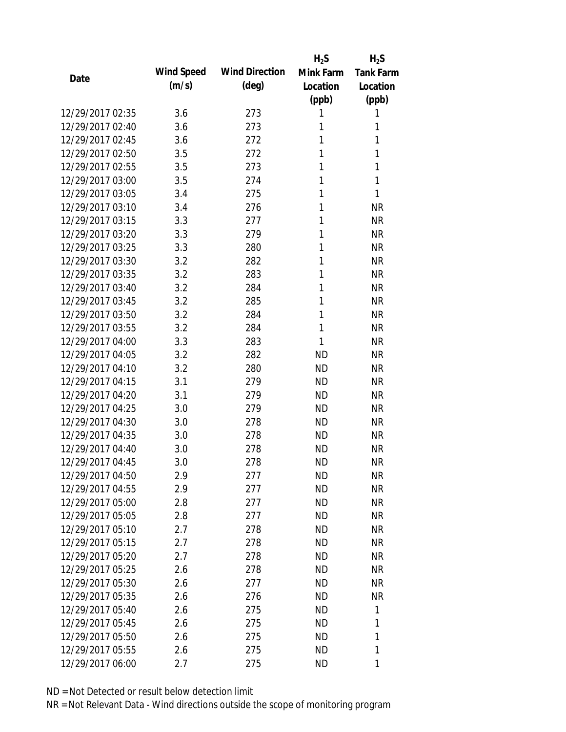|                  |            |                       | $H_2S$    | $H_2S$           |
|------------------|------------|-----------------------|-----------|------------------|
| Date             | Wind Speed | <b>Wind Direction</b> | Mink Farm | <b>Tank Farm</b> |
|                  | (m/s)      | $(\text{deg})$        | Location  | Location         |
|                  |            |                       | (ppb)     | (ppb)            |
| 12/29/2017 02:35 | 3.6        | 273                   | 1         | 1                |
| 12/29/2017 02:40 | 3.6        | 273                   | 1         | 1                |
| 12/29/2017 02:45 | 3.6        | 272                   | 1         | 1                |
| 12/29/2017 02:50 | 3.5        | 272                   | 1         | 1                |
| 12/29/2017 02:55 | 3.5        | 273                   | 1         | 1                |
| 12/29/2017 03:00 | 3.5        | 274                   | 1         | 1                |
| 12/29/2017 03:05 | 3.4        | 275                   | 1         | 1                |
| 12/29/2017 03:10 | 3.4        | 276                   | 1         | <b>NR</b>        |
| 12/29/2017 03:15 | 3.3        | 277                   | 1         | <b>NR</b>        |
| 12/29/2017 03:20 | 3.3        | 279                   | 1         | <b>NR</b>        |
| 12/29/2017 03:25 | 3.3        | 280                   | 1         | <b>NR</b>        |
| 12/29/2017 03:30 | 3.2        | 282                   | 1         | <b>NR</b>        |
| 12/29/2017 03:35 | 3.2        | 283                   | 1         | <b>NR</b>        |
| 12/29/2017 03:40 | 3.2        | 284                   | 1         | <b>NR</b>        |
| 12/29/2017 03:45 | 3.2        | 285                   | 1         | <b>NR</b>        |
| 12/29/2017 03:50 | 3.2        | 284                   | 1         | <b>NR</b>        |
| 12/29/2017 03:55 | 3.2        | 284                   | 1         | <b>NR</b>        |
| 12/29/2017 04:00 | 3.3        | 283                   | 1         | <b>NR</b>        |
| 12/29/2017 04:05 | 3.2        | 282                   | <b>ND</b> | <b>NR</b>        |
| 12/29/2017 04:10 | 3.2        | 280                   | <b>ND</b> | <b>NR</b>        |
| 12/29/2017 04:15 | 3.1        | 279                   | <b>ND</b> | <b>NR</b>        |
| 12/29/2017 04:20 | 3.1        | 279                   | <b>ND</b> | <b>NR</b>        |
| 12/29/2017 04:25 | 3.0        | 279                   | <b>ND</b> | <b>NR</b>        |
| 12/29/2017 04:30 | 3.0        | 278                   | <b>ND</b> | <b>NR</b>        |
| 12/29/2017 04:35 | 3.0        | 278                   | <b>ND</b> | <b>NR</b>        |
| 12/29/2017 04:40 | 3.0        | 278                   | <b>ND</b> | <b>NR</b>        |
| 12/29/2017 04:45 | 3.0        | 278                   | <b>ND</b> | <b>NR</b>        |
| 12/29/2017 04:50 | 2.9        | 277                   | <b>ND</b> | <b>NR</b>        |
| 12/29/2017 04:55 | 2.9        | 277                   | <b>ND</b> | <b>NR</b>        |
| 12/29/2017 05:00 | 2.8        | 277                   | ND        | <b>NR</b>        |
| 12/29/2017 05:05 | 2.8        | 277                   | <b>ND</b> | <b>NR</b>        |
| 12/29/2017 05:10 | 2.7        | 278                   | <b>ND</b> | <b>NR</b>        |
| 12/29/2017 05:15 | 2.7        | 278                   | <b>ND</b> | <b>NR</b>        |
| 12/29/2017 05:20 | 2.7        | 278                   | <b>ND</b> | <b>NR</b>        |
| 12/29/2017 05:25 | 2.6        | 278                   | <b>ND</b> | <b>NR</b>        |
| 12/29/2017 05:30 | 2.6        | 277                   | <b>ND</b> | <b>NR</b>        |
| 12/29/2017 05:35 | 2.6        | 276                   | ND.       | <b>NR</b>        |
| 12/29/2017 05:40 | 2.6        | 275                   | <b>ND</b> | 1                |
| 12/29/2017 05:45 | 2.6        | 275                   | <b>ND</b> | 1                |
| 12/29/2017 05:50 | 2.6        | 275                   | ND        | 1                |
| 12/29/2017 05:55 | 2.6        | 275                   | <b>ND</b> | 1                |
| 12/29/2017 06:00 | 2.7        | 275                   | <b>ND</b> | 1                |
|                  |            |                       |           |                  |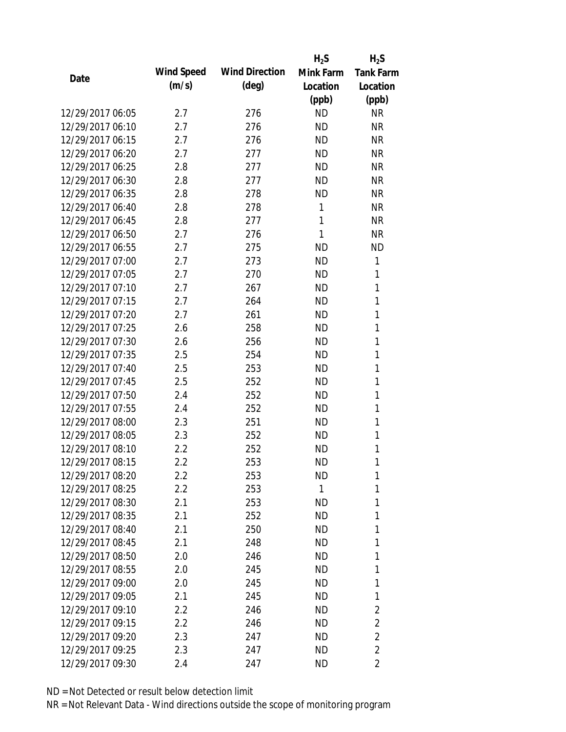|                  |                   |                       | $H_2S$       | $H_2S$           |
|------------------|-------------------|-----------------------|--------------|------------------|
| Date             | <b>Wind Speed</b> | <b>Wind Direction</b> | Mink Farm    | <b>Tank Farm</b> |
|                  | (m/s)             | $(\text{deg})$        | Location     | Location         |
|                  |                   |                       | (ppb)        | (ppb)            |
| 12/29/2017 06:05 | 2.7               | 276                   | <b>ND</b>    | <b>NR</b>        |
| 12/29/2017 06:10 | 2.7               | 276                   | <b>ND</b>    | <b>NR</b>        |
| 12/29/2017 06:15 | 2.7               | 276                   | <b>ND</b>    | <b>NR</b>        |
| 12/29/2017 06:20 | 2.7               | 277                   | <b>ND</b>    | <b>NR</b>        |
| 12/29/2017 06:25 | 2.8               | 277                   | <b>ND</b>    | <b>NR</b>        |
| 12/29/2017 06:30 | 2.8               | 277                   | <b>ND</b>    | <b>NR</b>        |
| 12/29/2017 06:35 | 2.8               | 278                   | <b>ND</b>    | <b>NR</b>        |
| 12/29/2017 06:40 | 2.8               | 278                   | 1            | <b>NR</b>        |
| 12/29/2017 06:45 | 2.8               | 277                   | 1            | <b>NR</b>        |
| 12/29/2017 06:50 | 2.7               | 276                   | 1            | <b>NR</b>        |
| 12/29/2017 06:55 | 2.7               | 275                   | <b>ND</b>    | <b>ND</b>        |
| 12/29/2017 07:00 | 2.7               | 273                   | <b>ND</b>    | 1                |
| 12/29/2017 07:05 | 2.7               | 270                   | <b>ND</b>    | 1                |
| 12/29/2017 07:10 | 2.7               | 267                   | <b>ND</b>    | 1                |
| 12/29/2017 07:15 | 2.7               | 264                   | <b>ND</b>    | 1                |
| 12/29/2017 07:20 | 2.7               | 261                   | <b>ND</b>    | 1                |
| 12/29/2017 07:25 | 2.6               | 258                   | <b>ND</b>    | 1                |
| 12/29/2017 07:30 | 2.6               | 256                   | <b>ND</b>    | 1                |
| 12/29/2017 07:35 | 2.5               | 254                   | <b>ND</b>    | 1                |
| 12/29/2017 07:40 | 2.5               | 253                   | <b>ND</b>    | 1                |
| 12/29/2017 07:45 | 2.5               | 252                   | <b>ND</b>    | 1                |
| 12/29/2017 07:50 | 2.4               | 252                   | <b>ND</b>    | 1                |
| 12/29/2017 07:55 | 2.4               | 252                   | <b>ND</b>    | 1                |
| 12/29/2017 08:00 | 2.3               | 251                   | <b>ND</b>    | 1                |
| 12/29/2017 08:05 | 2.3               | 252                   | <b>ND</b>    | 1                |
| 12/29/2017 08:10 | 2.2               | 252                   | <b>ND</b>    | 1                |
| 12/29/2017 08:15 | 2.2               | 253                   | <b>ND</b>    | 1                |
| 12/29/2017 08:20 | $2.2\,$           | 253                   | ND           | 1                |
| 12/29/2017 08:25 | 2.2               | 253                   | $\mathbf{1}$ | 1                |
| 12/29/2017 08:30 | 2.1               | 253                   | ND           | 1                |
| 12/29/2017 08:35 | 2.1               | 252                   | ND           | 1                |
| 12/29/2017 08:40 | 2.1               | 250                   | <b>ND</b>    | 1                |
| 12/29/2017 08:45 | 2.1               | 248                   | ND           | 1                |
| 12/29/2017 08:50 | 2.0               | 246                   | <b>ND</b>    | 1                |
| 12/29/2017 08:55 | 2.0               | 245                   | <b>ND</b>    | 1                |
| 12/29/2017 09:00 | 2.0               | 245                   | ND           | 1                |
| 12/29/2017 09:05 | 2.1               | 245                   | ND           | 1                |
| 12/29/2017 09:10 | 2.2               | 246                   | ND           | $\overline{2}$   |
| 12/29/2017 09:15 | 2.2               | 246                   | <b>ND</b>    | $\overline{2}$   |
| 12/29/2017 09:20 | 2.3               | 247                   | <b>ND</b>    | $\overline{2}$   |
| 12/29/2017 09:25 | 2.3               | 247                   | <b>ND</b>    | $\overline{2}$   |
| 12/29/2017 09:30 | 2.4               | 247                   | ND           | 2                |
|                  |                   |                       |              |                  |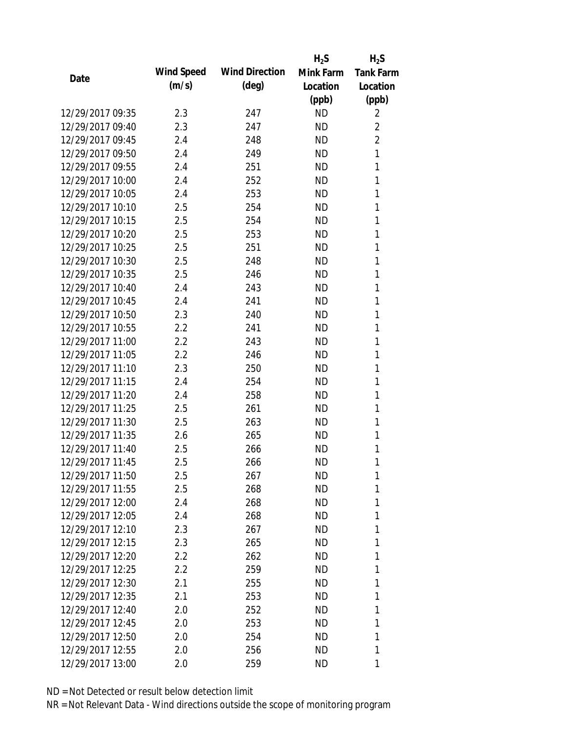|                  |            |                       | $H_2S$    | $H_2S$           |
|------------------|------------|-----------------------|-----------|------------------|
|                  | Wind Speed | <b>Wind Direction</b> | Mink Farm | <b>Tank Farm</b> |
| Date             | (m/s)      | $(\text{deg})$        | Location  | Location         |
|                  |            |                       | (ppb)     | (ppb)            |
| 12/29/2017 09:35 | 2.3        | 247                   | <b>ND</b> | 2                |
| 12/29/2017 09:40 | 2.3        | 247                   | <b>ND</b> | $\overline{2}$   |
| 12/29/2017 09:45 | 2.4        | 248                   | <b>ND</b> | $\overline{2}$   |
| 12/29/2017 09:50 | 2.4        | 249                   | <b>ND</b> | $\mathbf{1}$     |
| 12/29/2017 09:55 | 2.4        | 251                   | <b>ND</b> | 1                |
| 12/29/2017 10:00 | 2.4        | 252                   | <b>ND</b> | 1                |
| 12/29/2017 10:05 | 2.4        | 253                   | <b>ND</b> | 1                |
| 12/29/2017 10:10 | 2.5        | 254                   | <b>ND</b> | 1                |
| 12/29/2017 10:15 | 2.5        | 254                   | <b>ND</b> | 1                |
| 12/29/2017 10:20 | 2.5        | 253                   | <b>ND</b> | 1                |
| 12/29/2017 10:25 | 2.5        | 251                   | <b>ND</b> | 1                |
| 12/29/2017 10:30 | 2.5        | 248                   | <b>ND</b> | 1                |
| 12/29/2017 10:35 | 2.5        | 246                   | <b>ND</b> | 1                |
| 12/29/2017 10:40 | 2.4        | 243                   | <b>ND</b> | 1                |
| 12/29/2017 10:45 | 2.4        | 241                   | <b>ND</b> | 1                |
| 12/29/2017 10:50 | 2.3        | 240                   | <b>ND</b> | 1                |
| 12/29/2017 10:55 | 2.2        | 241                   | <b>ND</b> | 1                |
| 12/29/2017 11:00 | 2.2        | 243                   | <b>ND</b> | 1                |
| 12/29/2017 11:05 | 2.2        | 246                   | <b>ND</b> | 1                |
| 12/29/2017 11:10 | 2.3        | 250                   | <b>ND</b> | 1                |
| 12/29/2017 11:15 | 2.4        | 254                   | <b>ND</b> | 1                |
| 12/29/2017 11:20 | 2.4        | 258                   | <b>ND</b> | 1                |
| 12/29/2017 11:25 | 2.5        | 261                   | <b>ND</b> | 1                |
| 12/29/2017 11:30 | 2.5        | 263                   | <b>ND</b> | 1                |
| 12/29/2017 11:35 | 2.6        | 265                   | <b>ND</b> | 1                |
| 12/29/2017 11:40 | 2.5        | 266                   | <b>ND</b> | 1                |
| 12/29/2017 11:45 | 2.5        | 266                   | <b>ND</b> | 1                |
| 12/29/2017 11:50 | 2.5        | 267                   | ND        | 1                |
| 12/29/2017 11:55 | 2.5        | 268                   | <b>ND</b> | 1                |
| 12/29/2017 12:00 | 2.4        | 268                   | ND        | 1                |
| 12/29/2017 12:05 | 2.4        | 268                   | <b>ND</b> | 1                |
| 12/29/2017 12:10 | 2.3        | 267                   | ND.       | 1                |
| 12/29/2017 12:15 | 2.3        | 265                   | ND        | 1                |
| 12/29/2017 12:20 | $2.2\,$    | 262                   | ND        | 1                |
| 12/29/2017 12:25 | 2.2        | 259                   | ND        | 1                |
| 12/29/2017 12:30 | 2.1        | 255                   | <b>ND</b> | 1                |
| 12/29/2017 12:35 | 2.1        | 253                   | ND.       | 1                |
| 12/29/2017 12:40 | 2.0        | 252                   | ND        | 1                |
| 12/29/2017 12:45 | 2.0        | 253                   | <b>ND</b> | 1                |
| 12/29/2017 12:50 | 2.0        | 254                   | <b>ND</b> | 1                |
| 12/29/2017 12:55 | 2.0        | 256                   | ND        | 1                |
| 12/29/2017 13:00 | 2.0        | 259                   | ND        | 1                |
|                  |            |                       |           |                  |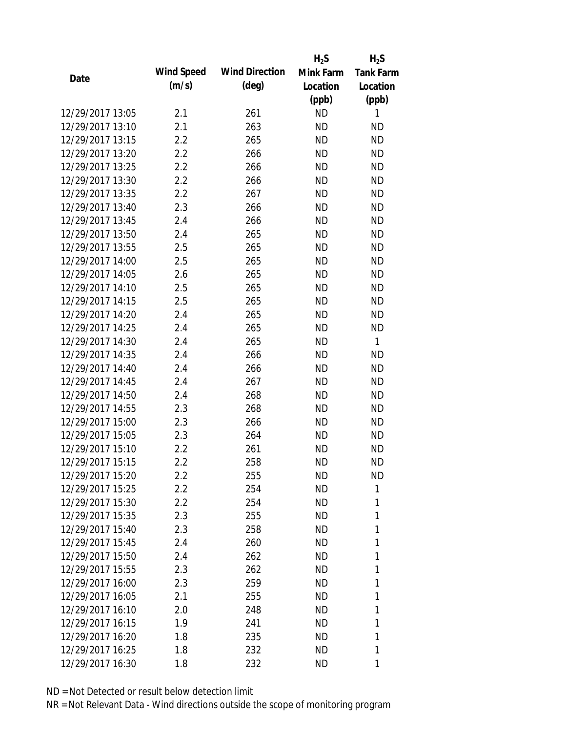|                  |            |                       | $H_2S$    | $H_2S$           |
|------------------|------------|-----------------------|-----------|------------------|
| Date             | Wind Speed | <b>Wind Direction</b> | Mink Farm | <b>Tank Farm</b> |
|                  | (m/s)      | $(\text{deg})$        | Location  | Location         |
|                  |            |                       | (ppb)     | (ppb)            |
| 12/29/2017 13:05 | 2.1        | 261                   | <b>ND</b> | 1                |
| 12/29/2017 13:10 | 2.1        | 263                   | <b>ND</b> | <b>ND</b>        |
| 12/29/2017 13:15 | 2.2        | 265                   | <b>ND</b> | <b>ND</b>        |
| 12/29/2017 13:20 | 2.2        | 266                   | <b>ND</b> | <b>ND</b>        |
| 12/29/2017 13:25 | 2.2        | 266                   | <b>ND</b> | <b>ND</b>        |
| 12/29/2017 13:30 | 2.2        | 266                   | <b>ND</b> | <b>ND</b>        |
| 12/29/2017 13:35 | 2.2        | 267                   | <b>ND</b> | <b>ND</b>        |
| 12/29/2017 13:40 | 2.3        | 266                   | <b>ND</b> | <b>ND</b>        |
| 12/29/2017 13:45 | 2.4        | 266                   | <b>ND</b> | <b>ND</b>        |
| 12/29/2017 13:50 | 2.4        | 265                   | <b>ND</b> | <b>ND</b>        |
| 12/29/2017 13:55 | 2.5        | 265                   | <b>ND</b> | <b>ND</b>        |
| 12/29/2017 14:00 | 2.5        | 265                   | <b>ND</b> | <b>ND</b>        |
| 12/29/2017 14:05 | 2.6        | 265                   | <b>ND</b> | <b>ND</b>        |
| 12/29/2017 14:10 | 2.5        | 265                   | <b>ND</b> | <b>ND</b>        |
| 12/29/2017 14:15 | 2.5        | 265                   | <b>ND</b> | <b>ND</b>        |
| 12/29/2017 14:20 | 2.4        | 265                   | <b>ND</b> | <b>ND</b>        |
| 12/29/2017 14:25 | 2.4        | 265                   | <b>ND</b> | <b>ND</b>        |
| 12/29/2017 14:30 | 2.4        | 265                   | <b>ND</b> | $\mathbf{1}$     |
| 12/29/2017 14:35 | 2.4        | 266                   | <b>ND</b> | <b>ND</b>        |
| 12/29/2017 14:40 | 2.4        | 266                   | <b>ND</b> | <b>ND</b>        |
| 12/29/2017 14:45 | 2.4        | 267                   | <b>ND</b> | <b>ND</b>        |
| 12/29/2017 14:50 | 2.4        | 268                   | <b>ND</b> | <b>ND</b>        |
| 12/29/2017 14:55 | 2.3        | 268                   | <b>ND</b> | <b>ND</b>        |
| 12/29/2017 15:00 | 2.3        | 266                   | <b>ND</b> | <b>ND</b>        |
| 12/29/2017 15:05 | 2.3        | 264                   | <b>ND</b> | <b>ND</b>        |
| 12/29/2017 15:10 | 2.2        | 261                   | <b>ND</b> | <b>ND</b>        |
| 12/29/2017 15:15 | 2.2        | 258                   | <b>ND</b> | <b>ND</b>        |
| 12/29/2017 15:20 | $2.2\,$    | 255                   | ND        | ND               |
| 12/29/2017 15:25 | 2.2        | 254                   | <b>ND</b> | 1                |
| 12/29/2017 15:30 | 2.2        | 254                   | <b>ND</b> | 1                |
| 12/29/2017 15:35 | 2.3        | 255                   | ND        | 1                |
| 12/29/2017 15:40 | 2.3        | 258                   | <b>ND</b> | 1                |
| 12/29/2017 15:45 | 2.4        | 260                   | ND        | 1                |
| 12/29/2017 15:50 | 2.4        | 262                   | <b>ND</b> | 1                |
| 12/29/2017 15:55 |            |                       |           | 1                |
| 12/29/2017 16:00 | 2.3        | 262                   | <b>ND</b> | 1                |
|                  | 2.3        | 259                   | <b>ND</b> |                  |
| 12/29/2017 16:05 | 2.1        | 255                   | ND        | 1                |
| 12/29/2017 16:10 | 2.0        | 248                   | ND        | 1                |
| 12/29/2017 16:15 | 1.9        | 241                   | <b>ND</b> | 1                |
| 12/29/2017 16:20 | 1.8        | 235                   | <b>ND</b> | 1                |
| 12/29/2017 16:25 | 1.8        | 232                   | ND        | 1                |
| 12/29/2017 16:30 | 1.8        | 232                   | ND        | 1                |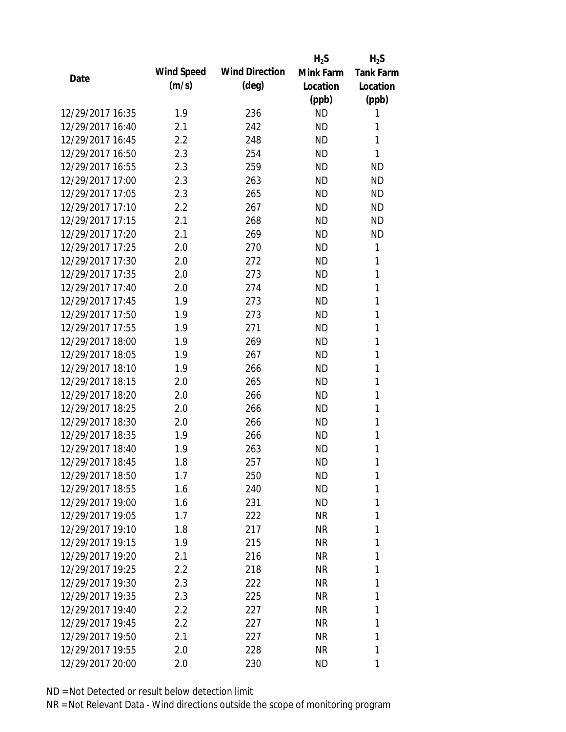|                  |                   |                       | $H_2S$    | $H_2S$           |
|------------------|-------------------|-----------------------|-----------|------------------|
| Date             | <b>Wind Speed</b> | <b>Wind Direction</b> | Mink Farm | <b>Tank Farm</b> |
|                  | (m/s)             | $(\text{deg})$        | Location  | Location         |
|                  |                   |                       | (ppb)     | (ppb)            |
| 12/29/2017 16:35 | 1.9               | 236                   | <b>ND</b> | 1                |
| 12/29/2017 16:40 | 2.1               | 242                   | <b>ND</b> | 1                |
| 12/29/2017 16:45 | 2.2               | 248                   | <b>ND</b> | 1                |
| 12/29/2017 16:50 | 2.3               | 254                   | <b>ND</b> | 1                |
| 12/29/2017 16:55 | 2.3               | 259                   | <b>ND</b> | <b>ND</b>        |
| 12/29/2017 17:00 | 2.3               | 263                   | <b>ND</b> | <b>ND</b>        |
| 12/29/2017 17:05 | 2.3               | 265                   | <b>ND</b> | <b>ND</b>        |
| 12/29/2017 17:10 | 2.2               | 267                   | <b>ND</b> | <b>ND</b>        |
| 12/29/2017 17:15 | 2.1               | 268                   | <b>ND</b> | <b>ND</b>        |
| 12/29/2017 17:20 | 2.1               | 269                   | <b>ND</b> | <b>ND</b>        |
| 12/29/2017 17:25 | 2.0               | 270                   | <b>ND</b> | 1                |
| 12/29/2017 17:30 | 2.0               | 272                   | <b>ND</b> | 1                |
| 12/29/2017 17:35 | 2.0               | 273                   | <b>ND</b> | 1                |
| 12/29/2017 17:40 | 2.0               | 274                   | <b>ND</b> | 1                |
| 12/29/2017 17:45 | 1.9               | 273                   | <b>ND</b> | 1                |
| 12/29/2017 17:50 | 1.9               | 273                   | <b>ND</b> | 1                |
| 12/29/2017 17:55 | 1.9               | 271                   | <b>ND</b> | 1                |
| 12/29/2017 18:00 | 1.9               | 269                   | <b>ND</b> | 1                |
| 12/29/2017 18:05 | 1.9               | 267                   | <b>ND</b> | 1                |
| 12/29/2017 18:10 | 1.9               | 266                   | <b>ND</b> | 1                |
| 12/29/2017 18:15 | 2.0               | 265                   | <b>ND</b> | 1                |
| 12/29/2017 18:20 | 2.0               | 266                   | <b>ND</b> | 1                |
| 12/29/2017 18:25 | 2.0               | 266                   | <b>ND</b> | 1                |
| 12/29/2017 18:30 | 2.0               | 266                   | <b>ND</b> | 1                |
| 12/29/2017 18:35 | 1.9               | 266                   | <b>ND</b> | 1                |
| 12/29/2017 18:40 | 1.9               | 263                   | <b>ND</b> | 1                |
| 12/29/2017 18:45 | 1.8               | 257                   | <b>ND</b> | 1                |
| 12/29/2017 18:50 | 1.7               | 250                   | ND        | 1                |
| 12/29/2017 18:55 | 1.6               | 240                   | <b>ND</b> | 1                |
| 12/29/2017 19:00 | 1.6               | 231                   | <b>ND</b> | 1                |
| 12/29/2017 19:05 | 1.7               | 222                   | NR        | 1                |
| 12/29/2017 19:10 | 1.8               | 217                   | NR        | 1                |
| 12/29/2017 19:15 | 1.9               | 215                   | NR        | 1                |
| 12/29/2017 19:20 | 2.1               | 216                   | <b>NR</b> | 1                |
| 12/29/2017 19:25 |                   |                       |           | 1                |
| 12/29/2017 19:30 | 2.2               | 218                   | NR        | 1                |
| 12/29/2017 19:35 | 2.3               | 222                   | NR        | 1                |
|                  | 2.3               | 225                   | NR        |                  |
| 12/29/2017 19:40 | 2.2               | 227                   | NR        | 1                |
| 12/29/2017 19:45 | 2.2               | 227                   | NR        | 1                |
| 12/29/2017 19:50 | 2.1               | 227                   | NR        | 1                |
| 12/29/2017 19:55 | 2.0               | 228                   | <b>NR</b> | 1                |
| 12/29/2017 20:00 | 2.0               | 230                   | ND        | 1                |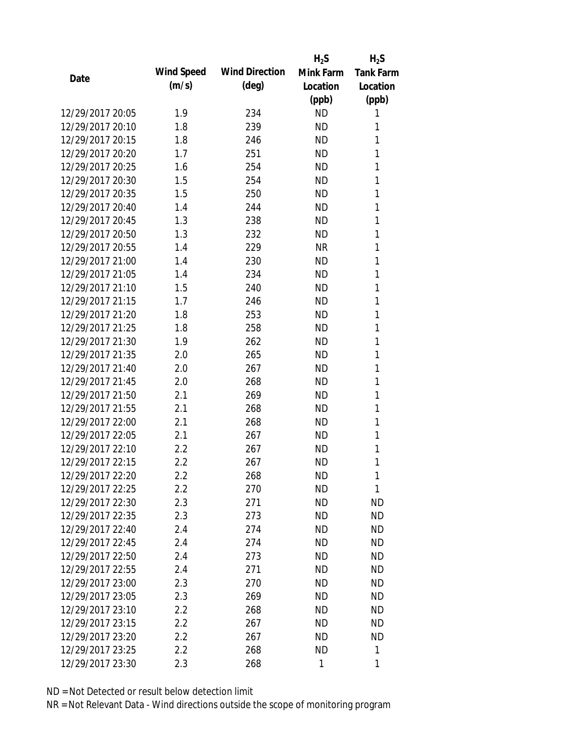|                  |            |                       | $H_2S$    | $H_2S$           |
|------------------|------------|-----------------------|-----------|------------------|
|                  | Wind Speed | <b>Wind Direction</b> | Mink Farm | <b>Tank Farm</b> |
| Date             | (m/s)      | $(\text{deg})$        | Location  | Location         |
|                  |            |                       | (ppb)     | (ppb)            |
| 12/29/2017 20:05 | 1.9        | 234                   | <b>ND</b> | 1                |
| 12/29/2017 20:10 | 1.8        | 239                   | <b>ND</b> | 1                |
| 12/29/2017 20:15 | 1.8        | 246                   | <b>ND</b> | 1                |
| 12/29/2017 20:20 | 1.7        | 251                   | <b>ND</b> | 1                |
| 12/29/2017 20:25 | 1.6        | 254                   | <b>ND</b> | 1                |
| 12/29/2017 20:30 | 1.5        | 254                   | <b>ND</b> | 1                |
| 12/29/2017 20:35 | 1.5        | 250                   | <b>ND</b> | 1                |
| 12/29/2017 20:40 | 1.4        | 244                   | <b>ND</b> | 1                |
| 12/29/2017 20:45 | 1.3        | 238                   | <b>ND</b> | 1                |
| 12/29/2017 20:50 | 1.3        | 232                   | <b>ND</b> | 1                |
| 12/29/2017 20:55 | 1.4        | 229                   | <b>NR</b> | 1                |
| 12/29/2017 21:00 | 1.4        | 230                   | <b>ND</b> | 1                |
| 12/29/2017 21:05 | 1.4        | 234                   | <b>ND</b> | 1                |
| 12/29/2017 21:10 | 1.5        | 240                   | <b>ND</b> | 1                |
| 12/29/2017 21:15 | 1.7        | 246                   | <b>ND</b> | 1                |
| 12/29/2017 21:20 | 1.8        | 253                   | <b>ND</b> | 1                |
| 12/29/2017 21:25 | 1.8        | 258                   | <b>ND</b> | 1                |
| 12/29/2017 21:30 | 1.9        | 262                   | <b>ND</b> | 1                |
| 12/29/2017 21:35 | 2.0        | 265                   | <b>ND</b> | 1                |
| 12/29/2017 21:40 | 2.0        | 267                   | <b>ND</b> | 1                |
| 12/29/2017 21:45 | 2.0        | 268                   | <b>ND</b> | 1                |
| 12/29/2017 21:50 | 2.1        | 269                   | <b>ND</b> | 1                |
| 12/29/2017 21:55 | 2.1        | 268                   | <b>ND</b> | 1                |
| 12/29/2017 22:00 | 2.1        | 268                   | <b>ND</b> | 1                |
| 12/29/2017 22:05 | 2.1        | 267                   | <b>ND</b> | 1                |
| 12/29/2017 22:10 | 2.2        | 267                   | <b>ND</b> | 1                |
| 12/29/2017 22:15 | 2.2        | 267                   | <b>ND</b> | 1                |
| 12/29/2017 22:20 | $2.2\,$    | 268                   | <b>ND</b> | 1                |
| 12/29/2017 22:25 | 2.2        | 270                   | <b>ND</b> | 1                |
| 12/29/2017 22:30 | 2.3        | 271                   | ND        | <b>ND</b>        |
| 12/29/2017 22:35 | 2.3        | 273                   | <b>ND</b> | <b>ND</b>        |
| 12/29/2017 22:40 | 2.4        | 274                   | <b>ND</b> | <b>ND</b>        |
| 12/29/2017 22:45 | 2.4        | 274                   | <b>ND</b> | <b>ND</b>        |
| 12/29/2017 22:50 | 2.4        | 273                   | <b>ND</b> | <b>ND</b>        |
| 12/29/2017 22:55 | 2.4        | 271                   | <b>ND</b> | <b>ND</b>        |
| 12/29/2017 23:00 | 2.3        | 270                   | <b>ND</b> | <b>ND</b>        |
| 12/29/2017 23:05 | 2.3        | 269                   | <b>ND</b> | <b>ND</b>        |
| 12/29/2017 23:10 | 2.2        | 268                   | <b>ND</b> | <b>ND</b>        |
| 12/29/2017 23:15 | 2.2        | 267                   | <b>ND</b> | <b>ND</b>        |
| 12/29/2017 23:20 | 2.2        | 267                   | ND.       | <b>ND</b>        |
| 12/29/2017 23:25 | 2.2        |                       | <b>ND</b> | 1                |
|                  |            | 268                   |           |                  |
| 12/29/2017 23:30 | 2.3        | 268                   | 1         | 1                |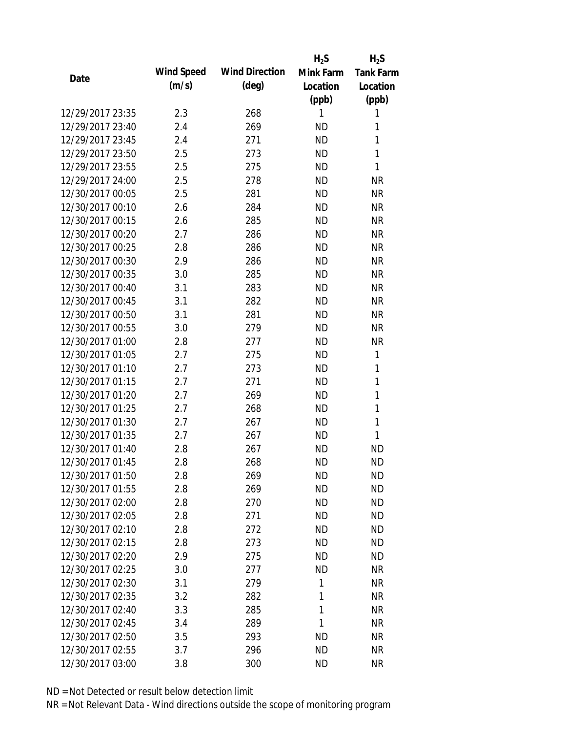|                  |            |                       | $H_2S$    | $H_2S$           |
|------------------|------------|-----------------------|-----------|------------------|
| Date             | Wind Speed | <b>Wind Direction</b> | Mink Farm | <b>Tank Farm</b> |
|                  | (m/s)      | $(\text{deg})$        | Location  | Location         |
|                  |            |                       | (ppb)     | (ppb)            |
| 12/29/2017 23:35 | 2.3        | 268                   | 1         | 1                |
| 12/29/2017 23:40 | 2.4        | 269                   | <b>ND</b> | 1                |
| 12/29/2017 23:45 | 2.4        | 271                   | <b>ND</b> | $\mathbf{1}$     |
| 12/29/2017 23:50 | 2.5        | 273                   | <b>ND</b> | 1                |
| 12/29/2017 23:55 | 2.5        | 275                   | <b>ND</b> | $\mathbf{1}$     |
| 12/29/2017 24:00 | 2.5        | 278                   | <b>ND</b> | <b>NR</b>        |
| 12/30/2017 00:05 | 2.5        | 281                   | <b>ND</b> | <b>NR</b>        |
| 12/30/2017 00:10 | 2.6        | 284                   | <b>ND</b> | <b>NR</b>        |
| 12/30/2017 00:15 | 2.6        | 285                   | <b>ND</b> | <b>NR</b>        |
| 12/30/2017 00:20 | 2.7        | 286                   | <b>ND</b> | <b>NR</b>        |
| 12/30/2017 00:25 | 2.8        | 286                   | <b>ND</b> | <b>NR</b>        |
| 12/30/2017 00:30 | 2.9        | 286                   | <b>ND</b> | <b>NR</b>        |
| 12/30/2017 00:35 | 3.0        | 285                   | <b>ND</b> | <b>NR</b>        |
| 12/30/2017 00:40 | 3.1        | 283                   | ND        | <b>NR</b>        |
| 12/30/2017 00:45 | 3.1        | 282                   | <b>ND</b> | <b>NR</b>        |
| 12/30/2017 00:50 | 3.1        | 281                   | <b>ND</b> | <b>NR</b>        |
| 12/30/2017 00:55 | 3.0        | 279                   | <b>ND</b> | <b>NR</b>        |
| 12/30/2017 01:00 | 2.8        | 277                   | <b>ND</b> | <b>NR</b>        |
| 12/30/2017 01:05 | 2.7        | 275                   | <b>ND</b> | 1                |
| 12/30/2017 01:10 | 2.7        | 273                   | <b>ND</b> | 1                |
| 12/30/2017 01:15 | 2.7        | 271                   | <b>ND</b> | $\mathbf{1}$     |
| 12/30/2017 01:20 | 2.7        | 269                   | <b>ND</b> | $\mathbf{1}$     |
| 12/30/2017 01:25 | 2.7        | 268                   | <b>ND</b> | 1                |
| 12/30/2017 01:30 | 2.7        | 267                   | <b>ND</b> | $\mathbf{1}$     |
| 12/30/2017 01:35 | 2.7        | 267                   | <b>ND</b> | 1                |
| 12/30/2017 01:40 | 2.8        | 267                   | <b>ND</b> | <b>ND</b>        |
| 12/30/2017 01:45 | 2.8        | 268                   | <b>ND</b> | <b>ND</b>        |
| 12/30/2017 01:50 | 2.8        | 269                   | <b>ND</b> | <b>ND</b>        |
| 12/30/2017 01:55 | 2.8        | 269                   | <b>ND</b> | <b>ND</b>        |
| 12/30/2017 02:00 | 2.8        | 270                   | ND        | <b>ND</b>        |
| 12/30/2017 02:05 | 2.8        | 271                   | <b>ND</b> | <b>ND</b>        |
| 12/30/2017 02:10 | 2.8        | 272                   | <b>ND</b> | <b>ND</b>        |
| 12/30/2017 02:15 | 2.8        | 273                   | <b>ND</b> | <b>ND</b>        |
| 12/30/2017 02:20 | 2.9        | 275                   | <b>ND</b> | <b>ND</b>        |
| 12/30/2017 02:25 | 3.0        | 277                   | <b>ND</b> | <b>NR</b>        |
| 12/30/2017 02:30 | 3.1        | 279                   | 1         | <b>NR</b>        |
| 12/30/2017 02:35 | 3.2        | 282                   | 1         | <b>NR</b>        |
| 12/30/2017 02:40 | 3.3        | 285                   | 1         | <b>NR</b>        |
| 12/30/2017 02:45 | 3.4        | 289                   | 1         | <b>NR</b>        |
| 12/30/2017 02:50 | 3.5        | 293                   | <b>ND</b> | <b>NR</b>        |
| 12/30/2017 02:55 | 3.7        | 296                   | <b>ND</b> | <b>NR</b>        |
| 12/30/2017 03:00 | 3.8        | 300                   | <b>ND</b> | <b>NR</b>        |
|                  |            |                       |           |                  |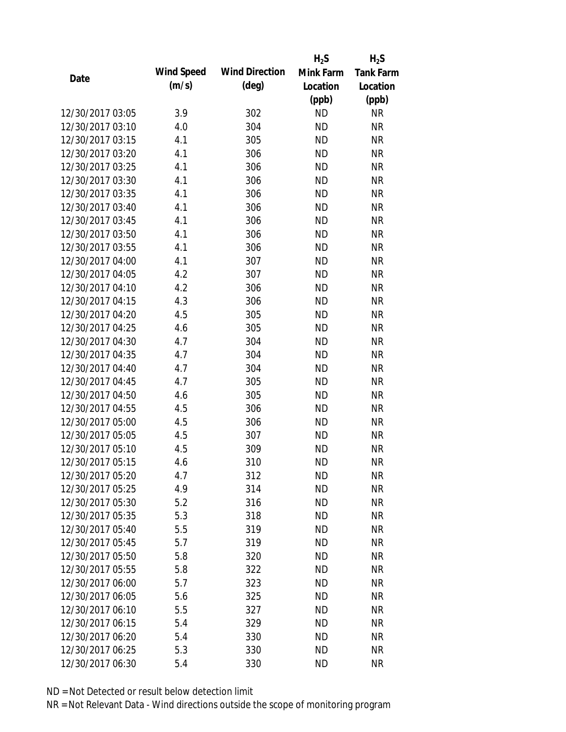|                  |            |                       | $H_2S$    | $H_2S$           |
|------------------|------------|-----------------------|-----------|------------------|
| Date             | Wind Speed | <b>Wind Direction</b> | Mink Farm | <b>Tank Farm</b> |
|                  | (m/s)      | $(\text{deg})$        | Location  | Location         |
|                  |            |                       | (ppb)     | (ppb)            |
| 12/30/2017 03:05 | 3.9        | 302                   | <b>ND</b> | <b>NR</b>        |
| 12/30/2017 03:10 | 4.0        | 304                   | <b>ND</b> | <b>NR</b>        |
| 12/30/2017 03:15 | 4.1        | 305                   | <b>ND</b> | <b>NR</b>        |
| 12/30/2017 03:20 | 4.1        | 306                   | <b>ND</b> | <b>NR</b>        |
| 12/30/2017 03:25 | 4.1        | 306                   | <b>ND</b> | <b>NR</b>        |
| 12/30/2017 03:30 | 4.1        | 306                   | <b>ND</b> | <b>NR</b>        |
| 12/30/2017 03:35 | 4.1        | 306                   | <b>ND</b> | <b>NR</b>        |
| 12/30/2017 03:40 | 4.1        | 306                   | <b>ND</b> | <b>NR</b>        |
| 12/30/2017 03:45 | 4.1        | 306                   | <b>ND</b> | <b>NR</b>        |
| 12/30/2017 03:50 | 4.1        | 306                   | <b>ND</b> | <b>NR</b>        |
| 12/30/2017 03:55 | 4.1        | 306                   | <b>ND</b> | <b>NR</b>        |
| 12/30/2017 04:00 | 4.1        | 307                   | <b>ND</b> | <b>NR</b>        |
| 12/30/2017 04:05 | 4.2        | 307                   | <b>ND</b> | <b>NR</b>        |
| 12/30/2017 04:10 | 4.2        | 306                   | <b>ND</b> | <b>NR</b>        |
| 12/30/2017 04:15 | 4.3        | 306                   | <b>ND</b> | <b>NR</b>        |
| 12/30/2017 04:20 | 4.5        | 305                   | <b>ND</b> | <b>NR</b>        |
| 12/30/2017 04:25 | 4.6        | 305                   | <b>ND</b> | <b>NR</b>        |
| 12/30/2017 04:30 | 4.7        | 304                   | <b>ND</b> | <b>NR</b>        |
| 12/30/2017 04:35 | 4.7        | 304                   | <b>ND</b> | <b>NR</b>        |
| 12/30/2017 04:40 | 4.7        | 304                   | <b>ND</b> | <b>NR</b>        |
| 12/30/2017 04:45 | 4.7        | 305                   | <b>ND</b> | <b>NR</b>        |
| 12/30/2017 04:50 | 4.6        | 305                   | <b>ND</b> | <b>NR</b>        |
| 12/30/2017 04:55 | 4.5        | 306                   | <b>ND</b> | <b>NR</b>        |
| 12/30/2017 05:00 | 4.5        | 306                   | <b>ND</b> | <b>NR</b>        |
| 12/30/2017 05:05 | 4.5        | 307                   | <b>ND</b> | <b>NR</b>        |
| 12/30/2017 05:10 | 4.5        | 309                   | <b>ND</b> | <b>NR</b>        |
| 12/30/2017 05:15 | 4.6        | 310                   | <b>ND</b> | <b>NR</b>        |
| 12/30/2017 05:20 | 4.7        | 312                   | ND        | <b>NR</b>        |
| 12/30/2017 05:25 | 4.9        | 314                   | <b>ND</b> | <b>NR</b>        |
| 12/30/2017 05:30 | 5.2        | 316                   | <b>ND</b> | <b>NR</b>        |
| 12/30/2017 05:35 | 5.3        | 318                   | <b>ND</b> | <b>NR</b>        |
| 12/30/2017 05:40 | 5.5        | 319                   | <b>ND</b> | <b>NR</b>        |
| 12/30/2017 05:45 | 5.7        | 319                   | <b>ND</b> | <b>NR</b>        |
| 12/30/2017 05:50 | 5.8        | 320                   | <b>ND</b> | <b>NR</b>        |
| 12/30/2017 05:55 | 5.8        | 322                   | <b>ND</b> | <b>NR</b>        |
| 12/30/2017 06:00 | 5.7        | 323                   | <b>ND</b> | <b>NR</b>        |
| 12/30/2017 06:05 | 5.6        | 325                   | <b>ND</b> | <b>NR</b>        |
| 12/30/2017 06:10 | 5.5        | 327                   | <b>ND</b> | <b>NR</b>        |
| 12/30/2017 06:15 | 5.4        | 329                   | <b>ND</b> | <b>NR</b>        |
| 12/30/2017 06:20 | 5.4        | 330                   | <b>ND</b> | <b>NR</b>        |
| 12/30/2017 06:25 | 5.3        | 330                   | <b>ND</b> | <b>NR</b>        |
| 12/30/2017 06:30 | 5.4        | 330                   | <b>ND</b> | <b>NR</b>        |
|                  |            |                       |           |                  |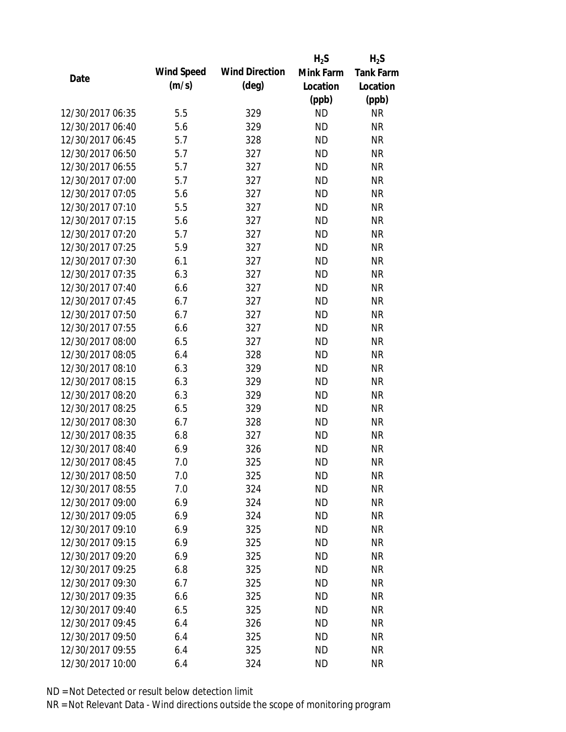|                  |            |                       | $H_2S$    | $H_2S$           |
|------------------|------------|-----------------------|-----------|------------------|
|                  | Wind Speed | <b>Wind Direction</b> | Mink Farm | <b>Tank Farm</b> |
| Date             | (m/s)      | $(\text{deg})$        | Location  | Location         |
|                  |            |                       | (ppb)     | (ppb)            |
| 12/30/2017 06:35 | 5.5        | 329                   | <b>ND</b> | <b>NR</b>        |
| 12/30/2017 06:40 | 5.6        | 329                   | <b>ND</b> | <b>NR</b>        |
| 12/30/2017 06:45 | 5.7        | 328                   | <b>ND</b> | <b>NR</b>        |
| 12/30/2017 06:50 | 5.7        | 327                   | <b>ND</b> | <b>NR</b>        |
| 12/30/2017 06:55 | 5.7        | 327                   | <b>ND</b> | <b>NR</b>        |
| 12/30/2017 07:00 | 5.7        | 327                   | <b>ND</b> | <b>NR</b>        |
| 12/30/2017 07:05 | 5.6        | 327                   | <b>ND</b> | <b>NR</b>        |
| 12/30/2017 07:10 | 5.5        | 327                   | <b>ND</b> | <b>NR</b>        |
| 12/30/2017 07:15 | 5.6        | 327                   | <b>ND</b> | <b>NR</b>        |
| 12/30/2017 07:20 | 5.7        | 327                   | <b>ND</b> | <b>NR</b>        |
| 12/30/2017 07:25 | 5.9        | 327                   | <b>ND</b> | <b>NR</b>        |
| 12/30/2017 07:30 | 6.1        | 327                   | <b>ND</b> | <b>NR</b>        |
| 12/30/2017 07:35 | 6.3        | 327                   | <b>ND</b> | <b>NR</b>        |
| 12/30/2017 07:40 | 6.6        | 327                   | <b>ND</b> | <b>NR</b>        |
| 12/30/2017 07:45 | 6.7        | 327                   | <b>ND</b> | <b>NR</b>        |
| 12/30/2017 07:50 | 6.7        | 327                   | <b>ND</b> | <b>NR</b>        |
| 12/30/2017 07:55 | 6.6        | 327                   | <b>ND</b> | <b>NR</b>        |
| 12/30/2017 08:00 | 6.5        | 327                   | <b>ND</b> | <b>NR</b>        |
| 12/30/2017 08:05 | 6.4        | 328                   | <b>ND</b> | <b>NR</b>        |
| 12/30/2017 08:10 | 6.3        | 329                   | <b>ND</b> | <b>NR</b>        |
| 12/30/2017 08:15 | 6.3        | 329                   | <b>ND</b> | <b>NR</b>        |
| 12/30/2017 08:20 | 6.3        | 329                   | <b>ND</b> | <b>NR</b>        |
| 12/30/2017 08:25 | 6.5        | 329                   | <b>ND</b> | <b>NR</b>        |
| 12/30/2017 08:30 | 6.7        | 328                   | <b>ND</b> | <b>NR</b>        |
| 12/30/2017 08:35 | 6.8        | 327                   | <b>ND</b> | <b>NR</b>        |
| 12/30/2017 08:40 | 6.9        | 326                   | <b>ND</b> | <b>NR</b>        |
| 12/30/2017 08:45 | 7.0        | 325                   | <b>ND</b> | <b>NR</b>        |
| 12/30/2017 08:50 | 7.0        | 325                   | <b>ND</b> | <b>NR</b>        |
| 12/30/2017 08:55 | 7.0        | 324                   | <b>ND</b> | <b>NR</b>        |
| 12/30/2017 09:00 | 6.9        | 324                   | <b>ND</b> | <b>NR</b>        |
| 12/30/2017 09:05 | 6.9        | 324                   | <b>ND</b> | <b>NR</b>        |
| 12/30/2017 09:10 | 6.9        | 325                   | <b>ND</b> | <b>NR</b>        |
| 12/30/2017 09:15 | 6.9        | 325                   | <b>ND</b> | <b>NR</b>        |
| 12/30/2017 09:20 | 6.9        | 325                   | <b>ND</b> | <b>NR</b>        |
| 12/30/2017 09:25 | 6.8        | 325                   | <b>ND</b> | <b>NR</b>        |
| 12/30/2017 09:30 | 6.7        | 325                   | <b>ND</b> | <b>NR</b>        |
| 12/30/2017 09:35 | 6.6        | 325                   | <b>ND</b> | <b>NR</b>        |
| 12/30/2017 09:40 | 6.5        | 325                   | <b>ND</b> | <b>NR</b>        |
| 12/30/2017 09:45 | 6.4        | 326                   | <b>ND</b> | <b>NR</b>        |
| 12/30/2017 09:50 | 6.4        | 325                   | <b>ND</b> | NR               |
| 12/30/2017 09:55 | 6.4        | 325                   | <b>ND</b> | <b>NR</b>        |
| 12/30/2017 10:00 | 6.4        | 324                   | <b>ND</b> | <b>NR</b>        |
|                  |            |                       |           |                  |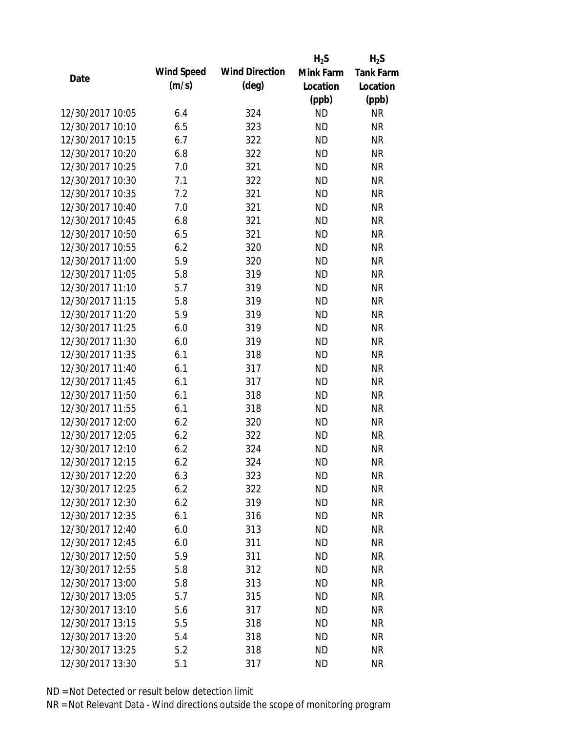|                  |            |                       | $H_2S$    | $H_2S$           |
|------------------|------------|-----------------------|-----------|------------------|
| Date             | Wind Speed | <b>Wind Direction</b> | Mink Farm | <b>Tank Farm</b> |
|                  | (m/s)      | $(\text{deg})$        | Location  | Location         |
|                  |            |                       | (ppb)     | (ppb)            |
| 12/30/2017 10:05 | 6.4        | 324                   | <b>ND</b> | <b>NR</b>        |
| 12/30/2017 10:10 | 6.5        | 323                   | <b>ND</b> | <b>NR</b>        |
| 12/30/2017 10:15 | 6.7        | 322                   | <b>ND</b> | <b>NR</b>        |
| 12/30/2017 10:20 | 6.8        | 322                   | <b>ND</b> | <b>NR</b>        |
| 12/30/2017 10:25 | 7.0        | 321                   | <b>ND</b> | <b>NR</b>        |
| 12/30/2017 10:30 | 7.1        | 322                   | <b>ND</b> | <b>NR</b>        |
| 12/30/2017 10:35 | 7.2        | 321                   | <b>ND</b> | <b>NR</b>        |
| 12/30/2017 10:40 | 7.0        | 321                   | <b>ND</b> | <b>NR</b>        |
| 12/30/2017 10:45 | 6.8        | 321                   | <b>ND</b> | <b>NR</b>        |
| 12/30/2017 10:50 | 6.5        | 321                   | <b>ND</b> | <b>NR</b>        |
| 12/30/2017 10:55 | 6.2        | 320                   | <b>ND</b> | <b>NR</b>        |
| 12/30/2017 11:00 | 5.9        | 320                   | <b>ND</b> | <b>NR</b>        |
| 12/30/2017 11:05 | 5.8        | 319                   | <b>ND</b> | <b>NR</b>        |
| 12/30/2017 11:10 | 5.7        | 319                   | <b>ND</b> | <b>NR</b>        |
| 12/30/2017 11:15 | 5.8        | 319                   | <b>ND</b> | <b>NR</b>        |
| 12/30/2017 11:20 | 5.9        | 319                   | <b>ND</b> | <b>NR</b>        |
| 12/30/2017 11:25 | 6.0        | 319                   | <b>ND</b> | <b>NR</b>        |
| 12/30/2017 11:30 | 6.0        | 319                   | <b>ND</b> | <b>NR</b>        |
| 12/30/2017 11:35 | 6.1        | 318                   | <b>ND</b> | <b>NR</b>        |
| 12/30/2017 11:40 | 6.1        | 317                   | <b>ND</b> | <b>NR</b>        |
| 12/30/2017 11:45 | 6.1        | 317                   | <b>ND</b> | <b>NR</b>        |
| 12/30/2017 11:50 | 6.1        | 318                   | <b>ND</b> | <b>NR</b>        |
| 12/30/2017 11:55 | 6.1        | 318                   | <b>ND</b> | <b>NR</b>        |
| 12/30/2017 12:00 | 6.2        | 320                   | <b>ND</b> | <b>NR</b>        |
| 12/30/2017 12:05 | 6.2        | 322                   | <b>ND</b> | <b>NR</b>        |
| 12/30/2017 12:10 | 6.2        | 324                   | <b>ND</b> | <b>NR</b>        |
| 12/30/2017 12:15 | 6.2        | 324                   | <b>ND</b> | <b>NR</b>        |
| 12/30/2017 12:20 | 6.3        | 323                   | <b>ND</b> | <b>NR</b>        |
| 12/30/2017 12:25 | 6.2        | 322                   | <b>ND</b> | <b>NR</b>        |
| 12/30/2017 12:30 | 6.2        | 319                   | <b>ND</b> | <b>NR</b>        |
| 12/30/2017 12:35 | 6.1        | 316                   | <b>ND</b> | <b>NR</b>        |
| 12/30/2017 12:40 | 6.0        | 313                   | <b>ND</b> | <b>NR</b>        |
| 12/30/2017 12:45 | 6.0        | 311                   | <b>ND</b> | <b>NR</b>        |
| 12/30/2017 12:50 | 5.9        | 311                   | <b>ND</b> | <b>NR</b>        |
| 12/30/2017 12:55 | 5.8        | 312                   | <b>ND</b> | <b>NR</b>        |
| 12/30/2017 13:00 | 5.8        | 313                   | <b>ND</b> | <b>NR</b>        |
| 12/30/2017 13:05 | 5.7        | 315                   | <b>ND</b> | <b>NR</b>        |
| 12/30/2017 13:10 | 5.6        | 317                   | <b>ND</b> | <b>NR</b>        |
| 12/30/2017 13:15 | 5.5        | 318                   | <b>ND</b> | <b>NR</b>        |
| 12/30/2017 13:20 | 5.4        | 318                   | <b>ND</b> | <b>NR</b>        |
| 12/30/2017 13:25 | 5.2        | 318                   | <b>ND</b> | <b>NR</b>        |
| 12/30/2017 13:30 | 5.1        | 317                   | <b>ND</b> | <b>NR</b>        |
|                  |            |                       |           |                  |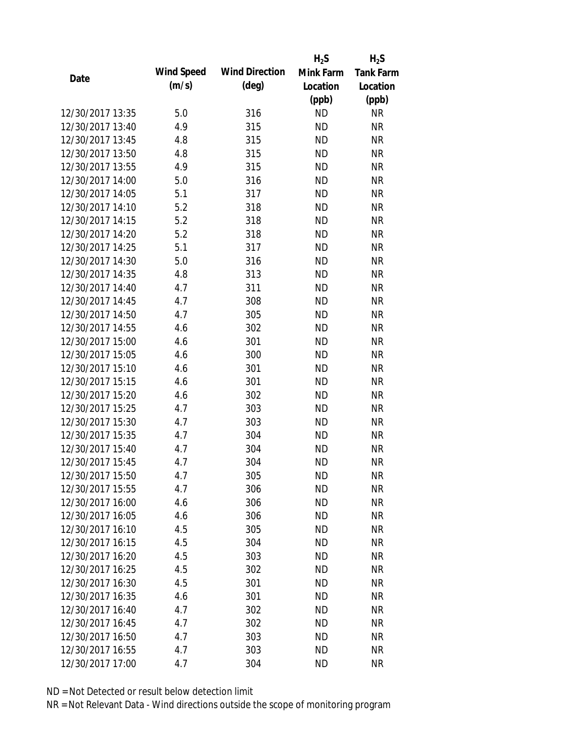|                  |            |                       | $H_2S$    | $H_2S$           |
|------------------|------------|-----------------------|-----------|------------------|
| Date             | Wind Speed | <b>Wind Direction</b> | Mink Farm | <b>Tank Farm</b> |
|                  | (m/s)      | $(\text{deg})$        | Location  | Location         |
|                  |            |                       | (ppb)     | (ppb)            |
| 12/30/2017 13:35 | 5.0        | 316                   | <b>ND</b> | <b>NR</b>        |
| 12/30/2017 13:40 | 4.9        | 315                   | <b>ND</b> | <b>NR</b>        |
| 12/30/2017 13:45 | 4.8        | 315                   | <b>ND</b> | <b>NR</b>        |
| 12/30/2017 13:50 | 4.8        | 315                   | <b>ND</b> | <b>NR</b>        |
| 12/30/2017 13:55 | 4.9        | 315                   | <b>ND</b> | <b>NR</b>        |
| 12/30/2017 14:00 | 5.0        | 316                   | <b>ND</b> | <b>NR</b>        |
| 12/30/2017 14:05 | 5.1        | 317                   | <b>ND</b> | <b>NR</b>        |
| 12/30/2017 14:10 | 5.2        | 318                   | <b>ND</b> | <b>NR</b>        |
| 12/30/2017 14:15 | 5.2        | 318                   | <b>ND</b> | <b>NR</b>        |
| 12/30/2017 14:20 | 5.2        | 318                   | <b>ND</b> | <b>NR</b>        |
| 12/30/2017 14:25 | 5.1        | 317                   | <b>ND</b> | <b>NR</b>        |
| 12/30/2017 14:30 | 5.0        | 316                   | <b>ND</b> | <b>NR</b>        |
| 12/30/2017 14:35 | 4.8        | 313                   | <b>ND</b> | <b>NR</b>        |
| 12/30/2017 14:40 | 4.7        | 311                   | <b>ND</b> | <b>NR</b>        |
| 12/30/2017 14:45 | 4.7        | 308                   | <b>ND</b> | <b>NR</b>        |
| 12/30/2017 14:50 | 4.7        | 305                   | <b>ND</b> | <b>NR</b>        |
| 12/30/2017 14:55 | 4.6        | 302                   | <b>ND</b> | <b>NR</b>        |
| 12/30/2017 15:00 | 4.6        | 301                   | <b>ND</b> | <b>NR</b>        |
| 12/30/2017 15:05 | 4.6        | 300                   | <b>ND</b> | <b>NR</b>        |
| 12/30/2017 15:10 | 4.6        | 301                   | <b>ND</b> | <b>NR</b>        |
| 12/30/2017 15:15 | 4.6        | 301                   | <b>ND</b> | <b>NR</b>        |
| 12/30/2017 15:20 | 4.6        | 302                   | <b>ND</b> | <b>NR</b>        |
| 12/30/2017 15:25 | 4.7        | 303                   | <b>ND</b> | <b>NR</b>        |
| 12/30/2017 15:30 | 4.7        | 303                   | <b>ND</b> | <b>NR</b>        |
| 12/30/2017 15:35 | 4.7        | 304                   | <b>ND</b> | <b>NR</b>        |
| 12/30/2017 15:40 | 4.7        | 304                   | <b>ND</b> | <b>NR</b>        |
| 12/30/2017 15:45 | 4.7        | 304                   | <b>ND</b> | <b>NR</b>        |
| 12/30/2017 15:50 | 4.7        | 305                   | <b>ND</b> | <b>NR</b>        |
| 12/30/2017 15:55 | 4.7        | 306                   | <b>ND</b> | <b>NR</b>        |
| 12/30/2017 16:00 | 4.6        | 306                   | <b>ND</b> | <b>NR</b>        |
| 12/30/2017 16:05 | 4.6        | 306                   | <b>ND</b> | <b>NR</b>        |
| 12/30/2017 16:10 | 4.5        | 305                   | <b>ND</b> | <b>NR</b>        |
| 12/30/2017 16:15 | 4.5        | 304                   | <b>ND</b> | <b>NR</b>        |
| 12/30/2017 16:20 | 4.5        | 303                   | <b>ND</b> | <b>NR</b>        |
| 12/30/2017 16:25 | 4.5        | 302                   | <b>ND</b> | <b>NR</b>        |
| 12/30/2017 16:30 | 4.5        | 301                   | <b>ND</b> | <b>NR</b>        |
| 12/30/2017 16:35 | 4.6        | 301                   | <b>ND</b> | <b>NR</b>        |
| 12/30/2017 16:40 | 4.7        | 302                   | <b>ND</b> | <b>NR</b>        |
| 12/30/2017 16:45 | 4.7        | 302                   | <b>ND</b> | <b>NR</b>        |
| 12/30/2017 16:50 | 4.7        | 303                   | <b>ND</b> | NR               |
| 12/30/2017 16:55 | 4.7        | 303                   | <b>ND</b> | <b>NR</b>        |
|                  |            |                       |           |                  |
| 12/30/2017 17:00 | 4.7        | 304                   | <b>ND</b> | <b>NR</b>        |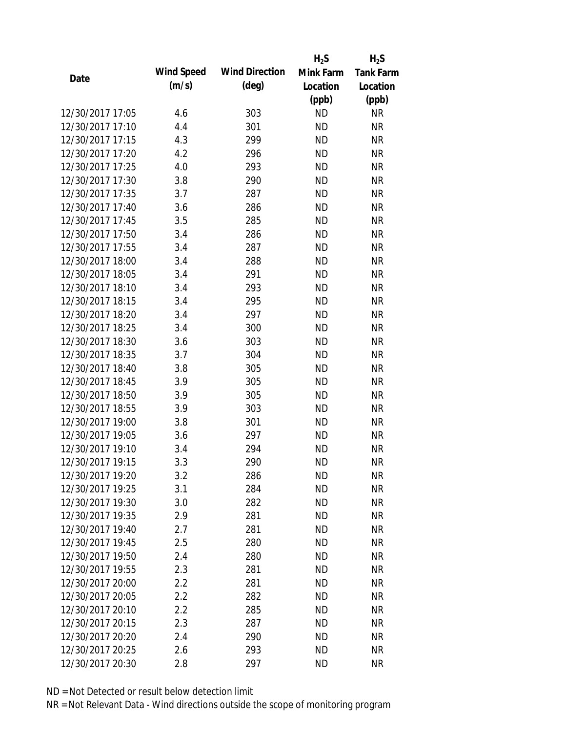|                  |            |                       | $H_2S$    | $H_2S$           |
|------------------|------------|-----------------------|-----------|------------------|
| Date             | Wind Speed | <b>Wind Direction</b> | Mink Farm | <b>Tank Farm</b> |
|                  | (m/s)      | $(\text{deg})$        | Location  | Location         |
|                  |            |                       | (ppb)     | (ppb)            |
| 12/30/2017 17:05 | 4.6        | 303                   | <b>ND</b> | <b>NR</b>        |
| 12/30/2017 17:10 | 4.4        | 301                   | <b>ND</b> | <b>NR</b>        |
| 12/30/2017 17:15 | 4.3        | 299                   | <b>ND</b> | <b>NR</b>        |
| 12/30/2017 17:20 | 4.2        | 296                   | <b>ND</b> | <b>NR</b>        |
| 12/30/2017 17:25 | 4.0        | 293                   | <b>ND</b> | <b>NR</b>        |
| 12/30/2017 17:30 | 3.8        | 290                   | <b>ND</b> | <b>NR</b>        |
| 12/30/2017 17:35 | 3.7        | 287                   | <b>ND</b> | <b>NR</b>        |
| 12/30/2017 17:40 | 3.6        | 286                   | <b>ND</b> | <b>NR</b>        |
| 12/30/2017 17:45 | 3.5        | 285                   | <b>ND</b> | <b>NR</b>        |
| 12/30/2017 17:50 | 3.4        | 286                   | <b>ND</b> | <b>NR</b>        |
| 12/30/2017 17:55 | 3.4        | 287                   | <b>ND</b> | <b>NR</b>        |
| 12/30/2017 18:00 | 3.4        | 288                   | <b>ND</b> | <b>NR</b>        |
| 12/30/2017 18:05 | 3.4        | 291                   | <b>ND</b> | <b>NR</b>        |
| 12/30/2017 18:10 | 3.4        | 293                   | <b>ND</b> | <b>NR</b>        |
| 12/30/2017 18:15 | 3.4        | 295                   | <b>ND</b> | <b>NR</b>        |
| 12/30/2017 18:20 | 3.4        | 297                   | <b>ND</b> | <b>NR</b>        |
| 12/30/2017 18:25 | 3.4        | 300                   | <b>ND</b> | <b>NR</b>        |
| 12/30/2017 18:30 | 3.6        | 303                   | <b>ND</b> | <b>NR</b>        |
| 12/30/2017 18:35 | 3.7        | 304                   | <b>ND</b> | <b>NR</b>        |
| 12/30/2017 18:40 | 3.8        | 305                   | <b>ND</b> | <b>NR</b>        |
| 12/30/2017 18:45 | 3.9        | 305                   | <b>ND</b> | <b>NR</b>        |
| 12/30/2017 18:50 | 3.9        | 305                   | <b>ND</b> | <b>NR</b>        |
| 12/30/2017 18:55 | 3.9        | 303                   | <b>ND</b> | <b>NR</b>        |
| 12/30/2017 19:00 | 3.8        | 301                   | <b>ND</b> | <b>NR</b>        |
| 12/30/2017 19:05 | 3.6        | 297                   | <b>ND</b> | <b>NR</b>        |
| 12/30/2017 19:10 | 3.4        | 294                   | <b>ND</b> | <b>NR</b>        |
| 12/30/2017 19:15 | 3.3        | 290                   | <b>ND</b> | <b>NR</b>        |
| 12/30/2017 19:20 | 3.2        | 286                   | <b>ND</b> | <b>NR</b>        |
| 12/30/2017 19:25 | 3.1        | 284                   | <b>ND</b> | <b>NR</b>        |
| 12/30/2017 19:30 | 3.0        | 282                   | ND        | <b>NR</b>        |
| 12/30/2017 19:35 | 2.9        | 281                   | <b>ND</b> | <b>NR</b>        |
| 12/30/2017 19:40 | 2.7        | 281                   | <b>ND</b> | <b>NR</b>        |
| 12/30/2017 19:45 | 2.5        | 280                   | <b>ND</b> | <b>NR</b>        |
| 12/30/2017 19:50 | 2.4        | 280                   | <b>ND</b> | <b>NR</b>        |
| 12/30/2017 19:55 | 2.3        | 281                   | <b>ND</b> | <b>NR</b>        |
| 12/30/2017 20:00 | 2.2        | 281                   | <b>ND</b> | <b>NR</b>        |
| 12/30/2017 20:05 | 2.2        | 282                   | <b>ND</b> | <b>NR</b>        |
| 12/30/2017 20:10 | 2.2        | 285                   | <b>ND</b> | <b>NR</b>        |
| 12/30/2017 20:15 | 2.3        | 287                   | <b>ND</b> | <b>NR</b>        |
| 12/30/2017 20:20 | 2.4        | 290                   | <b>ND</b> | <b>NR</b>        |
| 12/30/2017 20:25 | 2.6        | 293                   | <b>ND</b> | <b>NR</b>        |
| 12/30/2017 20:30 | 2.8        | 297                   | <b>ND</b> | <b>NR</b>        |
|                  |            |                       |           |                  |